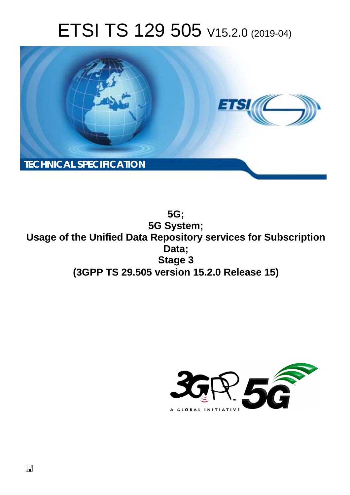# ETSI TS 129 505 V15.2.0 (2019-04)



**5G; 5G System; Usage of the Unified Data Repository services for Subscription Data; Stage 3 (3GPP TS 29.505 version 15.2.0 Release 15)** 

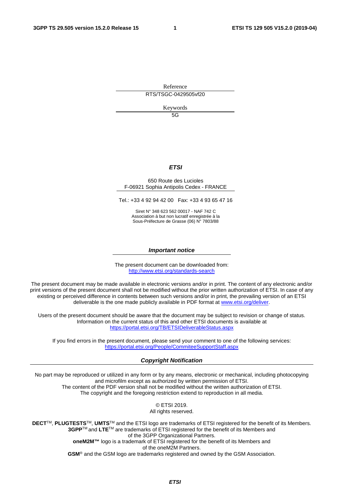Reference RTS/TSGC-0429505vf20

Keywords 5G

*ETSI* 

#### 650 Route des Lucioles F-06921 Sophia Antipolis Cedex - FRANCE

Tel.: +33 4 92 94 42 00 Fax: +33 4 93 65 47 16

Siret N° 348 623 562 00017 - NAF 742 C Association à but non lucratif enregistrée à la Sous-Préfecture de Grasse (06) N° 7803/88

#### *Important notice*

The present document can be downloaded from: <http://www.etsi.org/standards-search>

The present document may be made available in electronic versions and/or in print. The content of any electronic and/or print versions of the present document shall not be modified without the prior written authorization of ETSI. In case of any existing or perceived difference in contents between such versions and/or in print, the prevailing version of an ETSI deliverable is the one made publicly available in PDF format at [www.etsi.org/deliver](http://www.etsi.org/deliver).

Users of the present document should be aware that the document may be subject to revision or change of status. Information on the current status of this and other ETSI documents is available at <https://portal.etsi.org/TB/ETSIDeliverableStatus.aspx>

If you find errors in the present document, please send your comment to one of the following services: <https://portal.etsi.org/People/CommiteeSupportStaff.aspx>

#### *Copyright Notification*

No part may be reproduced or utilized in any form or by any means, electronic or mechanical, including photocopying and microfilm except as authorized by written permission of ETSI. The content of the PDF version shall not be modified without the written authorization of ETSI. The copyright and the foregoing restriction extend to reproduction in all media.

> © ETSI 2019. All rights reserved.

**DECT**TM, **PLUGTESTS**TM, **UMTS**TM and the ETSI logo are trademarks of ETSI registered for the benefit of its Members. **3GPP**TM and **LTE**TM are trademarks of ETSI registered for the benefit of its Members and of the 3GPP Organizational Partners. **oneM2M™** logo is a trademark of ETSI registered for the benefit of its Members and of the oneM2M Partners. **GSM**® and the GSM logo are trademarks registered and owned by the GSM Association.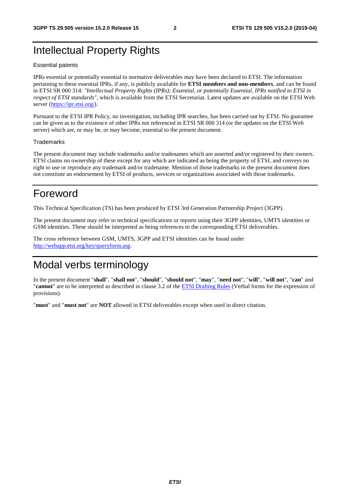## Intellectual Property Rights

#### Essential patents

IPRs essential or potentially essential to normative deliverables may have been declared to ETSI. The information pertaining to these essential IPRs, if any, is publicly available for **ETSI members and non-members**, and can be found in ETSI SR 000 314: *"Intellectual Property Rights (IPRs); Essential, or potentially Essential, IPRs notified to ETSI in respect of ETSI standards"*, which is available from the ETSI Secretariat. Latest updates are available on the ETSI Web server ([https://ipr.etsi.org/\)](https://ipr.etsi.org/).

Pursuant to the ETSI IPR Policy, no investigation, including IPR searches, has been carried out by ETSI. No guarantee can be given as to the existence of other IPRs not referenced in ETSI SR 000 314 (or the updates on the ETSI Web server) which are, or may be, or may become, essential to the present document.

#### **Trademarks**

The present document may include trademarks and/or tradenames which are asserted and/or registered by their owners. ETSI claims no ownership of these except for any which are indicated as being the property of ETSI, and conveys no right to use or reproduce any trademark and/or tradename. Mention of those trademarks in the present document does not constitute an endorsement by ETSI of products, services or organizations associated with those trademarks.

## Foreword

This Technical Specification (TS) has been produced by ETSI 3rd Generation Partnership Project (3GPP).

The present document may refer to technical specifications or reports using their 3GPP identities, UMTS identities or GSM identities. These should be interpreted as being references to the corresponding ETSI deliverables.

The cross reference between GSM, UMTS, 3GPP and ETSI identities can be found under [http://webapp.etsi.org/key/queryform.asp.](http://webapp.etsi.org/key/queryform.asp)

## Modal verbs terminology

In the present document "**shall**", "**shall not**", "**should**", "**should not**", "**may**", "**need not**", "**will**", "**will not**", "**can**" and "**cannot**" are to be interpreted as described in clause 3.2 of the [ETSI Drafting Rules](https://portal.etsi.org/Services/editHelp!/Howtostart/ETSIDraftingRules.aspx) (Verbal forms for the expression of provisions).

"**must**" and "**must not**" are **NOT** allowed in ETSI deliverables except when used in direct citation.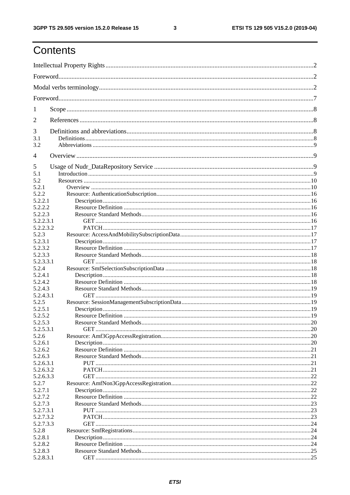ETSI TS 129 505 V15.2.0 (2019-04)

## Contents

| 1                  |  |  |  |  |  |
|--------------------|--|--|--|--|--|
| 2                  |  |  |  |  |  |
| 3                  |  |  |  |  |  |
| 3.1                |  |  |  |  |  |
| 3.2                |  |  |  |  |  |
| 4                  |  |  |  |  |  |
| 5                  |  |  |  |  |  |
| 5.1                |  |  |  |  |  |
| 5.2                |  |  |  |  |  |
| 5.2.1              |  |  |  |  |  |
| 5.2.2              |  |  |  |  |  |
| 5.2.2.1            |  |  |  |  |  |
| 5.2.2.2            |  |  |  |  |  |
| 5.2.2.3            |  |  |  |  |  |
| 5.2.2.3.1          |  |  |  |  |  |
| 5.2.2.3.2          |  |  |  |  |  |
| 5.2.3              |  |  |  |  |  |
| 5.2.3.1            |  |  |  |  |  |
| 5.2.3.2            |  |  |  |  |  |
| 5.2.3.3            |  |  |  |  |  |
| 5.2.3.3.1<br>5.2.4 |  |  |  |  |  |
| 5.2.4.1            |  |  |  |  |  |
| 5.2.4.2            |  |  |  |  |  |
| 5.2.4.3            |  |  |  |  |  |
| 5.2.4.3.1          |  |  |  |  |  |
| 5.2.5              |  |  |  |  |  |
| 5.2.5.1            |  |  |  |  |  |
| 5.2.5.2            |  |  |  |  |  |
| 5.2.5.3            |  |  |  |  |  |
| 5.2.5.3.1          |  |  |  |  |  |
| 5.2.6              |  |  |  |  |  |
| 5.2.6.1            |  |  |  |  |  |
| 5.2.6.2            |  |  |  |  |  |
| 5.2.6.3            |  |  |  |  |  |
| 5.2.6.3.1          |  |  |  |  |  |
| 5.2.6.3.2          |  |  |  |  |  |
| 5.2.6.3.3          |  |  |  |  |  |
| 5.2.7              |  |  |  |  |  |
| 5.2.7.1            |  |  |  |  |  |
| 5.2.7.2            |  |  |  |  |  |
| 5.2.7.3            |  |  |  |  |  |
| 5.2.7.3.1          |  |  |  |  |  |
| 5.2.7.3.2          |  |  |  |  |  |
| 5.2.7.3.3          |  |  |  |  |  |
| 5.2.8              |  |  |  |  |  |
| 5.2.8.1            |  |  |  |  |  |
| 5.2.8.2            |  |  |  |  |  |
| 5.2.8.3            |  |  |  |  |  |
| 5.2.8.3.1          |  |  |  |  |  |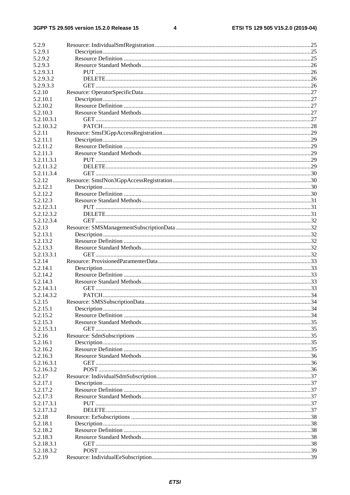#### $\overline{\mathbf{4}}$

| 5.2.9      |  |
|------------|--|
| 5.2.9.1    |  |
| 5.2.9.2    |  |
| 5.2.9.3    |  |
| 5.2.9.3.1  |  |
| 5.2.9.3.2  |  |
| 5.2.9.3.3  |  |
| 5.2.10     |  |
| 5.2.10.1   |  |
| 5.2.10.2   |  |
| 5.2.10.3   |  |
| 5.2.10.3.1 |  |
| 5.2.10.3.2 |  |
|            |  |
| 5.2.11     |  |
| 5.2.11.1   |  |
| 5.2.11.2   |  |
| 5.2.11.3   |  |
| 5.2.11.3.1 |  |
| 5.2.11.3.2 |  |
| 5.2.11.3.4 |  |
| 5.2.12     |  |
| 5.2.12.1   |  |
| 5.2.12.2   |  |
| 5.2.12.3   |  |
| 5.2.12.3.1 |  |
| 5.2.12.3.2 |  |
| 5.2.12.3.4 |  |
| 5.2.13     |  |
| 5.2.13.1   |  |
| 5.2.13.2   |  |
| 5.2.13.3   |  |
| 5.2.13.3.1 |  |
| 5.2.14     |  |
| 5.2.14.1   |  |
| 5.2.14.2   |  |
| 5.2.14.3   |  |
| 5.2.14.3.1 |  |
| 5.2.14.3.2 |  |
| 5.2.15     |  |
| 5.2.15.1   |  |
| 5.2.15.2   |  |
| 5.2.15.3   |  |
| 5.2.15.3.1 |  |
| 5.2.16     |  |
| 5.2.16.1   |  |
| 5.2.16.2   |  |
| 5.2.16.3   |  |
| 5.2.16.3.1 |  |
| 5.2.16.3.2 |  |
| 5.2.17     |  |
| 5.2.17.1   |  |
| 5.2.17.2   |  |
| 5.2.17.3   |  |
| 5.2.17.3.1 |  |
| 5.2.17.3.2 |  |
| 5.2.18     |  |
| 5.2.18.1   |  |
| 5.2.18.2   |  |
| 5.2.18.3   |  |
| 5.2.18.3.1 |  |
| 5.2.18.3.2 |  |
| 5.2.19     |  |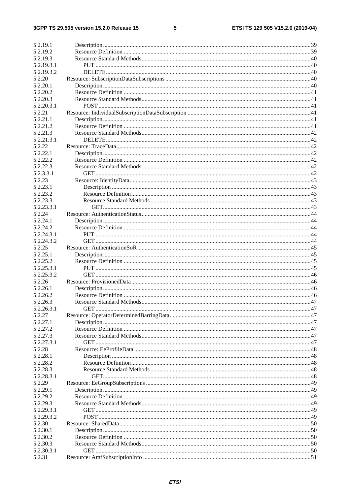#### $5\phantom{a}$

| 5.2.19.1   |  |
|------------|--|
| 5.2.19.2   |  |
|            |  |
| 5.2.19.3   |  |
| 5.2.19.3.1 |  |
| 5.2.19.3.2 |  |
| 5.2.20     |  |
| 5.2.20.1   |  |
| 5.2.20.2   |  |
| 5.2.20.3   |  |
| 5.2.20.3.1 |  |
|            |  |
| 5.2.21     |  |
| 5.2.21.1   |  |
| 5.2.21.2   |  |
| 5.2.21.3   |  |
| 5.2.21.3.1 |  |
| 5.2.22     |  |
| 5.2.22.1   |  |
| 5.2.22.2   |  |
| 5.2.22.3   |  |
| 5.2.3.3.1  |  |
| 5.2.23     |  |
|            |  |
| 5.2.23.1   |  |
| 5.2.23.2   |  |
| 5.2.23.3   |  |
| 5.2.23.3.1 |  |
| 5.2.24     |  |
| 5.2.24.1   |  |
| 5.2.24.2   |  |
| 5.2.24.3.1 |  |
| 5.2.24.3.2 |  |
| 5.2.25     |  |
| 5.2.25.1   |  |
| 5.2.25.2   |  |
| 5.2.25.3.1 |  |
| 5.2.25.3.2 |  |
| 5.2.26     |  |
| 5.2.26.1   |  |
| 5.2.26.2   |  |
|            |  |
| 5.2.26.3   |  |
| 5.2.26.3.1 |  |
| 5.2.27     |  |
| 5.2.27.1   |  |
| 5.2.27.2   |  |
| 5.2.27.3   |  |
| 5.2.27.3.1 |  |
| 5.2.28     |  |
| 5.2.28.1   |  |
| 5.2.28.2   |  |
| 5.2.28.3   |  |
| 5.2.28.3.1 |  |
| 5.2.29     |  |
| 5.2.29.1   |  |
| 5.2.29.2   |  |
| 5.2.29.3   |  |
|            |  |
| 5.2.29.3.1 |  |
| 5.2.29.3.2 |  |
| 5.2.30     |  |
| 5.2.30.1   |  |
| 5.2.30.2   |  |
| 5.2.30.3   |  |
| 5.2.30.3.1 |  |
| 5.2.31     |  |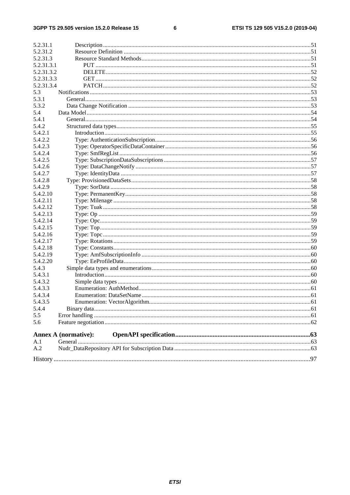$\bf 6$ 

| 5.2.31.1   |                             |  |
|------------|-----------------------------|--|
| 5.2.31.2   |                             |  |
| 5.2.31.3   |                             |  |
| 5.2.31.3.1 |                             |  |
| 5.2.31.3.2 |                             |  |
| 5.2.31.3.3 |                             |  |
| 5.2.31.3.4 |                             |  |
| 5.3        |                             |  |
| 5.3.1      |                             |  |
| 5.3.2      |                             |  |
| 5.4        |                             |  |
| 5.4.1      |                             |  |
| 5.4.2      |                             |  |
| 5.4.2.1    |                             |  |
| 5.4.2.2    |                             |  |
| 5.4.2.3    |                             |  |
| 5.4.2.4    |                             |  |
| 5.4.2.5    |                             |  |
| 5.4.2.6    |                             |  |
| 5.4.2.7    |                             |  |
| 5.4.2.8    |                             |  |
| 5.4.2.9    |                             |  |
| 5.4.2.10   |                             |  |
| 5.4.2.11   |                             |  |
| 5.4.2.12   |                             |  |
| 5.4.2.13   |                             |  |
| 5.4.2.14   |                             |  |
| 5.4.2.15   |                             |  |
| 5.4.2.16   |                             |  |
| 5.4.2.17   |                             |  |
| 5.4.2.18   |                             |  |
| 5.4.2.19   |                             |  |
| 5.4.2.20   |                             |  |
| 5.4.3      |                             |  |
| 5.4.3.1    |                             |  |
| 5.4.3.2    |                             |  |
| 5.4.3.3    |                             |  |
| 5.4.3.4    |                             |  |
| 5.4.3.5    |                             |  |
| 5.4.4      |                             |  |
| 5.5        |                             |  |
| 5.6        |                             |  |
|            | <b>Annex A (normative):</b> |  |
| A.1        |                             |  |
| A.2        |                             |  |
|            |                             |  |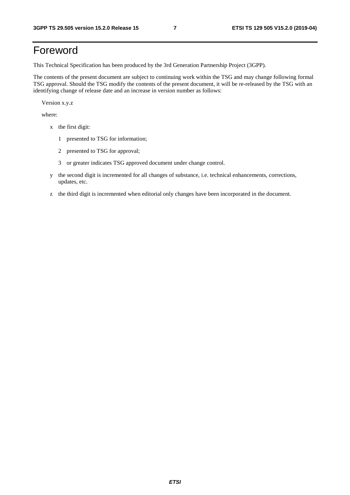## Foreword

This Technical Specification has been produced by the 3rd Generation Partnership Project (3GPP).

The contents of the present document are subject to continuing work within the TSG and may change following formal TSG approval. Should the TSG modify the contents of the present document, it will be re-released by the TSG with an identifying change of release date and an increase in version number as follows:

Version x.y.z

where:

- x the first digit:
	- 1 presented to TSG for information;
	- 2 presented to TSG for approval;
	- 3 or greater indicates TSG approved document under change control.
- y the second digit is incremented for all changes of substance, i.e. technical enhancements, corrections, updates, etc.
- z the third digit is incremented when editorial only changes have been incorporated in the document.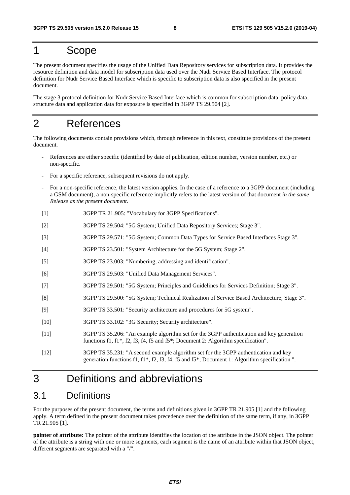## 1 Scope

The present document specifies the usage of the Unified Data Repository services for subscription data. It provides the resource definition and data model for subscription data used over the Nudr Service Based Interface. The protocol definition for Nudr Service Based Interface which is specific to subscription data is also specified in the present document.

The stage 3 protocol definition for Nudr Service Based Interface which is common for subscription data, policy data, structure data and application data for exposure is specified in 3GPP TS 29.504 [2].

## 2 References

The following documents contain provisions which, through reference in this text, constitute provisions of the present document.

- References are either specific (identified by date of publication, edition number, version number, etc.) or non-specific.
- For a specific reference, subsequent revisions do not apply.
- For a non-specific reference, the latest version applies. In the case of a reference to a 3GPP document (including a GSM document), a non-specific reference implicitly refers to the latest version of that document *in the same Release as the present document*.
- [1] 3GPP TR 21.905: "Vocabulary for 3GPP Specifications".
- [2] 3GPP TS 29.504: "5G System; Unified Data Repository Services; Stage 3".
- [3] 3GPP TS 29.571: "5G System; Common Data Types for Service Based Interfaces Stage 3".
- [4] 3GPP TS 23.501: "System Architecture for the 5G System; Stage 2".
- [5] 3GPP TS 23.003: "Numbering, addressing and identification".
- [6] 3GPP TS 29.503: "Unified Data Management Services".
- [7] 3GPP TS 29.501: "5G System; Principles and Guidelines for Services Definition; Stage 3".
- [8] 3GPP TS 29.500: "5G System; Technical Realization of Service Based Architecture; Stage 3".
- [9] 3GPP TS 33.501: "Security architecture and procedures for 5G system".
- [10] 3GPP TS 33.102: "3G Security; Security architecture".
- [11] 3GPP TS 35.206: "An example algorithm set for the 3GPP authentication and key generation functions f1, f1\*, f2, f3, f4, f5 and f5\*; Document 2: Algorithm specification".
- [12] 3GPP TS 35.231: "A second example algorithm set for the 3GPP authentication and key generation functions f1, f1\*, f2, f3, f4, f5 and f5\*; Document 1: Algorithm specification ".

## 3 Definitions and abbreviations

## 3.1 Definitions

For the purposes of the present document, the terms and definitions given in 3GPP TR 21.905 [1] and the following apply. A term defined in the present document takes precedence over the definition of the same term, if any, in 3GPP TR 21.905 [1].

**pointer of attribute:** The pointer of the attribute identifies the location of the attribute in the JSON object. The pointer of the attribute is a string with one or more segments, each segment is the name of an attribute within that JSON object, different segments are separated with a "/".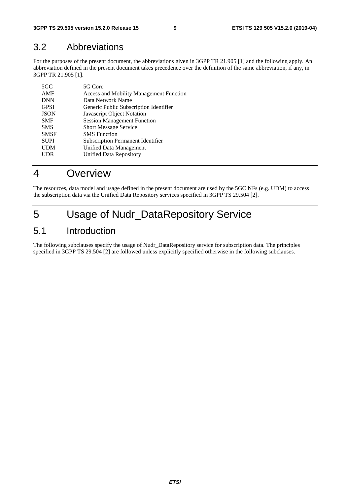## 3.2 Abbreviations

For the purposes of the present document, the abbreviations given in 3GPP TR 21.905 [1] and the following apply. An abbreviation defined in the present document takes precedence over the definition of the same abbreviation, if any, in 3GPP TR 21.905 [1].

| $5 \times C$ | 5G Core                                        |
|--------------|------------------------------------------------|
| AMF          | <b>Access and Mobility Management Function</b> |
| <b>DNN</b>   | Data Network Name                              |
| <b>GPSI</b>  | Generic Public Subscription Identifier         |
| <b>JSON</b>  | Javascript Object Notation                     |
| <b>SMF</b>   | <b>Session Management Function</b>             |
| <b>SMS</b>   | <b>Short Message Service</b>                   |
| <b>SMSF</b>  | <b>SMS</b> Function                            |
| <b>SUPI</b>  | <b>Subscription Permanent Identifier</b>       |
| <b>UDM</b>   | Unified Data Management                        |
| <b>UDR</b>   | <b>Unified Data Repository</b>                 |
|              |                                                |

## 4 Overview

The resources, data model and usage defined in the present document are used by the 5GC NFs (e.g. UDM) to access the subscription data via the Unified Data Repository services specified in 3GPP TS 29.504 [2].

## 5 Usage of Nudr\_DataRepository Service

## 5.1 Introduction

The following subclauses specify the usage of Nudr\_DataRepository service for subscription data. The principles specified in 3GPP TS 29.504 [2] are followed unless explicitly specified otherwise in the following subclauses.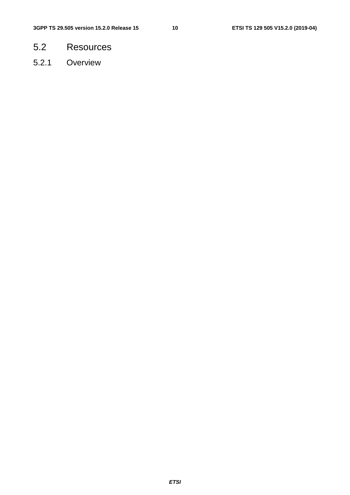- 5.2 Resources
- 5.2.1 Overview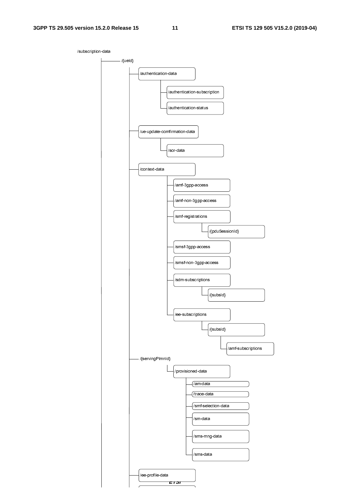/subscription-data

*ETSI*   $-$  /{ueld} /authentication-data /context-data - /{servingPlmnId} /provisioned-data /am-data /sm-data /amf-3gpp-access /amf-non-3gpp-access /smf-registrations /{pduSessionId} /smf-selection-data /smsf-3gpp-access /smsf-non-3gpp-access /sms-mng-data /sms-data /sdm-subscriptions /{subsId} /ee-subscriptions /{subsId} /trace-data /ue-update-comfirmation-data /sor-data /authentication-subscription /authentication-status /ee-profile-data /amf-subscriptions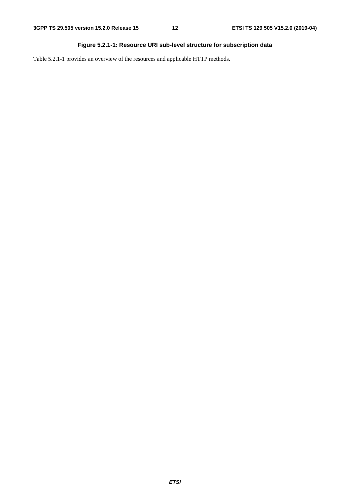## **Figure 5.2.1-1: Resource URI sub-level structure for subscription data**

Table 5.2.1-1 provides an overview of the resources and applicable HTTP methods.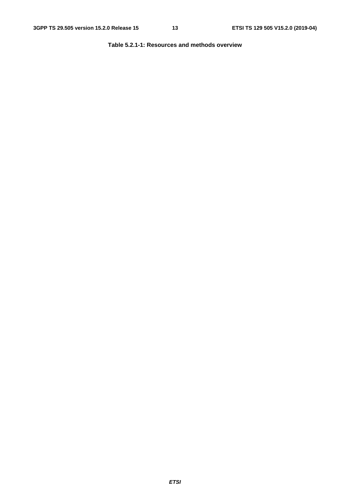**Table 5.2.1-1: Resources and methods overview**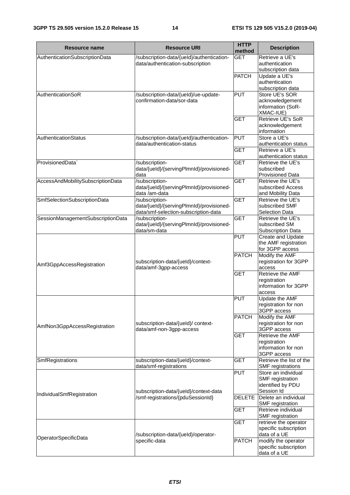| Resource name                     | <b>Resource URI</b>                                                                                | <b>HTTP</b><br>method    | <b>Description</b>                                                         |
|-----------------------------------|----------------------------------------------------------------------------------------------------|--------------------------|----------------------------------------------------------------------------|
| AuthenticationSubscriptionData    | /subscription-data/{ueld}/authentication-<br>data/authentication-subscription                      | <b>GET</b>               | Retrieve a UE's<br>authentication                                          |
|                                   |                                                                                                    | <b>PATCH</b>             | subscription data<br>Update a UE's<br>authentication<br>subscription data  |
| AuthenticationSoR                 | /subscription-data/{ueld}/ue-update-<br>confirmation-data/sor-data                                 | <b>PUT</b>               | Store UE's SOR<br>acknowledgement<br>information (SoR-<br>XMAC-IUE)        |
|                                   |                                                                                                    | <b>GET</b>               | <b>Retrieve UE's SoR</b><br>acknowledgement<br>information                 |
| AuthenticationStatus              | /subscription-data/{ueld}/authentication-<br>data/authentication-status                            | <b>PUT</b><br><b>GET</b> | Store a UE's<br>authentication status<br>Retrieve a UE's                   |
| ProvisionedData`                  | /subscription-                                                                                     | <b>GET</b>               | authentication status<br>Retrieve the UE's                                 |
| AccessAndMobilitySubscriptionData | data/{ueld}/{servingPlmnld}/provisioned-<br>data<br>/subscription-                                 | <b>GET</b>               | subscribed<br><b>Provisioned Data</b><br>Retrieve the UE's                 |
|                                   | data/{ueld}/{servingPlmnld}/provisioned-<br>data /am-data                                          |                          | subscribed Access<br>and Mobility Data                                     |
| SmfSelectionSubscriptionData      | /subscription-<br>data/{ueld}/{servingPlmnld}/provisioned-<br>data/smf-selection-subscription-data | <b>GET</b>               | Retrieve the UE's<br>subscribed SMF<br><b>Selection Data</b>               |
| SessionManagementSubscriptionData | /subscription-<br>data/{ueld}/{servingPlmnld}/provisioned-<br>data/sm-data                         | <b>GET</b>               | Retrieve the UE's<br>subscribed SM<br><b>Subscription Data</b>             |
|                                   |                                                                                                    | <b>PUT</b>               | Create and Update<br>the AMF registration<br>for 3GPP access               |
| Amf3GppAccessRegistration         | subscription-data/{ueld}/context-<br>data/amf-3gpp-access                                          | <b>PATCH</b>             | Modify the AMF<br>registration for 3GPP<br>access                          |
|                                   |                                                                                                    | <b>GET</b>               | <b>Retrieve the AMF</b><br>registration<br>information for 3GPP<br>access  |
|                                   |                                                                                                    | <b>PUT</b>               | Update the AMF<br>registration for non<br>3GPP access                      |
| AmfNon3GppAccessRegistration      | subscription-data/{ueld}/ context-<br>data/amf-non-3gpp-access                                     | <b>PATCH</b>             | Modify the AMF<br>registration for non<br>3GPP access                      |
|                                   |                                                                                                    | <b>GET</b>               | Retrieve the AMF<br>registration<br>information for non<br>3GPP access     |
| SmfRegistrations                  | subscription-data/{ueld}/context-<br>data/smf-registrations                                        | <b>GET</b>               | Retrieve the list of the<br><b>SMF</b> registrations                       |
|                                   | subscription-data/{ueld}/context-data                                                              | <b>PUT</b>               | Store an individual<br>SMF registration<br>identified by PDU<br>Session Id |
| IndividualSmfRegistration         | /smf-registrations/{pduSessionId}                                                                  | <b>DELETE</b>            | Delete an individual<br>SMF registration                                   |
|                                   |                                                                                                    | <b>GET</b><br><b>GET</b> | Retrieve individual<br>SMF registration<br>retrieve the operator           |
| OperatorSpecificData              | /subscription-data/{ueld}/operator-                                                                |                          | specific subscription<br>data of a UE                                      |
|                                   | specific-data                                                                                      | <b>PATCH</b>             | modify the operator<br>specific subscription<br>data of a UE               |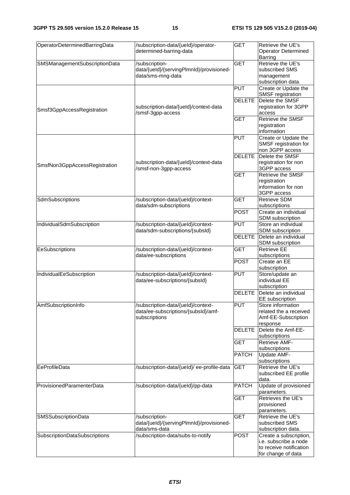| OperatorDeterminedBarringData | /subscription-data/{ueld}/operator-<br>determined-barring-data                             | <b>GET</b>    | Retrieve the UE's<br><b>Operator Determined</b><br>Barring                                       |
|-------------------------------|--------------------------------------------------------------------------------------------|---------------|--------------------------------------------------------------------------------------------------|
| SMSManagementSubscriptionData | /subscription-<br>data/{ueld}/{servingPlmnld}/provisioned-<br>data/sms-mng-data            | <b>GET</b>    | Retrieve the UE's<br>subscribed SMS<br>management<br>subscription data.                          |
|                               |                                                                                            | <b>PUT</b>    | Create or Update the<br>SMSF registration                                                        |
| Smsf3GppAccessRegistration    | subscription-data/{ueld}/context-data<br>/smsf-3gpp-access                                 | <b>DELETE</b> | Delete the SMSF<br>registration for 3GPP<br>access                                               |
|                               |                                                                                            | <b>GET</b>    | <b>Retrieve the SMSF</b><br>registration<br>information                                          |
|                               |                                                                                            | <b>PUT</b>    | Create or Update the<br>SMSF registration for<br>non 3GPP access                                 |
| SmsfNon3GppAccessRegistration | subscription-data/{ueld}/context-data<br>/smsf-non-3gpp-access                             | <b>DELETE</b> | Delete the SMSF<br>registration for non<br>3GPP access                                           |
|                               |                                                                                            | <b>GET</b>    | <b>Retrieve the SMSF</b><br>registration<br>information for non<br>3GPP access                   |
| SdmSubscriptions              | /subscription-data/{ueld}/context-<br>data/sdm-subscriptions                               | <b>GET</b>    | <b>Retrieve SDM</b><br>subscriptions                                                             |
|                               |                                                                                            | <b>POST</b>   | Create an individual<br>SDM subscription                                                         |
| IndividualSdmSubscription     | /subscription-data/{ueld}/context-<br>data/sdm-subscriptions/{subsId}                      | <b>PUT</b>    | Store an individual<br>SDM subscription                                                          |
|                               |                                                                                            | <b>DELETE</b> | Delete an individual<br>SDM subscription                                                         |
| EeSubscriptions               | /subscription-data/{ueld}/context-<br>data/ee-subscriptions                                | <b>GET</b>    | <b>Retrieve EE</b><br>subscriptions                                                              |
|                               |                                                                                            | <b>POST</b>   | Create an EE<br>subscription                                                                     |
| IndividualEeSubscription      | /subscription-data/{ueld}/context-<br>data/ee-subscriptions/{subsId}                       | <b>PUT</b>    | Store/update an<br>individual EE<br>subscription                                                 |
|                               |                                                                                            | <b>DELETE</b> | Delete an individual<br>EE subscription                                                          |
| AmfSubscriptionInfo           | /subscription-data/{ueld}/context-<br>data/ee-subscriptions/{subsld}/amf-<br>subscriptions | <b>PUT</b>    | Store information<br>related the a received<br>Amf-EE-Subscription<br>response                   |
|                               |                                                                                            | <b>DELETE</b> | Delete the Amf-EE-<br>subscriptions                                                              |
|                               |                                                                                            | <b>GET</b>    | Retrieve AMF-<br>subscriptions                                                                   |
|                               |                                                                                            | <b>PATCH</b>  | Update AMF-<br>subscriptions                                                                     |
| EeProfileData                 | /subscription-data/{ueld}/ee-profile-data                                                  | <b>GET</b>    | Retrieve the UE's<br>subscribed EE profile<br>data.                                              |
| ProvisionedParamenterData     | /subscription-data/{ueld}/pp-data                                                          | <b>PATCH</b>  | Update of provisioned<br>parameters.                                                             |
|                               |                                                                                            | <b>GET</b>    | Retrieves the UE's<br>provisioned<br>parameters.                                                 |
| SMSSubscriptionData           | /subscription-<br>data/{ueld}/{servingPlmnld}/provisioned-<br>data/sms-data                | <b>GET</b>    | Retrieve the UE's<br>subscribed SMS<br>subscription data.                                        |
| SubscriptionDataSubscriptions | /subscription-data/subs-to-notify                                                          | <b>POST</b>   | Create a subscription,<br>i.e. subscribe a node<br>to receive notification<br>for change of data |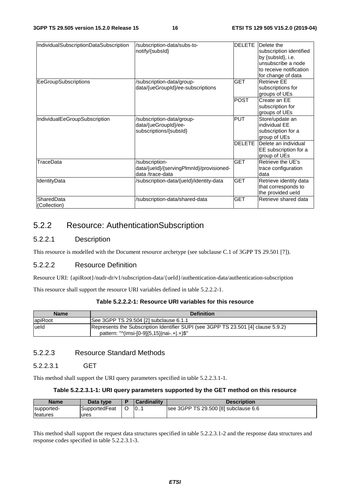| IndividualSubscriptionDataSubscription | /subscription-data/subs-to-<br>notify/{subsId}                                 | DELETE        | Delete the<br>subscription identified<br>by {subsld}, i.e.<br>unsubscribe a node<br>to receive notification<br>for change of data |
|----------------------------------------|--------------------------------------------------------------------------------|---------------|-----------------------------------------------------------------------------------------------------------------------------------|
| EeGroupSubscriptions                   | /subscription-data/group-<br>data/{ueGroupId}/ee-subscriptions                 | <b>GET</b>    | <b>Retrieve EE</b><br>subscriptions for<br>groups of UEs                                                                          |
|                                        |                                                                                | <b>POST</b>   | Create an EE<br>subscription for<br>groups of UEs                                                                                 |
| IndividualEeGroupSubscription          | /subscription-data/group-<br>data/{ueGroupId}/ee-<br>subscriptions/{subsId}    | <b>PUT</b>    | Store/update an<br>individual EE<br>subscription for a<br>group of UEs                                                            |
|                                        |                                                                                | <b>DELETE</b> | Delete an individual<br>EE subscription for a<br>group of UEs                                                                     |
| TraceData                              | /subscription-<br>data/{ueld}/{servingPlmnld}/provisioned-<br>data /trace-data | <b>GET</b>    | Retrieve the UE's<br>trace configuration<br>data                                                                                  |
| IdentityData                           | /subscription-data/{ueld}/identity-data                                        | <b>GET</b>    | Retrieve identity data<br>that corresponds to<br>the provided ueld                                                                |
| SharedData<br>(Collection)             | /subscription-data/shared-data                                                 | <b>GET</b>    | Retrieve shared data                                                                                                              |

## 5.2.2 Resource: AuthenticationSubscription

## 5.2.2.1 Description

This resource is modelled with the Document resource archetype (see subclause C.1 of 3GPP TS 29.501 [7]).

## 5.2.2.2 Resource Definition

Resource URI: {apiRoot}/nudr-dr/v1/subscription-data/{ueId}/authentication-data/authentication-subscription

This resource shall support the resource URI variables defined in table 5.2.2.2-1.

### **Table 5.2.2.2-1: Resource URI variables for this resource**

| <b>Name</b> | <b>Definition</b>                                                                                                               |
|-------------|---------------------------------------------------------------------------------------------------------------------------------|
| apiRoot     | See 3GPP TS 29.504 [2] subclause 6.1.1                                                                                          |
| lueld       | Represents the Subscription Identifier SUPI (see 3GPP TS 23.501 [4] clause 5.9.2)<br>pattern: "^(imsi-[0-9]{5,15} nai-.+ .+)\$" |

## 5.2.2.3 Resource Standard Methods

#### 5.2.2.3.1 GET

This method shall support the URI query parameters specified in table 5.2.2.3.1-1.

#### **Table 5.2.2.3.1-1: URI query parameters supported by the GET method on this resource**

| <b>Name</b>      | Data type     |         | <b>Cardinality</b> | <b>Description</b>                   |
|------------------|---------------|---------|--------------------|--------------------------------------|
| supported-       | SupportedFeat | $\circ$ | 10                 | see 3GPP TS 29.500 [8] subclause 6.6 |
| <b>Ifeatures</b> | ures          |         |                    |                                      |

This method shall support the request data structures specified in table 5.2.2.3.1-2 and the response data structures and response codes specified in table 5.2.2.3.1-3.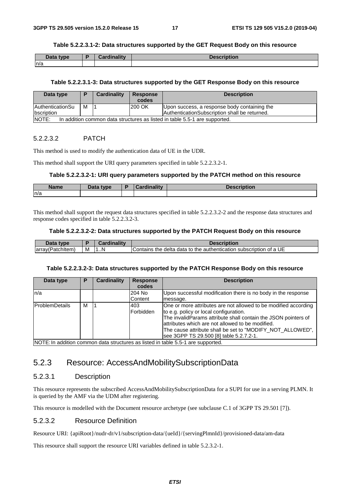#### **Table 5.2.2.3.1-2: Data structures supported by the GET Request Body on this resource**

| Data type | <b>Cardinality</b> | <u>Nacerintion</u><br>t liption. |
|-----------|--------------------|----------------------------------|
| n/a       |                    |                                  |

#### **Table 5.2.2.3.1-3: Data structures supported by the GET Response Body on this resource**

| Data type                                                                           | D | Cardinality | <b>Response</b> | <b>Description</b>                            |
|-------------------------------------------------------------------------------------|---|-------------|-----------------|-----------------------------------------------|
|                                                                                     |   |             | codes           |                                               |
| <b>AuthenticationSu</b>                                                             | м |             | 1200 OK         | Upon success, a response body containing the  |
| <b>Ibscription</b>                                                                  |   |             |                 | AuthenticationSubscription shall be returned. |
| NOTE:<br>In addition common data structures as listed in table 5.5-1 are supported. |   |             |                 |                                               |

#### 5.2.2.3.2 PATCH

This method is used to modify the authentication data of UE in the UDR.

This method shall support the URI query parameters specified in table 5.2.2.3.2-1.

#### **Table 5.2.2.3.2-1: URI query parameters supported by the PATCH method on this resource**

| <b>Name</b> | Data type<br>Dala | $\mathbf{L} = \mathbf{L} \mathbf{L}$<br>$\mathbf{r}$ | <b>Pescription</b> |
|-------------|-------------------|------------------------------------------------------|--------------------|
| ln/a        |                   |                                                      |                    |

This method shall support the request data structures specified in table 5.2.2.3.2-2 and the response data structures and response codes specified in table 5.2.2.3.2-3.

#### **Table 5.2.2.3.2-2: Data structures supported by the PATCH Request Body on this resource**

| Data type         |   | <b>Gardinality</b> ∪ | Description                                                        |
|-------------------|---|----------------------|--------------------------------------------------------------------|
| (array(Patchitem) | M | 1N                   | Contains the delta data to the authentication subscription of a UE |

#### **Table 5.2.2.3.2-3: Data structures supported by the PATCH Response Body on this resource**

| Data type                                                                        | Р | Cardinality | <b>Response</b>         | <b>Description</b>                                                                                                                                                                                                                                                                                                                      |
|----------------------------------------------------------------------------------|---|-------------|-------------------------|-----------------------------------------------------------------------------------------------------------------------------------------------------------------------------------------------------------------------------------------------------------------------------------------------------------------------------------------|
|                                                                                  |   |             | codes                   |                                                                                                                                                                                                                                                                                                                                         |
| ln/a                                                                             |   |             | 204 No<br>Content       | Upon successful modification there is no body in the response<br>message.                                                                                                                                                                                                                                                               |
| <b>IProblemDetails</b>                                                           | м |             | 403<br><b>Forbidden</b> | One or more attributes are not allowed to be modified according<br>to e.g. policy or local configuration.<br>The invalidParams attribute shall contain the JSON pointers of<br>attributes which are not allowed to be modified.<br>The cause attribute shall be set to "MODIFY_NOT_ALLOWED",<br>see 3GPP TS 29.500 [8] table 5.2.7.2-1. |
| NOTE: In addition common data structures as listed in table 5.5-1 are supported. |   |             |                         |                                                                                                                                                                                                                                                                                                                                         |

5.2.3 Resource: AccessAndMobilitySubscriptionData

### 5.2.3.1 Description

This resource represents the subscribed AccessAndMobilitySubscriptionData for a SUPI for use in a serving PLMN. It is queried by the AMF via the UDM after registering.

This resource is modelled with the Document resource archetype (see subclause C.1 of 3GPP TS 29.501 [7]).

#### 5.2.3.2 Resource Definition

Resource URI: {apiRoot}/nudr-dr/v1/subscription-data/{ueId}/{servingPlmnId}/provisioned-data/am-data

This resource shall support the resource URI variables defined in table 5.2.3.2-1.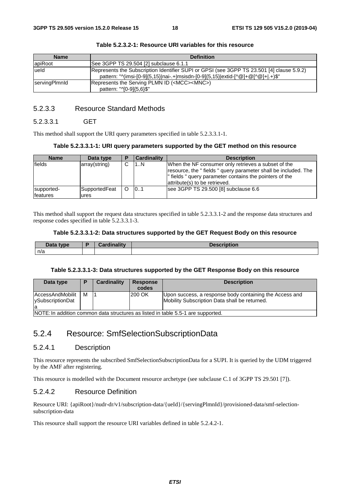| <b>Name</b>   | <b>Definition</b>                                                                         |
|---------------|-------------------------------------------------------------------------------------------|
| apiRoot       | See 3GPP TS 29.504 [2] subclause 6.1.1                                                    |
| lueld         | Represents the Subscription Identifier SUPI or GPSI (see 3GPP TS 23.501 [4] clause 5.9.2) |
|               | pattern: "^(imsi-[0-9]{5,15} nai-.+ msisdn-[0-9]{5,15} extid-[^@]+@[^@]+ .+)\$"           |
| servingPlmnId | Represents the Serving PLMN ID ( <mcc><mnc>)</mnc></mcc>                                  |
|               | pattern: "^[0-9]{5,6}\$"                                                                  |

**Table 5.2.3.2-1: Resource URI variables for this resource** 

## 5.2.3.3 Resource Standard Methods

#### 5.2.3.3.1 GET

This method shall support the URI query parameters specified in table 5.2.3.3.1-1.

#### **Table 5.2.3.3.1-1: URI query parameters supported by the GET method on this resource**

| <b>Name</b>                    | Data type             | Е | Cardinality | <b>Description</b>                                                                                                                                                                                               |
|--------------------------------|-----------------------|---|-------------|------------------------------------------------------------------------------------------------------------------------------------------------------------------------------------------------------------------|
| <b>fields</b>                  | array(string)         | ⌒ | 1N          | When the NF consumer only retrieves a subset of the<br>resource, the "fields" query parameter shall be included. The<br>" fields " query parameter contains the pointers of the<br>attribute(s) to be retrieved. |
| supported-<br><b>Ifeatures</b> | SupportedFeat<br>ures |   | 0.1         | see 3GPP TS 29.500 [8] subclause 6.6                                                                                                                                                                             |

This method shall support the request data structures specified in table 5.2.3.3.1-2 and the response data structures and response codes specified in table 5.2.3.3.1-3.

#### **Table 5.2.3.3.1-2: Data structures supported by the GET Request Body on this resource**

| Data tvne<br><b>Dald</b> | .<br>--<br>$-1 - 1 - 1$ | .<br><b>Jacer</b><br>uvır. |
|--------------------------|-------------------------|----------------------------|
| n/a                      |                         |                            |

#### **Table 5.2.3.3.1-3: Data structures supported by the GET Response Body on this resource**

| Data type                                         |   | Cardinality | <b>Response</b><br>codes | <b>Description</b>                                                                                       |
|---------------------------------------------------|---|-------------|--------------------------|----------------------------------------------------------------------------------------------------------|
| AccessAndMobilit<br><b>VSubscriptionDat</b><br>la | м |             | 200 OK                   | Upon success, a response body containing the Access and<br>Mobility Subscription Data shall be returned. |

NOTE: In addition common data structures as listed in table 5.5-1 are supported.

## 5.2.4 Resource: SmfSelectionSubscriptionData

### 5.2.4.1 Description

This resource represents the subscribed SmfSelectionSubscriptionData for a SUPI. It is queried by the UDM triggered by the AMF after registering.

This resource is modelled with the Document resource archetype (see subclause C.1 of 3GPP TS 29.501 [7]).

### 5.2.4.2 Resource Definition

Resource URI: {apiRoot}/nudr-dr/v1/subscription-data/{ueId}/{servingPlmnId}/provisioned-data/smf-selectionsubscription-data

This resource shall support the resource URI variables defined in table 5.2.4.2-1.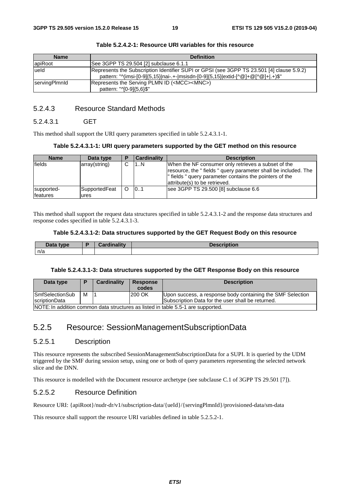| <b>Name</b>          | <b>Definition</b>                                                                                                                                                                                                |
|----------------------|------------------------------------------------------------------------------------------------------------------------------------------------------------------------------------------------------------------|
| apiRoot              | ISee 3GPP TS 29.504 [2] subclause 6.1.1                                                                                                                                                                          |
| ueld                 | Represents the Subscription Identifier SUPI or GPSI (see 3GPP TS 23.501 [4] clause 5.9.2)<br>pattern: " $\gamma$ (imsi-[0-9]{5,15} nai-.+- msisdn-[0-9]{5,15} extid-[ $\alpha$ []+ $\alpha$ [ $\alpha$ ]+ .+)\$" |
| <b>ServingPlmnld</b> | Represents the Serving PLMN ID ( <mcc><mnc>)<br/>pattern: "^[0-9]{5,6}\$"</mnc></mcc>                                                                                                                            |

**Table 5.2.4.2-1: Resource URI variables for this resource** 

## 5.2.4.3 Resource Standard Methods

#### 5.2.4.3.1 GET

This method shall support the URI query parameters specified in table 5.2.4.3.1-1.

#### **Table 5.2.4.3.1-1: URI query parameters supported by the GET method on this resource**

| <b>Name</b>                    | Data type             | Е | <b>Cardinality</b> | <b>Description</b>                                                                                                                                                                                                |
|--------------------------------|-----------------------|---|--------------------|-------------------------------------------------------------------------------------------------------------------------------------------------------------------------------------------------------------------|
| <b>fields</b>                  | array(string)         | ⌒ | 1N                 | When the NF consumer only retrieves a subset of the<br>resource, the "fields " query parameter shall be included. The<br>" fields " query parameter contains the pointers of the<br>attribute(s) to be retrieved. |
| supported-<br><b>Ifeatures</b> | SupportedFeat<br>ures |   | 0.1                | see 3GPP TS 29.500 [8] subclause 6.6                                                                                                                                                                              |

This method shall support the request data structures specified in table 5.2.4.3.1-2 and the response data structures and response codes specified in table 5.2.4.3.1-3.

#### **Table 5.2.4.3.1-2: Data structures supported by the GET Request Body on this resource**

| Data type | متمثل والمتراطف<br>nalitv<br>$\sim$<br>. | <b>Description</b> |
|-----------|------------------------------------------|--------------------|
| n/a       |                                          |                    |

#### **Table 5.2.4.3.1-3: Data structures supported by the GET Response Body on this resource**

| Data type                                                                        |   | Cardinality | <b>Response</b><br>codes | <b>Description</b>                                         |
|----------------------------------------------------------------------------------|---|-------------|--------------------------|------------------------------------------------------------|
| <b>SmfSelectionSub</b>                                                           | м |             | 200 OK                   | Upon success, a response body containing the SMF Selection |
| <b>IscriptionData</b>                                                            |   |             |                          | Subscription Data for the user shall be returned.          |
| NOTE: In addition common data structures as listed in table 5.5-1 are supported. |   |             |                          |                                                            |

## 5.2.5 Resource: SessionManagementSubscriptionData

## 5.2.5.1 Description

This resource represents the subscribed SessionManagementSubscriptionData for a SUPI. It is queried by the UDM triggered by the SMF during session setup, using one or both of query parameters representing the selected network slice and the DNN.

This resource is modelled with the Document resource archetype (see subclause C.1 of 3GPP TS 29.501 [7]).

## 5.2.5.2 Resource Definition

Resource URI: {apiRoot}/nudr-dr/v1/subscription-data/{ueId}/{servingPlmnId}/provisioned-data/sm-data

This resource shall support the resource URI variables defined in table 5.2.5.2-1.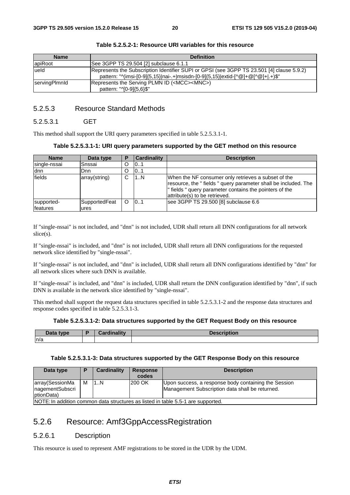| <b>Name</b>   | <b>Definition</b>                                                                         |
|---------------|-------------------------------------------------------------------------------------------|
| apiRoot       | ISee 3GPP TS 29.504 [2] subclause 6.1.1                                                   |
| ueld          | Represents the Subscription Identifier SUPI or GPSI (see 3GPP TS 23.501 [4] clause 5.9.2) |
|               | pattern: "^(imsi-[0-9]{5,15} nai-.+ msisdn-[0-9]{5,15} extid-[^@]+@[^@]+ .+)\$"           |
| servingPlmnld | Represents the Serving PLMN ID ( <mcc><mnc>)</mnc></mcc>                                  |
|               | pattern: "^[0-9]{5,6}\$"                                                                  |

**Table 5.2.5.2-1: Resource URI variables for this resource** 

## 5.2.5.3 Resource Standard Methods

#### 5.2.5.3.1 GET

This method shall support the URI query parameters specified in table 5.2.5.3.1-1.

#### **Table 5.2.5.3.1-1: URI query parameters supported by the GET method on this resource**

| <b>Name</b>  | Data type     | P  | Cardinality | <b>Description</b>                                                                                                                                                                                                  |
|--------------|---------------|----|-------------|---------------------------------------------------------------------------------------------------------------------------------------------------------------------------------------------------------------------|
| single-nssai | Snssai        | O  | 0.1         |                                                                                                                                                                                                                     |
| ldnn         | lDnn          | O  | 0.1         |                                                                                                                                                                                                                     |
| fields       | array(string) | C. | 1N          | When the NF consumer only retrieves a subset of the<br>resource, the " fields " query parameter shall be included. The<br>l" fields " query parameter contains the pointers of the<br>attribute(s) to be retrieved. |
| supported-   | SupportedFeat | O  | 101         | see 3GPP TS 29.500 [8] subclause 6.6                                                                                                                                                                                |
| features     | ures          |    |             |                                                                                                                                                                                                                     |

If "single-nssai" is not included, and "dnn" is not included, UDR shall return all DNN configurations for all network slice(s).

If "single-nssai" is included, and "dnn" is not included, UDR shall return all DNN configurations for the requested network slice identified by "single-nssai".

If "single-nssai" is not included, and "dnn" is included, UDR shall return all DNN configurations identified by "dnn" for all network slices where such DNN is available.

If "single-nssai" is included, and "dnn" is included, UDR shall return the DNN configuration identified by "dnn", if such DNN is available in the network slice identified by "single-nssai".

This method shall support the request data structures specified in table 5.2.5.3.1-2 and the response data structures and response codes specified in table 5.2.5.3.1-3.

#### **Table 5.2.5.3.1-2: Data structures supported by the GET Request Body on this resource**

| Data type | ъ | Cardinalitv | <b>Description</b> |
|-----------|---|-------------|--------------------|
| n/a       |   |             |                    |

#### **Table 5.2.5.3.1-3: Data structures supported by the GET Response Body on this resource**

| Data type                                         | Ð | Cardinality | <b>Response</b><br>codes | <b>Description</b>                                                                                      |
|---------------------------------------------------|---|-------------|--------------------------|---------------------------------------------------------------------------------------------------------|
| array(SessionMa<br>nagementSubscri<br>lptionData) | м | 1N          | 200 OK                   | Upon success, a response body containing the Session<br>Management Subscription data shall be returned. |
|                                                   |   |             |                          | INOTE: In addition common data structures as listed in table 5.5-1 are supported                        |

NOTE: In addition common data structures as listed in table 5.5-1 are supported.

## 5.2.6 Resource: Amf3GppAccessRegistration

## 5.2.6.1 Description

This resource is used to represent AMF registrations to be stored in the UDR by the UDM.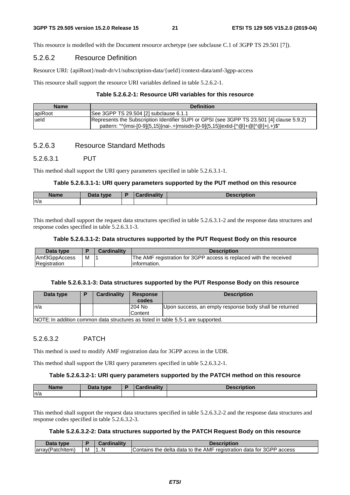This resource is modelled with the Document resource archetype (see subclause C.1 of 3GPP TS 29.501 [7]).

#### 5.2.6.2 Resource Definition

Resource URI: {apiRoot}/nudr-dr/v1/subscription-data/{ueId}/context-data/amf-3gpp-access

This resource shall support the resource URI variables defined in table 5.2.6.2-1.

#### **Table 5.2.6.2-1: Resource URI variables for this resource**

| <b>Name</b> | <b>Definition</b>                                                                         |
|-------------|-------------------------------------------------------------------------------------------|
| apiRoot     | See 3GPP TS 29.504 [2] subclause 6.1.1                                                    |
| ueld        | Represents the Subscription Identifier SUPI or GPSI (see 3GPP TS 23.501 [4] clause 5.9.2) |
|             | pattern: "^(imsi-[0-9]{5,15} nai-.+ msisdn-[0-9]{5,15} extid-[^@]+@[^@]+ .+)\$"           |

### 5.2.6.3 Resource Standard Methods

#### 5.2.6.3.1 PUT

This method shall support the URI query parameters specified in table 5.2.6.3.1-1.

#### **Table 5.2.6.3.1-1: URI query parameters supported by the PUT method on this resource**

| <b>Name</b> | Data type<br>Dala | R | ببهزا ومعرزا | <b>Description</b> |
|-------------|-------------------|---|--------------|--------------------|
| ln/a        |                   |   |              |                    |

This method shall support the request data structures specified in table 5.2.6.3.1-2 and the response data structures and response codes specified in table 5.2.6.3.1-3.

#### **Table 5.2.6.3.1-2: Data structures supported by the PUT Request Body on this resource**

| Data type     |   | Cardinalitv | <b>Description</b>                                                 |
|---------------|---|-------------|--------------------------------------------------------------------|
| Amf3GppAccess | M |             | The AMF registration for 3GPP access is replaced with the received |
| Registration  |   |             | linformation.                                                      |

#### **Table 5.2.6.3.1-3: Data structures supported by the PUT Response Body on this resource**

| Data type | Cardinality | <b>Response</b><br>codes | <b>Description</b>                                                                                    |
|-----------|-------------|--------------------------|-------------------------------------------------------------------------------------------------------|
| In/a      |             | 204 No                   | Upon success, an empty response body shall be returned                                                |
|           |             | Content                  |                                                                                                       |
|           |             |                          | $\overline{\mathsf{INOTE}}$ In addition common data structures as listed in table 5.5-1 are supported |

NOTE: In addition common data structures as listed in table 5.5-1 are supported.

## 5.2.6.3.2 PATCH

This method is used to modify AMF registration data for 3GPP access in the UDR.

This method shall support the URI query parameters specified in table 5.2.6.3.2-1.

#### **Table 5.2.6.3.2-1: URI query parameters supported by the PATCH method on this resource**

| <b>Name</b> | Data type | <b>Cardinality</b> | <b>Description</b> |
|-------------|-----------|--------------------|--------------------|
| ln/a        |           |                    |                    |

This method shall support the request data structures specified in table 5.2.6.3.2-2 and the response data structures and response codes specified in table 5.2.6.3.2-3.

#### **Table 5.2.6.3.2-2: Data structures supported by the PATCH Request Body on this resource**

| Data type        |   | <b>Cardinality</b> | <b>Description</b>                                                   |
|------------------|---|--------------------|----------------------------------------------------------------------|
| array(Patchitem) | M | N                  | Contains the delta data to the AMF registration data for 3GPP access |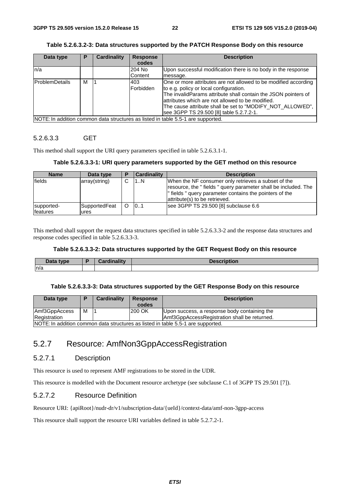#### **Table 5.2.6.3.2-3: Data structures supported by the PATCH Response Body on this resource**

| Data type              | Р | <b>Cardinality</b> | <b>Response</b><br>codes | <b>Description</b>                                                                                                                                                                                                                                                                                                                      |
|------------------------|---|--------------------|--------------------------|-----------------------------------------------------------------------------------------------------------------------------------------------------------------------------------------------------------------------------------------------------------------------------------------------------------------------------------------|
| n/a                    |   |                    | 204 No<br>Content        | Upon successful modification there is no body in the response<br>message.                                                                                                                                                                                                                                                               |
| <b>IProblemDetails</b> | м |                    | 403<br>Forbidden         | One or more attributes are not allowed to be modified according<br>to e.g. policy or local configuration.<br>The invalidParams attribute shall contain the JSON pointers of<br>attributes which are not allowed to be modified.<br>The cause attribute shall be set to "MODIFY NOT ALLOWED",<br>see 3GPP TS 29.500 [8] table 5.2.7.2-1. |
|                        |   |                    |                          | NOTE: In addition common data structures as listed in table 5.5-1 are supported.                                                                                                                                                                                                                                                        |

#### 5.2.6.3.3 GET

This method shall support the URI query parameters specified in table 5.2.6.3.1-1.

#### **Table 5.2.6.3.3-1: URI query parameters supported by the GET method on this resource**

| <b>Name</b>                    | Data type             | і в | Cardinality | <b>Description</b>                                                                                                                                                                                                 |
|--------------------------------|-----------------------|-----|-------------|--------------------------------------------------------------------------------------------------------------------------------------------------------------------------------------------------------------------|
| <b>fields</b>                  | array(string)         | С   | 1N          | When the NF consumer only retrieves a subset of the<br>resource, the " fields " query parameter shall be included. The<br>" fields " query parameter contains the pointers of the<br>attribute(s) to be retrieved. |
| supported-<br><b>Ifeatures</b> | SupportedFeat<br>ures |     | 0.1         | see 3GPP TS 29.500 [8] subclause 6.6                                                                                                                                                                               |

This method shall support the request data structures specified in table 5.2.6.3.3-2 and the response data structures and response codes specified in table 5.2.6.3.3-3.

## **Table 5.2.6.3.3-2: Data structures supported by the GET Request Body on this resource**

| Data type | Osaalim alituu | <b>Descr</b><br>----<br>riouon |
|-----------|----------------|--------------------------------|
| n/a       |                |                                |

#### **Table 5.2.6.3.3-3: Data structures supported by the GET Response Body on this resource**

| Data type                                                                        | Ð | Cardinality | <b>Response</b><br>codes | <b>Description</b>                           |  |
|----------------------------------------------------------------------------------|---|-------------|--------------------------|----------------------------------------------|--|
| Amf3GppAccess                                                                    | м |             | 200 OK                   | Upon success, a response body containing the |  |
| Registration                                                                     |   |             |                          | Amf3GppAccessRegistration shall be returned. |  |
| NOTE: In addition common data structures as listed in table 5.5-1 are supported. |   |             |                          |                                              |  |

## 5.2.7 Resource: AmfNon3GppAccessRegistration

## 5.2.7.1 Description

This resource is used to represent AMF registrations to be stored in the UDR.

This resource is modelled with the Document resource archetype (see subclause C.1 of 3GPP TS 29.501 [7]).

## 5.2.7.2 Resource Definition

Resource URI: {apiRoot}/nudr-dr/v1/subscription-data/{ueId}/context-data/amf-non-3gpp-access

This resource shall support the resource URI variables defined in table 5.2.7.2-1.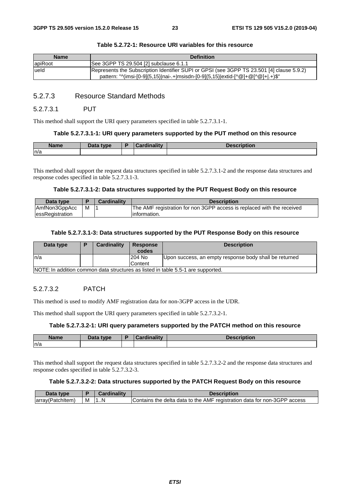| <b>Name</b> | <b>Definition</b>                                                                                                                                                            |
|-------------|------------------------------------------------------------------------------------------------------------------------------------------------------------------------------|
| apiRoot     | See 3GPP TS 29.504 [2] subclause 6.1.1                                                                                                                                       |
| lueld       | Represents the Subscription Identifier SUPI or GPSI (see 3GPP TS 23.501 [4] clause 5.9.2)<br>pattern: "^(imsi-[0-9]{5,15} nai-.+ msisdn-[0-9]{5,15} extid-[^@]+@[^@]+ .+)\$" |

#### **Table 5.2.72-1: Resource URI variables for this resource**

## 5.2.7.3 Resource Standard Methods

#### 5.2.7.3.1 PUT

This method shall support the URI query parameters specified in table 5.2.7.3.1-1.

#### **Table 5.2.7.3.1-1: URI query parameters supported by the PUT method on this resource**

| <b>Name</b> | That a<br>tvpe | <b>Cordinality</b><br>$\sim$ | <b>Annovintion</b><br>MIDUON. |
|-------------|----------------|------------------------------|-------------------------------|
| n/a         |                |                              |                               |

This method shall support the request data structures specified in table 5.2.7.3.1-2 and the response data structures and response codes specified in table 5.2.7.3.1-3.

#### **Table 5.2.7.3.1-2: Data structures supported by the PUT Request Body on this resource**

| Data type              |   | <b>Cardinality</b> | <b>Description</b>                                                     |
|------------------------|---|--------------------|------------------------------------------------------------------------|
| AmfNon3GppAcc          | M |                    | The AMF registration for non 3GPP access is replaced with the received |
| <b>essRegistration</b> |   |                    | linformation.                                                          |

#### **Table 5.2.7.3.1-3: Data structures supported by the PUT Response Body on this resource**

| Data type                                                                         |  | Cardinality | <b>Response</b><br>codes | <b>Description</b>                                     |  |
|-----------------------------------------------------------------------------------|--|-------------|--------------------------|--------------------------------------------------------|--|
| In/a                                                                              |  |             | 204 No                   | Upon success, an empty response body shall be returned |  |
|                                                                                   |  |             | Content                  |                                                        |  |
| INOTE: In addition common data structures as listed in table 5.5-1 are supported. |  |             |                          |                                                        |  |

NOTE: In addition common data structures as listed in table 5.5-1 are supported.

## 5.2.7.3.2 PATCH

This method is used to modify AMF registration data for non-3GPP access in the UDR.

This method shall support the URI query parameters specified in table 5.2.7.3.2-1.

#### **Table 5.2.7.3.2-1: URI query parameters supported by the PATCH method on this resource**

| <b>Name</b> | Data type | ╺ | $\lim$ ality<br><b>STATISTICS</b><br>`ord<br>adiity | <b>Description</b> |
|-------------|-----------|---|-----------------------------------------------------|--------------------|
| n/a         |           |   |                                                     |                    |

This method shall support the request data structures specified in table 5.2.7.3.2-2 and the response data structures and response codes specified in table 5.2.7.3.2-3.

#### **Table 5.2.7.3.2-2: Data structures supported by the PATCH Request Body on this resource**

| Data type        |   |              | Description                                                              |
|------------------|---|--------------|--------------------------------------------------------------------------|
| array(PatchItem) | M | - 11.ak<br>N | Contains the delta data to the AMF registration data for non-3GPP access |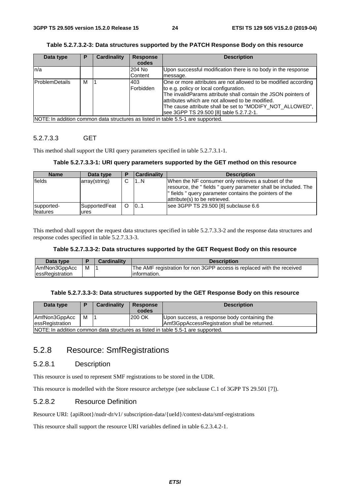| Table 5.2.7.3.2-3: Data structures supported by the PATCH Response Body on this resource |  |
|------------------------------------------------------------------------------------------|--|
|                                                                                          |  |

| Data type              | Р | Cardinality | <b>Response</b><br>codes | <b>Description</b>                                                                                                                                                                                                                                                                                                                       |
|------------------------|---|-------------|--------------------------|------------------------------------------------------------------------------------------------------------------------------------------------------------------------------------------------------------------------------------------------------------------------------------------------------------------------------------------|
| ln/a                   |   |             | 204 No<br>Content        | Upon successful modification there is no body in the response                                                                                                                                                                                                                                                                            |
|                        |   |             |                          | message.                                                                                                                                                                                                                                                                                                                                 |
| <b>IProblemDetails</b> | м |             | 403<br><b>IForbidden</b> | One or more attributes are not allowed to be modified according<br>to e.g. policy or local configuration.<br>The invalidParams attribute shall contain the JSON pointers of<br>lattributes which are not allowed to be modified.<br>The cause attribute shall be set to "MODIFY NOT ALLOWED",<br>see 3GPP TS 29.500 [8] table 5.2.7.2-1. |
|                        |   |             |                          | NOTE: In addition common data structures as listed in table 5.5-1 are supported.                                                                                                                                                                                                                                                         |

### 5.2.7.3.3 GET

This method shall support the URI query parameters specified in table 5.2.7.3.1-1.

#### **Table 5.2.7.3.3-1: URI query parameters supported by the GET method on this resource**

| <b>Name</b>                   | Data type              |        | <b>Cardinality</b> | <b>Description</b>                                                                                                                                                                                                 |
|-------------------------------|------------------------|--------|--------------------|--------------------------------------------------------------------------------------------------------------------------------------------------------------------------------------------------------------------|
| <b>fields</b>                 | array(string)          | $\sim$ | 1N                 | When the NF consumer only retrieves a subset of the<br>resource, the "fields " query parameter shall be included. The<br>l" fields " query parameter contains the pointers of the<br>attribute(s) to be retrieved. |
| supported-<br><b>features</b> | SupportedFeat<br>lures | O      | 101                | see 3GPP TS 29.500 [8] subclause 6.6                                                                                                                                                                               |

This method shall support the request data structures specified in table 5.2.7.3.3-2 and the response data structures and response codes specified in table 5.2.7.3.3-3.

## **Table 5.2.7.3.3-2: Data structures supported by the GET Request Body on this resource**

| Data type        |   | <b>Cardinality</b> | <b>Description</b>                                                     |
|------------------|---|--------------------|------------------------------------------------------------------------|
| AmfNon3GppAcc    | м |                    | The AMF registration for non 3GPP access is replaced with the received |
| lessRegistration |   |                    | linformation.                                                          |

#### **Table 5.2.7.3.3-3: Data structures supported by the GET Response Body on this resource**

| Data type                                                                        |                                              | Cardinality | <b>Response</b><br>codes | <b>Description</b>                           |  |
|----------------------------------------------------------------------------------|----------------------------------------------|-------------|--------------------------|----------------------------------------------|--|
| AmfNon3GppAcc                                                                    | м                                            |             | 200 OK                   | Upon success, a response body containing the |  |
| lessRegistration                                                                 | Amf3GppAccessRegistration shall be returned. |             |                          |                                              |  |
| NOTE: In addition common data structures as listed in table 5.5-1 are supported. |                                              |             |                          |                                              |  |

## 5.2.8 Resource: SmfRegistrations

## 5.2.8.1 Description

This resource is used to represent SMF registrations to be stored in the UDR.

This resource is modelled with the Store resource archetype (see subclause C.1 of 3GPP TS 29.501 [7]).

## 5.2.8.2 Resource Definition

Resource URI: {apiRoot}/nudr-dr/v1/ subscription-data/{ueId}/context-data/smf-registrations

This resource shall support the resource URI variables defined in table 6.2.3.4.2-1.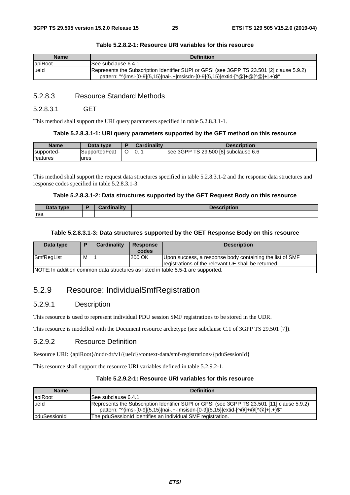| <b>Name</b> | <b>Definition</b>                                                                                                                                                            |
|-------------|------------------------------------------------------------------------------------------------------------------------------------------------------------------------------|
| apiRoot     | ISee subclause 6.4.1                                                                                                                                                         |
| lueld       | Represents the Subscription Identifier SUPI or GPSI (see 3GPP TS 23.501 [2] clause 5.9.2)<br>pattern: "^(imsi-[0-9]{5,15} nai-.+ msisdn-[0-9]{5,15} extid-[^@]+@[^@]+ .+)\$" |

#### **Table 5.2.8.2-1: Resource URI variables for this resource**

## 5.2.8.3 Resource Standard Methods

#### 5.2.8.3.1 GET

This method shall support the URI query parameters specified in table 5.2.8.3.1-1.

#### **Table 5.2.8.3.1-1: URI query parameters supported by the GET method on this resource**

| Name       | Data type            | <b>Cardinality</b> | Description                          |
|------------|----------------------|--------------------|--------------------------------------|
| supported- | <b>SupportedFeat</b> | 10                 | see 3GPP TS 29.500 [8] subclause 6.6 |
| features   | ures                 |                    |                                      |

This method shall support the request data structures specified in table 5.2.8.3.1-2 and the response data structures and response codes specified in table 5.2.8.3.1-3.

#### **Table 5.2.8.3.1-2: Data structures supported by the GET Request Body on this resource**

| <b>Pata type</b><br><b>Dala</b> | <b>Cordinality</b> | <b>The community</b><br>.<br>uvu |
|---------------------------------|--------------------|----------------------------------|
| n/a                             |                    |                                  |

#### **Table 5.2.8.3.1-3: Data structures supported by the GET Response Body on this resource**

| Data type                                                                         |   | Cardinality | <b>Response</b><br>codes | <b>Description</b>                                       |  |  |
|-----------------------------------------------------------------------------------|---|-------------|--------------------------|----------------------------------------------------------|--|--|
| SmfRegList                                                                        | м |             | 200 OK                   | Upon success, a response body containing the list of SMF |  |  |
|                                                                                   |   |             |                          | registrations of the relevant UE shall be returned.      |  |  |
| INOTE: In addition common data structures as listed in table 5.5-1 are supported. |   |             |                          |                                                          |  |  |

NOTE: In addition common data structures as listed in table 5.5-1 are supported.

## 5.2.9 Resource: IndividualSmfRegistration

#### 5.2.9.1 Description

This resource is used to represent individual PDU session SMF registrations to be stored in the UDR.

This resource is modelled with the Document resource archetype (see subclause C.1 of 3GPP TS 29.501 [7]).

#### 5.2.9.2 Resource Definition

Resource URI: {apiRoot}/nudr-dr/v1/{ueId}/context-data/smf-registrations/{pduSessionId}

This resource shall support the resource URI variables defined in table 5.2.9.2-1.

#### **Table 5.2.9.2-1: Resource URI variables for this resource**

| <b>Name</b>  | <b>Definition</b>                                                                                                                                                              |
|--------------|--------------------------------------------------------------------------------------------------------------------------------------------------------------------------------|
| apiRoot      | ISee subclause 6.4.1                                                                                                                                                           |
| lueld        | Represents the Subscription Identifier SUPI or GPSI (see 3GPP TS 23.501 [11] clause 5.9.2)<br>pattern: "^(imsi-[0-9]{5,15} nai-.+- msisdn-[0-9]{5,15} extid-[^@]+@[^@]+ .+)\$" |
| pduSessionId | The pduSessionId identifies an individual SMF registration.                                                                                                                    |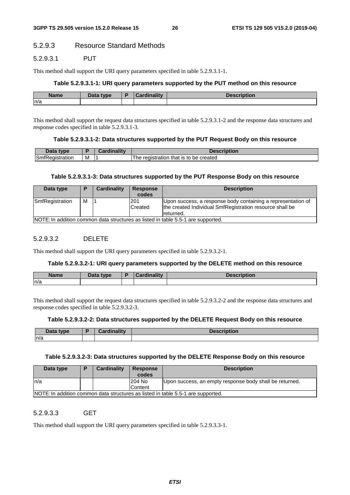## 5.2.9.3 Resource Standard Methods

#### 5.2.9.3.1 PUT

This method shall support the URI query parameters specified in table 5.2.9.3.1-1.

#### **Table 5.2.9.3.1-1: URI query parameters supported by the PUT method on this resource**

| <b>Name</b> | Data type<br><b>Dala</b> H | avalima litu | 'Otion. |
|-------------|----------------------------|--------------|---------|
| ln/a        |                            |              |         |

This method shall support the request data structures specified in table 5.2.9.3.1-2 and the response data structures and response codes specified in table 5.2.9.3.1-3.

#### **Table 5.2.9.3.1-2: Data structures supported by the PUT Request Body on this resource**

| Data<br>tvne                                                |   | $: -1111$<br><b>THE R</b> | <b>Description</b>                            |
|-------------------------------------------------------------|---|---------------------------|-----------------------------------------------|
| $\overline{\phantom{a}}$<br>Smfl<br>.<br>eaistration<br>RP' | M |                           | that is to be created<br>registration<br>l he |

#### **Table 5.2.9.3.1-3: Data structures supported by the PUT Response Body on this resource**

| Data type       |                                                                                  | Cardinality | <b>Response</b><br>codes | <b>Description</b>                                                                                                                    |  |  |
|-----------------|----------------------------------------------------------------------------------|-------------|--------------------------|---------------------------------------------------------------------------------------------------------------------------------------|--|--|
| SmfRegistration | м                                                                                |             | 201<br>Created           | Upon success, a response body containing a representation of<br>the created Individual SmfRegistration resource shall be<br>returned. |  |  |
|                 | NOTE: In addition common data structures as listed in table 5.5-1 are supported. |             |                          |                                                                                                                                       |  |  |

#### 5.2.9.3.2 DELETE

This method shall support the URI query parameters specified in table 5.2.9.3.2-1.

#### **Table 5.2.9.3.2-1: URI query parameters supported by the DELETE method on this resource**

| <b>Name</b> | Data type | Cardinalitv | <b>Description</b> |
|-------------|-----------|-------------|--------------------|
| ln/a        |           |             |                    |

This method shall support the request data structures specified in table 5.2.9.3.2-2 and the response data structures and response codes specified in table 5.2.9.3.2-3.

#### **Table 5.2.9.3.2-2: Data structures supported by the DELETE Request Body on this resource**

|     | Data type | <b>Cardinality</b> | <b>Description</b> |
|-----|-----------|--------------------|--------------------|
| n/a |           |                    |                    |

#### **Table 5.2.9.3.2-3: Data structures supported by the DELETE Response Body on this resource**

| Data type | Ð                                                                                | Cardinality | <b>Response</b><br>codes | <b>Description</b>                                      |  |  |  |
|-----------|----------------------------------------------------------------------------------|-------------|--------------------------|---------------------------------------------------------|--|--|--|
| In/a      |                                                                                  |             | 1204 No                  | Upon success, an empty response body shall be returned. |  |  |  |
|           |                                                                                  |             | Content                  |                                                         |  |  |  |
|           | NOTE: In addition common data structures as listed in table 5.5-1 are supported. |             |                          |                                                         |  |  |  |

5.2.9.3.3 GET

This method shall support the URI query parameters specified in table 5.2.9.3.3-1.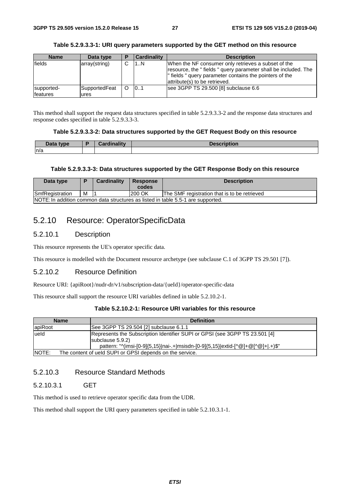#### **Table 5.2.9.3.3-1: URI query parameters supported by the GET method on this resource**

| <b>Name</b>            | Data type             | <b>Cardinality</b> | <b>Description</b>                                                                                                                                                                                                |
|------------------------|-----------------------|--------------------|-------------------------------------------------------------------------------------------------------------------------------------------------------------------------------------------------------------------|
| lfields                | array(string)         | 1N                 | When the NF consumer only retrieves a subset of the<br>resource, the "fields " query parameter shall be included. The<br>" fields " query parameter contains the pointers of the<br>attribute(s) to be retrieved. |
| supported-<br>features | SupportedFeat<br>ures | 10.1               | see 3GPP TS 29.500 [8] subclause 6.6                                                                                                                                                                              |

This method shall support the request data structures specified in table 5.2.9.3.3-2 and the response data structures and response codes specified in table 5.2.9.3.3-3.

#### **Table 5.2.9.3.3-2: Data structures supported by the GET Request Body on this resource**

| Data type | E | Cardinality | <b>Description</b> |
|-----------|---|-------------|--------------------|
| n/a       |   |             |                    |

#### **Table 5.2.9.3.3-3: Data structures supported by the GET Response Body on this resource**

| Data type                                                                             |  | <b>Cardinality</b> | <b>Response</b><br>codes | <b>Description</b> |  |
|---------------------------------------------------------------------------------------|--|--------------------|--------------------------|--------------------|--|
| M<br><b>SmfRegistration</b><br>200 OK<br>The SMF registration that is to be retrieved |  |                    |                          |                    |  |
| NOTE: In addition common data structures as listed in table 5.5-1 are supported.      |  |                    |                          |                    |  |

## 5.2.10 Resource: OperatorSpecificData

#### 5.2.10.1 Description

This resource represents the UE's operator specific data.

This resource is modelled with the Document resource archetype (see subclause C.1 of 3GPP TS 29.501 [7]).

## 5.2.10.2 Resource Definition

Resource URI: {apiRoot}/nudr-dr/v1/subscription-data/{ueId}/operator-specific-data

This resource shall support the resource URI variables defined in table 5.2.10.2-1.

#### **Table 5.2.10.2-1: Resource URI variables for this resource**

| <b>Name</b>  | <b>Definition</b>                                                                                                                                                                   |  |  |  |  |
|--------------|-------------------------------------------------------------------------------------------------------------------------------------------------------------------------------------|--|--|--|--|
| lapiRoot     | See 3GPP TS 29.504 [2] subclause 6.1.1                                                                                                                                              |  |  |  |  |
| ueld         | [Represents the Subscription Identifier SUPI or GPSI (see 3GPP TS 23.501 [4]<br>subclause 5.9.2)<br>pattern: "^(imsi-[0-9]{5,15} nai-.+ msisdn-[0-9]{5,15} extid-[^@]+@[^@]+ .+)\$" |  |  |  |  |
| <b>NOTE:</b> | The content of ueld SUPI or GPSI depends on the service.                                                                                                                            |  |  |  |  |

## 5.2.10.3 Resource Standard Methods

### 5.2.10.3.1 GET

This method is used to retrieve operator specific data from the UDR.

This method shall support the URI query parameters specified in table 5.2.10.3.1-1.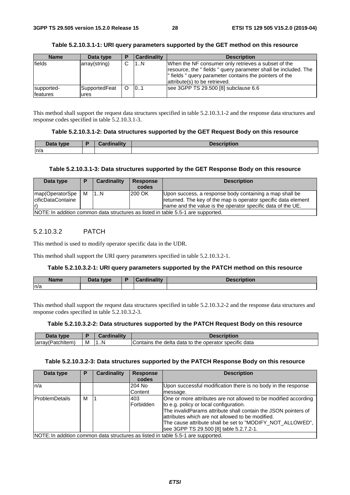#### **Table 5.2.10.3.1-1: URI query parameters supported by the GET method on this resource**

| <b>Name</b>            | Data type             | і в | <b>Cardinality</b> | <b>Description</b>                                                                                                                                                                                               |
|------------------------|-----------------------|-----|--------------------|------------------------------------------------------------------------------------------------------------------------------------------------------------------------------------------------------------------|
| fields                 | array(string)         | ⌒   | 1N                 | When the NF consumer only retrieves a subset of the<br>resource, the "fields" query parameter shall be included. The<br>" fields " query parameter contains the pointers of the<br>attribute(s) to be retrieved. |
| supported-<br>features | SupportedFeat<br>ures |     | 0.1                | see 3GPP TS 29.500 [8] subclause 6.6                                                                                                                                                                             |

This method shall support the request data structures specified in table 5.2.10.3.1-2 and the response data structures and response codes specified in table 5.2.10.3.1-3.

#### **Table 5.2.10.3.1-2: Data structures supported by the GET Request Body on this resource**

| Data type<br><i><u>Data</u></i> | ۰. | والمتفاتل والمستقلون | <b>Description</b> |
|---------------------------------|----|----------------------|--------------------|
| n/a                             |    |                      |                    |

#### **Table 5.2.10.3.1-3: Data structures supported by the GET Response Body on this resource**

| Data type                                                                        |   | Cardinality | <b>Response</b><br>codes | <b>Description</b>                                                                                                                                                                        |
|----------------------------------------------------------------------------------|---|-------------|--------------------------|-------------------------------------------------------------------------------------------------------------------------------------------------------------------------------------------|
| map(OperatorSpe<br>cificDataContaine                                             | M | 1N          | 200 OK                   | Upon success, a response body containing a map shall be<br>returned. The key of the map is operator specific data element<br>Iname and the value is the operator specific data of the UE. |
| NOTE: In addition common data structures as listed in table 5.5-1 are supported. |   |             |                          |                                                                                                                                                                                           |

#### 5.2.10.3.2 PATCH

This method is used to modify operator specific data in the UDR.

This method shall support the URI query parameters specified in table 5.2.10.3.2-1.

#### **Table 5.2.10.3.2-1: URI query parameters supported by the PATCH method on this resource**

| <b>Name</b> | Data type<br><u>Jala</u> | Ð | Cardinality<br>$\sim$ arumality $\sim$ | <b>Description</b> |
|-------------|--------------------------|---|----------------------------------------|--------------------|
| ln/a        |                          |   |                                        |                    |

This method shall support the request data structures specified in table 5.2.10.3.2-2 and the response data structures and response codes specified in table 5.2.10.3.2-3.

#### **Table 5.2.10.3.2-2: Data structures supported by the PATCH Request Body on this resource**

| Data type        |   | Cardinality | <b>Description</b>                                    |
|------------------|---|-------------|-------------------------------------------------------|
| array(Patchitem) | M | . N         | Contains the delta data to the operator specific data |

#### **Table 5.2.10.3.2-3: Data structures supported by the PATCH Response Body on this resource**

| Data type             |                                                                                  | <b>Cardinality</b> | <b>Response</b>  | <b>Description</b>                                                                                                                                                                                                                                                                                                                       |  |  |
|-----------------------|----------------------------------------------------------------------------------|--------------------|------------------|------------------------------------------------------------------------------------------------------------------------------------------------------------------------------------------------------------------------------------------------------------------------------------------------------------------------------------------|--|--|
|                       |                                                                                  |                    | codes            |                                                                                                                                                                                                                                                                                                                                          |  |  |
| ln/a                  |                                                                                  |                    | 204 No           | Upon successful modification there is no body in the response                                                                                                                                                                                                                                                                            |  |  |
|                       |                                                                                  |                    | Content          | message.                                                                                                                                                                                                                                                                                                                                 |  |  |
| <b>ProblemDetails</b> | м                                                                                |                    | 403<br>Forbidden | One or more attributes are not allowed to be modified according<br>to e.g. policy or local configuration.<br>The invalidParams attribute shall contain the JSON pointers of<br>lattributes which are not allowed to be modified.<br>The cause attribute shall be set to "MODIFY_NOT_ALLOWED",<br>see 3GPP TS 29.500 [8] table 5.2.7.2-1. |  |  |
|                       | NOTE: In addition common data structures as listed in table 5.5-1 are supported. |                    |                  |                                                                                                                                                                                                                                                                                                                                          |  |  |

*ETSI*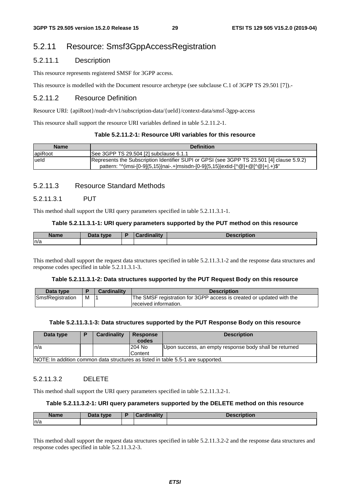## 5.2.11 Resource: Smsf3GppAccessRegistration

## 5.2.11.1 Description

This resource represents registered SMSF for 3GPP access.

This resource is modelled with the Document resource archetype (see subclause C.1 of 3GPP TS 29.501 [7]).-

## 5.2.11.2 Resource Definition

Resource URI: {apiRoot}/nudr-dr/v1/subscription-data/{ueId}/context-data/smsf-3gpp-access

This resource shall support the resource URI variables defined in table 5.2.11.2-1.

#### **Table 5.2.11.2-1: Resource URI variables for this resource**

| <b>Name</b> | <b>Definition</b>                                                                                                                                                             |
|-------------|-------------------------------------------------------------------------------------------------------------------------------------------------------------------------------|
| lapiRoot    | See 3GPP TS 29.504 [2] subclause 6.1.1                                                                                                                                        |
| ueld        | [Represents the Subscription Identifier SUPI or GPSI (see 3GPP TS 23.501 [4] clause 5.9.2)<br>pattern: "^(imsi-[0-9]{5,15} nai-.+ msisdn-[0-9]{5,15} extid-[^@]+@[^@]+ .+)\$" |

#### 5.2.11.3 Resource Standard Methods

#### 5.2.11.3.1 PUT

This method shall support the URI query parameters specified in table 5.2.11.3.1-1.

#### **Table 5.2.11.3.1-1: URI query parameters supported by the PUT method on this resource**

| <b>Name</b> | Data type | Cardinality | <b>Description</b> |
|-------------|-----------|-------------|--------------------|
| ln/a        |           |             |                    |

This method shall support the request data structures specified in table 5.2.11.3.1-2 and the response data structures and response codes specified in table 5.2.11.3.1-3.

#### **Table 5.2.11.3.1-2: Data structures supported by the PUT Request Body on this resource**

| Data type        |   | <b>Cardinality</b> | <b>Description</b>                                                   |
|------------------|---|--------------------|----------------------------------------------------------------------|
| SmsfRegistration | M |                    | The SMSF registration for 3GPP access is created or updated with the |
|                  |   |                    | received information.                                                |

#### **Table 5.2.11.3.1-3: Data structures supported by the PUT Response Body on this resource**

| Data type                                                                        | Ð | Cardinality | <b>Response</b><br>codes | <b>Description</b>                                     |  |
|----------------------------------------------------------------------------------|---|-------------|--------------------------|--------------------------------------------------------|--|
| In/a                                                                             |   |             | 204 No                   | Upon success, an empty response body shall be returned |  |
|                                                                                  |   |             | Content                  |                                                        |  |
| NOTE: In addition common data structures as listed in table 5.5-1 are supported. |   |             |                          |                                                        |  |

#### 5.2.11.3.2 DELETE

This method shall support the URI query parameters specified in table 5.2.11.3.2-1.

#### **Table 5.2.11.3.2-1: URI query parameters supported by the DELETE method on this resource**

| <b>Name</b> | <b>Pata type</b><br>Dald | $\frac{1}{2}$ in all $\frac{1}{2}$<br>. .<br>лангу | <b>Ton</b><br>puon<br><b>DESULI</b> |
|-------------|--------------------------|----------------------------------------------------|-------------------------------------|
| ln/a        |                          |                                                    |                                     |

This method shall support the request data structures specified in table 5.2.11.3.2-2 and the response data structures and response codes specified in table 5.2.11.3.2-3.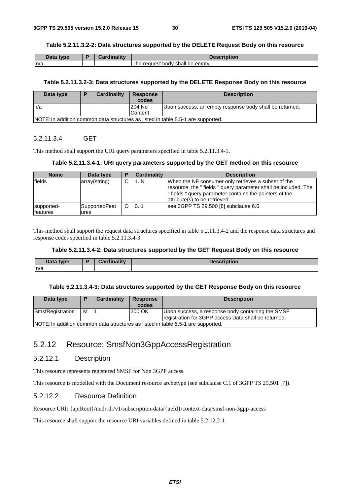#### **Table 5.2.11.3.2-2: Data structures supported by the DELETE Request Body on this resource**

| Data type | <b>Cardinality</b> | <b>Description</b>                                  |
|-----------|--------------------|-----------------------------------------------------|
| n/a       |                    | The<br><sup>t</sup> body shall be empty.<br>reauest |

#### **Table 5.2.11.3.2-3: Data structures supported by the DELETE Response Body on this resource**

| Data type | Cardinality | <b>Response</b><br>codes | <b>Description</b>                                                               |
|-----------|-------------|--------------------------|----------------------------------------------------------------------------------|
| In/a      |             | 204 No                   | Upon success, an empty response body shall be returned.                          |
|           |             | <b>Content</b>           |                                                                                  |
|           |             |                          | NOTE: In addition common data structures as listed in table 5.5-1 are supported. |

### 5.2.11.3.4 GET

This method shall support the URI query parameters specified in table 5.2.11.3.4-1.

#### **Table 5.2.11.3.4-1: URI query parameters supported by the GET method on this resource**

| <b>Name</b>                    | Data type             | і в | <b>Cardinality</b> | <b>Description</b>                                                                                                                                                                                                |
|--------------------------------|-----------------------|-----|--------------------|-------------------------------------------------------------------------------------------------------------------------------------------------------------------------------------------------------------------|
| fields                         | array(string)         | С   | 1N                 | When the NF consumer only retrieves a subset of the<br>resource, the "fields " query parameter shall be included. The<br>" fields " query parameter contains the pointers of the<br>attribute(s) to be retrieved. |
| supported-<br><b>Ifeatures</b> | SupportedFeat<br>ures |     | 0.1                | see 3GPP TS 29.500 [8] subclause 6.6                                                                                                                                                                              |

This method shall support the request data structures specified in table 5.2.11.3.4-2 and the response data structures and response codes specified in table 5.2.11.3.4-3.

#### **Table 5.2.11.3.4-2: Data structures supported by the GET Request Body on this resource**

| Data tvne<br>- Dala | 0 - - - - 1 : - - 1 : 1 - - | <b>Desr</b><br>uvil |
|---------------------|-----------------------------|---------------------|
| n/a                 |                             |                     |

#### **Table 5.2.11.3.4-3: Data structures supported by the GET Response Body on this resource**

| Data type                                                                        |   | Cardinality | <b>Response</b><br>codes | <b>Description</b>                                   |  |
|----------------------------------------------------------------------------------|---|-------------|--------------------------|------------------------------------------------------|--|
|                                                                                  |   |             |                          |                                                      |  |
| SmsfRegistration                                                                 | м |             | 200 OK                   | Upon success, a response body containing the SMSF    |  |
|                                                                                  |   |             |                          | registration for 3GPP access Data shall be returned. |  |
| NOTE: In addition common data structures as listed in table 5.5-1 are supported. |   |             |                          |                                                      |  |

## 5.2.12 Resource: SmsfNon3GppAccessRegistration

## 5.2.12.1 Description

This resource represents registered SMSF for Non 3GPP access.

This resource is modelled with the Document resource archetype (see subclause C.1 of 3GPP TS 29.501 [7]).

## 5.2.12.2 Resource Definition

Resource URI: {apiRoot}/nudr-dr/v1/subscription-data/{ueId}/context-data/smsf-non-3gpp-access

This resource shall support the resource URI variables defined in table 5.2.12.2-1.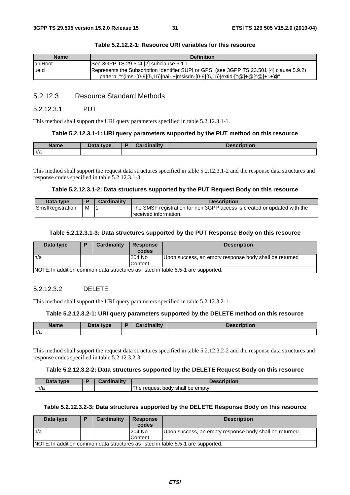| <b>Name</b> | <b>Definition</b>                                                                                                                                                            |
|-------------|------------------------------------------------------------------------------------------------------------------------------------------------------------------------------|
| apiRoot     | See 3GPP TS 29.504 [2] subclause 6.1.1                                                                                                                                       |
| lueld       | Represents the Subscription Identifier SUPI or GPSI (see 3GPP TS 23.501 [4] clause 5.9.2)<br>pattern: "^(imsi-[0-9]{5,15} nai-.+ msisdn-[0-9]{5,15} extid-[^@]+@[^@]+ .+)\$" |

#### **Table 5.2.12.2-1: Resource URI variables for this resource**

## 5.2.12.3 Resource Standard Methods

#### 5.2.12.3.1 PUT

This method shall support the URI query parameters specified in table 5.2.12.3.1-1.

#### **Table 5.2.12.3.1-1: URI query parameters supported by the PUT method on this resource**

| <b>Name</b> | nata<br>type<br>Dala | Cardinality | <b>Description</b> |
|-------------|----------------------|-------------|--------------------|
| n/a         |                      |             |                    |

This method shall support the request data structures specified in table 5.2.12.3.1-2 and the response data structures and response codes specified in table 5.2.12.3.1-3.

#### **Table 5.2.12.3.1-2: Data structures supported by the PUT Request Body on this resource**

| Data type        |   | <b>Cardinality</b> | <b>Description</b>                                                                                 |
|------------------|---|--------------------|----------------------------------------------------------------------------------------------------|
| SmsfRegistration | м |                    | The SMSF registration for non 3GPP access is created or updated with the<br>Ireceived information. |

#### **Table 5.2.12.3.1-3: Data structures supported by the PUT Response Body on this resource**

| Data type                                                                        | D | Cardinality | <b>Response</b><br>codes | <b>Description</b>                                     |  |
|----------------------------------------------------------------------------------|---|-------------|--------------------------|--------------------------------------------------------|--|
| ln/a                                                                             |   |             | 204 No                   | Upon success, an empty response body shall be returned |  |
|                                                                                  |   |             | Content                  |                                                        |  |
| NOTE: In addition common data structures as listed in table 5.5-1 are supported. |   |             |                          |                                                        |  |

NOTE: In addition common data structures as listed in table 5.5-1 are supported.

#### 5.2.12.3.2 DELETE

This method shall support the URI query parameters specified in table 5.2.12.3.2-1.

#### **Table 5.2.12.3.2-1: URI query parameters supported by the DELETE method on this resource**

| <b>Name</b> | <b>Data type</b> | <b>Tinolity</b><br>$\sim$ | <b>AARIMALAH</b><br>escription |
|-------------|------------------|---------------------------|--------------------------------|
| n/a         |                  |                           |                                |

This method shall support the request data structures specified in table 5.2.12.3.2-2 and the response data structures and response codes specified in table 5.2.12.3.2-3.

### **Table 5.2.12.3.2-2: Data structures supported by the DELETE Request Body on this resource**

| Data type | Cardinalitv | <b>Description</b>               |
|-----------|-------------|----------------------------------|
| n/a       |             | The request body shall be empty. |

#### **Table 5.2.12.3.2-3: Data structures supported by the DELETE Response Body on this resource**

| Data type                                                                        |  | <b>Cardinality</b> | <b>Response</b> | <b>Description</b>                                      |  |
|----------------------------------------------------------------------------------|--|--------------------|-----------------|---------------------------------------------------------|--|
|                                                                                  |  |                    | codes           |                                                         |  |
| n/a                                                                              |  |                    | 204 No          | Upon success, an empty response body shall be returned. |  |
|                                                                                  |  |                    | Content         |                                                         |  |
| NOTE: In addition common data structures as listed in table 5.5-1 are supported. |  |                    |                 |                                                         |  |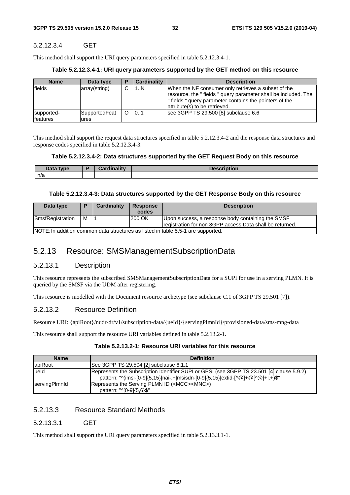## 5.2.12.3.4 GET

This method shall support the URI query parameters specified in table 5.2.12.3.4-1.

#### **Table 5.2.12.3.4-1: URI query parameters supported by the GET method on this resource**

| <b>Name</b>                    | Data type             | E | Cardinality | <b>Description</b>                                                                                                                                                                                                |
|--------------------------------|-----------------------|---|-------------|-------------------------------------------------------------------------------------------------------------------------------------------------------------------------------------------------------------------|
| lfields                        | array(string)         | C | 1N          | When the NF consumer only retrieves a subset of the<br>resource, the "fields " query parameter shall be included. The<br>" fields " query parameter contains the pointers of the<br>attribute(s) to be retrieved. |
| supported-<br><b>Ifeatures</b> | SupportedFeat<br>ures | O | 101         | see 3GPP TS 29.500 [8] subclause 6.6                                                                                                                                                                              |

This method shall support the request data structures specified in table 5.2.12.3.4-2 and the response data structures and response codes specified in table 5.2.12.3.4-3.

#### **Table 5.2.12.3.4-2: Data structures supported by the GET Request Body on this resource**

| Data type | والمقال والمسائلة والمراجين<br>™umam⊾<br>$-0.00$ | <b>Description</b> |
|-----------|--------------------------------------------------|--------------------|
| n/a       |                                                  |                    |

#### **Table 5.2.12.3.4-3: Data structures supported by the GET Response Body on this resource**

| Data type                                                                        |   | <b>Cardinality</b> | <b>Response</b><br>codes | <b>Description</b>                                                                                            |
|----------------------------------------------------------------------------------|---|--------------------|--------------------------|---------------------------------------------------------------------------------------------------------------|
| SmsfRegistration                                                                 | м |                    | 200 OK                   | Upon success, a response body containing the SMSF<br>registration for non 3GPP access Data shall be returned. |
| NOTE: In addition common data structures as listed in table 5.5-1 are supported. |   |                    |                          |                                                                                                               |

## 5.2.13 Resource: SMSManagementSubscriptionData

#### 5.2.13.1 Description

This resource represents the subscribed SMSManagementSubscriptionData for a SUPI for use in a serving PLMN. It is queried by the SMSF via the UDM after registering.

This resource is modelled with the Document resource archetype (see subclause C.1 of 3GPP TS 29.501 [7]).

## 5.2.13.2 Resource Definition

Resource URI: {apiRoot}/nudr-dr/v1/subscription-data/{ueId}/{servingPlmnId}/provisioned-data/sms-mng-data

This resource shall support the resource URI variables defined in table 5.2.13.2-1.

#### **Table 5.2.13.2-1: Resource URI variables for this resource**

| <b>Name</b>   | <b>Definition</b>                                                                                                                                                            |
|---------------|------------------------------------------------------------------------------------------------------------------------------------------------------------------------------|
| lapiRoot      | See 3GPP TS 29.504 [2] subclause 6.1.1                                                                                                                                       |
| lueld         | Represents the Subscription Identifier SUPI or GPSI (see 3GPP TS 23.501 [4] clause 5.9.2)<br>pattern: "^(imsi-[0-9]{5,15} nai-.+ msisdn-[0-9]{5,15} extid-[^@]+@[^@]+ .+)\$" |
| servingPlmnld | Represents the Serving PLMN ID ( <mcc><mnc>)<br/>pattern: "^[0-9]{5,6}\$"</mnc></mcc>                                                                                        |

## 5.2.13.3 Resource Standard Methods

#### 5.2.13.3.1 GET

This method shall support the URI query parameters specified in table 5.2.13.3.1-1.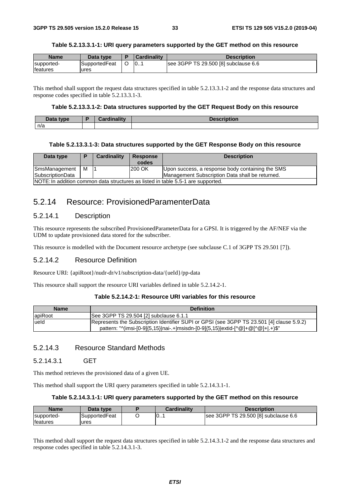#### **Table 5.2.13.3.1-1: URI query parameters supported by the GET method on this resource**

| <b>Name</b>     | Data tvpe     | <b>Cardinality</b> | Description                          |
|-----------------|---------------|--------------------|--------------------------------------|
| supported-      | SupportedFeat | 10                 | see 3GPP TS 29.500 [8] subclause 6.6 |
| <b>features</b> | ures          |                    |                                      |

This method shall support the request data structures specified in table 5.2.13.3.1-2 and the response data structures and response codes specified in table 5.2.13.3.1-3.

#### **Table 5.2.13.3.1-2: Data structures supported by the GET Request Body on this resource**

| Data<br>type | $I$ ardinality<br>—arumant — | Docerintian<br><b>Des</b><br>πυτισπ |
|--------------|------------------------------|-------------------------------------|
| n/a          |                              |                                     |

#### **Table 5.2.13.3.1-3: Data structures supported by the GET Response Body on this resource**

| Data type                                                                        |   | Cardinality | <b>Response</b><br>codes | <b>Description</b>                               |
|----------------------------------------------------------------------------------|---|-------------|--------------------------|--------------------------------------------------|
| SmsManagement                                                                    | м |             | 200 OK                   | Upon success, a response body containing the SMS |
| <b>SubscriptionData</b>                                                          |   |             |                          | Management Subscription Data shall be returned.  |
| NOTE: In addition common data structures as listed in table 5.5-1 are supported. |   |             |                          |                                                  |

## 5.2.14 Resource: ProvisionedParamenterData

## 5.2.14.1 Description

This resource represents the subscribed ProvisionedParameterData for a GPSI. It is triggered by the AF/NEF via the UDM to update provisioned data stored for the subscriber.

This resource is modelled with the Document resource archetype (see subclause C.1 of 3GPP TS 29.501 [7]).

#### 5.2.14.2 Resource Definition

Resource URI: {apiRoot}/nudr-dr/v1/subscription-data/{ueId}/pp-data

This resource shall support the resource URI variables defined in table 5.2.14.2-1.

#### **Table 5.2.14.2-1: Resource URI variables for this resource**

| <b>Name</b> | <b>Definition</b>                                                                         |
|-------------|-------------------------------------------------------------------------------------------|
| apiRoot     | See 3GPP TS 29.504 [2] subclause 6.1.1                                                    |
| lueld       | Represents the Subscription Identifier SUPI or GPSI (see 3GPP TS 23.501 [4] clause 5.9.2) |
|             | pattern: "^(imsi-[0-9]{5,15} nai-.+ msisdn-[0-9]{5,15} extid-[^@]+@[^@]+ .+)\$"           |

## 5.2.14.3 Resource Standard Methods

#### 5.2.14.3.1 GET

This method retrieves the provisioned data of a given UE.

This method shall support the URI query parameters specified in table 5.2.14.3.1-1.

#### **Table 5.2.14.3.1-1: URI query parameters supported by the GET method on this resource**

| <b>Name</b> | Data type     | <b>Cardinality</b> | <b>Description</b>                   |
|-------------|---------------|--------------------|--------------------------------------|
| supported-  | SupportedFeat | 101                | see 3GPP TS 29.500 [8] subclause 6.6 |
| features    | ures          |                    |                                      |

This method shall support the request data structures specified in table 5.2.14.3.1-2 and the response data structures and response codes specified in table 5.2.14.3.1-3.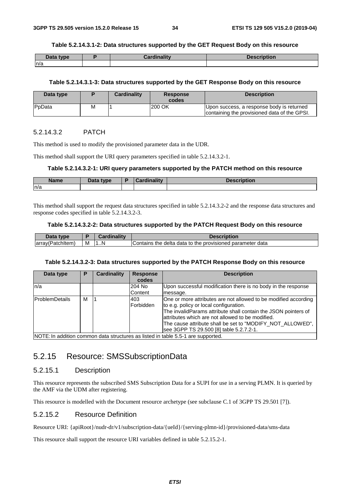#### **Table 5.2.14.3.1-2: Data structures supported by the GET Request Body on this resource**

| Data type | .<br>$\mathbf{r}$<br><i>C</i> ardinalitv | <b>Description</b> |
|-----------|------------------------------------------|--------------------|
| ln/a      |                                          |                    |

#### **Table 5.2.14.3.1-3: Data structures supported by the GET Response Body on this resource**

| Data type      |   | <b>Cardinality</b> | <b>Response</b><br>codes | <b>Description</b>                                                                        |
|----------------|---|--------------------|--------------------------|-------------------------------------------------------------------------------------------|
| <b>P</b> pData | м |                    | 200 OK                   | Upon success, a response body is returned<br>containing the provisioned data of the GPSI. |

#### 5.2.14.3.2 PATCH

This method is used to modify the provisioned parameter data in the UDR.

This method shall support the URI query parameters specified in table 5.2.14.3.2-1.

#### **Table 5.2.14.3.2-1: URI query parameters supported by the PATCH method on this resource**

| <b>Name</b> | Data tyne | ╺ | $1 - 11$<br>$-$ |  |
|-------------|-----------|---|-----------------|--|
| n/a         |           |   |                 |  |

This method shall support the request data structures specified in table 5.2.14.3.2-2 and the response data structures and response codes specified in table 5.2.14.3.2-3.

#### **Table 5.2.14.3.2-2: Data structures supported by the PATCH Request Body on this resource**

|                            |   | .     |                                                                                                    |
|----------------------------|---|-------|----------------------------------------------------------------------------------------------------|
| larray(<br>altern.<br>-ятс | M | N<br> | data<br>u parameter<br>the<br>to the<br>provisioned<br>Con <sup>+</sup><br>ntains<br>delta<br>data |

#### **Table 5.2.14.3.2-3: Data structures supported by the PATCH Response Body on this resource**

|   | <b>Cardinality</b> | <b>Response</b> | <b>Description</b>                                                                                                                                                                                                                                                                                                                       |
|---|--------------------|-----------------|------------------------------------------------------------------------------------------------------------------------------------------------------------------------------------------------------------------------------------------------------------------------------------------------------------------------------------------|
|   |                    | codes           |                                                                                                                                                                                                                                                                                                                                          |
|   |                    | 204 No          | Upon successful modification there is no body in the response                                                                                                                                                                                                                                                                            |
|   |                    | Content         | message.                                                                                                                                                                                                                                                                                                                                 |
| м |                    | 403             | One or more attributes are not allowed to be modified according<br>to e.g. policy or local configuration.<br>The invalidParams attribute shall contain the JSON pointers of<br>lattributes which are not allowed to be modified.<br>The cause attribute shall be set to "MODIFY NOT ALLOWED",<br>see 3GPP TS 29.500 [8] table 5.2.7.2-1. |
|   |                    |                 | Forbidden<br>$\blacksquare$                                                                                                                                                                                                                                                                                                              |

NOTE: In addition common data structures as listed in table 5.5-1 are supported.

## 5.2.15 Resource: SMSSubscriptionData

## 5.2.15.1 Description

This resource represents the subscribed SMS Subscription Data for a SUPI for use in a serving PLMN. It is queried by the AMF via the UDM after registering.

This resource is modelled with the Document resource archetype (see subclause C.1 of 3GPP TS 29.501 [7]).

## 5.2.15.2 Resource Definition

Resource URI: {apiRoot}/nudr-dr/v1/subscription-data/{ueId}/{serving-plmn-id}/provisioned-data/sms-data

This resource shall support the resource URI variables defined in table 5.2.15.2-1.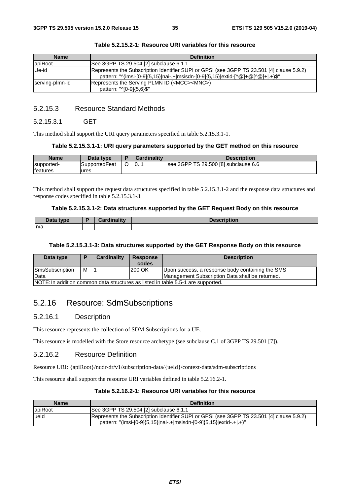| <b>Name</b>     | <b>Definition</b>                                                                                                                                                            |
|-----------------|------------------------------------------------------------------------------------------------------------------------------------------------------------------------------|
| <b>apiRoot</b>  | See 3GPP TS 29.504 [2] subclause 6.1.1                                                                                                                                       |
| Ue-id           | Represents the Subscription Identifier SUPI or GPSI (see 3GPP TS 23.501 [4] clause 5.9.2)<br>pattern: "^(imsi-[0-9]{5,15} nai-.+ msisdn-[0-9]{5,15} extid-[^@]+@[^@]+ .+)\$" |
| serving-plmn-id | Represents the Serving PLMN ID ( <mcc><mnc>)<br/>pattern: "^[0-9]{5,6}\$"</mnc></mcc>                                                                                        |

## 5.2.15.3 Resource Standard Methods

#### 5.2.15.3.1 GET

This method shall support the URI query parameters specified in table 5.2.15.3.1-1.

#### **Table 5.2.15.3.1-1: URI query parameters supported by the GET method on this resource**

| <b>Name</b>                    | Data type              |   | <b>Cardinality</b> | <b>Description</b>                   |
|--------------------------------|------------------------|---|--------------------|--------------------------------------|
| supported-<br><b>Ifeatures</b> | SupportedFeat<br>lures | ັ | 10                 | see 3GPP TS 29.500 [8] subclause 6.6 |

This method shall support the request data structures specified in table 5.2.15.3.1-2 and the response data structures and response codes specified in table 5.2.15.3.1-3.

#### **Table 5.2.15.3.1-2: Data structures supported by the GET Request Body on this resource**

| <b>That vpe</b><br>Data | .<br> | $\Omega$<br>чин |
|-------------------------|-------|-----------------|
| n/a                     |       |                 |

#### **Table 5.2.15.3.1-3: Data structures supported by the GET Response Body on this resource**

| Data type                                                                        |   | <b>Cardinality</b> | <b>Response</b><br>codes | <b>Description</b>                               |
|----------------------------------------------------------------------------------|---|--------------------|--------------------------|--------------------------------------------------|
| SmsSubscription                                                                  | м |                    | 200 OK                   | Upon success, a response body containing the SMS |
| Data                                                                             |   |                    |                          | Management Subscription Data shall be returned.  |
| NOTE: In addition common data structures as listed in table 5.5-1 are supported. |   |                    |                          |                                                  |

## 5.2.16 Resource: SdmSubscriptions

## 5.2.16.1 Description

This resource represents the collection of SDM Subscriptions for a UE.

This resource is modelled with the Store resource archetype (see subclause C.1 of 3GPP TS 29.501 [7]).

#### 5.2.16.2 Resource Definition

Resource URI: {apiRoot}/nudr-dr/v1/subscription-data/{ueId}/context-data/sdm-subscriptions

This resource shall support the resource URI variables defined in table 5.2.16.2-1.

## **Table 5.2.16.2-1: Resource URI variables for this resource**

| <b>Name</b> | <b>Definition</b>                                                                                                                                                |
|-------------|------------------------------------------------------------------------------------------------------------------------------------------------------------------|
| apiRoot     | See 3GPP TS 29.504 [2] subclause 6.1.1                                                                                                                           |
| ueld        | Represents the Subscription Identifier SUPI or GPSI (see 3GPP TS 23.501 [4] clause 5.9.2)<br>pattern: "(imsi-[0-9]{5,15} nai-.+ msisdn-[0-9]{5,15} extid-.+ .+)" |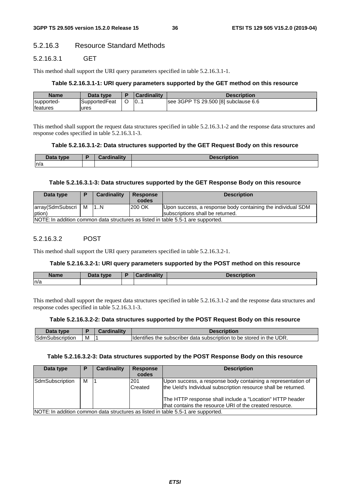# 5.2.16.3 Resource Standard Methods

# 5.2.16.3.1 GET

This method shall support the URI query parameters specified in table 5.2.16.3.1-1.

### **Table 5.2.16.3.1-1: URI query parameters supported by the GET method on this resource**

| <b>Name</b>     | Data type     | <b>Cardinality</b> | Description                          |
|-----------------|---------------|--------------------|--------------------------------------|
| supported-      | SupportedFeat | 10                 | see 3GPP TS 29.500 [8] subclause 6.6 |
| <b>features</b> | ures          |                    |                                      |

This method shall support the request data structures specified in table 5.2.16.3.1-2 and the response data structures and response codes specified in table 5.2.16.3.1-3.

#### **Table 5.2.16.3.1-2: Data structures supported by the GET Request Body on this resource**

| Data type | 0 - - - - - - - - - - - - - | <b>DESCRIPTION</b> |
|-----------|-----------------------------|--------------------|
| n/a       |                             |                    |

#### **Table 5.2.16.3.1-3: Data structures supported by the GET Response Body on this resource**

| Data type                      | D                                                                                | Cardinality | <b>Response</b><br>codes | <b>Description</b>                                                                              |  |  |
|--------------------------------|----------------------------------------------------------------------------------|-------------|--------------------------|-------------------------------------------------------------------------------------------------|--|--|
| array(SdmSubscri   M<br>(ption |                                                                                  | 1.1N        | 200 OK                   | Upon success, a response body containing the individual SDM<br>subscriptions shall be returned. |  |  |
|                                | NOTE: In addition common data structures as listed in table 5.5-1 are supported. |             |                          |                                                                                                 |  |  |

# 5.2.16.3.2 POST

This method shall support the URI query parameters specified in table 5.2.16.3.2-1.

#### **Table 5.2.16.3.2-1: URI query parameters supported by the POST method on this resource**

| <b>Name</b> | Data type<br>Dala | ь. | <b>Pordinality</b> | <b>Description</b> |
|-------------|-------------------|----|--------------------|--------------------|
| n/a         |                   |    |                    |                    |

This method shall support the request data structures specified in table 5.2.16.3.1-2 and the response data structures and response codes specified in table 5.2.16.3.1-3.

#### **Table 5.2.16.3.2-2: Data structures supported by the POST Request Body on this resource**

| Data type              |   | Cardinalitv | Description                                                           |
|------------------------|---|-------------|-----------------------------------------------------------------------|
| <b>SdmSubscription</b> | M |             | Ildentifies the subscriber data subscription to be stored in the UDR. |

#### **Table 5.2.16.3.2-3: Data structures supported by the POST Response Body on this resource**

| Data type       | P | Cardinality | <b>Response</b><br>codes | <b>Description</b>                                                                                                                                                                                                                                    |
|-----------------|---|-------------|--------------------------|-------------------------------------------------------------------------------------------------------------------------------------------------------------------------------------------------------------------------------------------------------|
| SdmSubscription | м |             | l201<br>Created          | Upon success, a response body containing a representation of<br>the Ueld's Individual subscription resource shall be returned.<br>The HTTP response shall include a "Location" HTTP header<br>that contains the resource URI of the created resource. |
|                 |   |             |                          | NOTE: In addition common data structures as listed in table 5.5-1 are supported.                                                                                                                                                                      |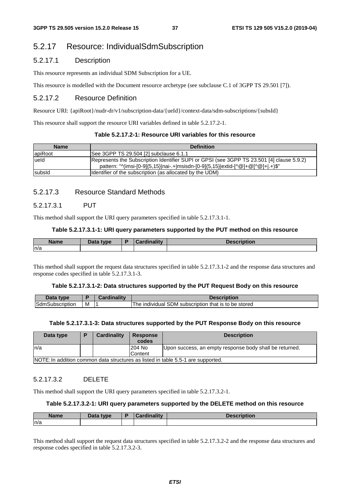# 5.2.17 Resource: IndividualSdmSubscription

# 5.2.17.1 Description

This resource represents an individual SDM Subscription for a UE.

This resource is modelled with the Document resource archetype (see subclause C.1 of 3GPP TS 29.501 [7]).

# 5.2.17.2 Resource Definition

Resource URI: {apiRoot}/nudr-dr/v1/subscription-data/{ueId}/context-data/sdm-subscriptions/{subsId}

This resource shall support the resource URI variables defined in table 5.2.17.2-1.

# **Table 5.2.17.2-1: Resource URI variables for this resource**

| <b>Name</b> | <b>Definition</b>                                                                                                                                                            |
|-------------|------------------------------------------------------------------------------------------------------------------------------------------------------------------------------|
| lapiRoot    | See 3GPP TS 29.504 [2] subclause 6.1.1                                                                                                                                       |
| ueld        | Represents the Subscription Identifier SUPI or GPSI (see 3GPP TS 23.501 [4] clause 5.9.2)<br>pattern: "^(imsi-[0-9]{5,15} nai-.+ msisdn-[0-9]{5,15} extid-[^@]+@[^@]+ .+)\$" |
| subsid      | (Identifier of the subscription (as allocated by the UDM)                                                                                                                    |

# 5.2.17.3 Resource Standard Methods

# 5.2.17.3.1 PUT

This method shall support the URI query parameters specified in table 5.2.17.3.1-1.

#### **Table 5.2.17.3.1-1: URI query parameters supported by the PUT method on this resource**

| <b>Name</b> | Data type | $im$ ality<br>$-$ | iption |
|-------------|-----------|-------------------|--------|
| ln/a        |           |                   |        |

This method shall support the request data structures specified in table 5.2.17.3.1-2 and the response data structures and response codes specified in table 5.2.17.3.1-3.

#### **Table 5.2.17.3.1-2: Data structures supported by the PUT Request Body on this resource**

| Data tvpe                     |   | <b>BO</b><br><b>Considered</b> | <b>Description</b>                                                   |
|-------------------------------|---|--------------------------------|----------------------------------------------------------------------|
| <b>SdmSt</b><br>nSubscription | M |                                | $\,$ individual SDM subscription $\,$<br>The<br>that is to be stored |

#### **Table 5.2.17.3.1-3: Data structures supported by the PUT Response Body on this resource**

| Data type | D | <b>Cardinality</b> | <b>Response</b><br>codes | <b>Description</b>                                                               |
|-----------|---|--------------------|--------------------------|----------------------------------------------------------------------------------|
| ln/a      |   |                    | 204 No                   | Upon success, an empty response body shall be returned.                          |
|           |   |                    | Content                  |                                                                                  |
|           |   |                    |                          | NOTE: In addition common data structures as listed in table 5.5-1 are supported. |

### 5.2.17.3.2 DELETE

This method shall support the URI query parameters specified in table 5.2.17.3.2-1.

#### **Table 5.2.17.3.2-1: URI query parameters supported by the DELETE method on this resource**

| <b>Name</b> | Data type | Cardinality | <b>Description</b> |
|-------------|-----------|-------------|--------------------|
| ln/a        |           |             |                    |

This method shall support the request data structures specified in table 5.2.17.3.2-2 and the response data structures and response codes specified in table 5.2.17.3.2-3.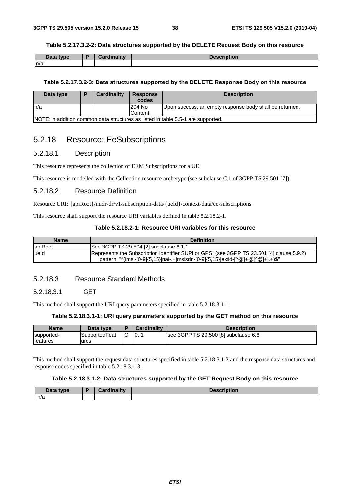#### **Table 5.2.17.3.2-2: Data structures supported by the DELETE Request Body on this resource**

| Data type | <b>Cordinality</b><br>Cardinality | <b>Description</b> |
|-----------|-----------------------------------|--------------------|
| n/a       |                                   |                    |

#### **Table 5.2.17.3.2-3: Data structures supported by the DELETE Response Body on this resource**

| Data type | <b>Cardinality</b> | <b>Response</b><br>codes | <b>Description</b>                                                               |
|-----------|--------------------|--------------------------|----------------------------------------------------------------------------------|
| In/a      |                    | 204 No                   | Upon success, an empty response body shall be returned.                          |
|           |                    | <b>Content</b>           |                                                                                  |
|           |                    |                          | NOTE: In addition common data structures as listed in table 5.5-1 are supported. |

# 5.2.18 Resource: EeSubscriptions

# 5.2.18.1 Description

This resource represents the collection of EEM Subscriptions for a UE.

This resource is modelled with the Collection resource archetype (see subclause C.1 of 3GPP TS 29.501 [7]).

# 5.2.18.2 Resource Definition

Resource URI: {apiRoot}/nudr-dr/v1/subscription-data/{ueId}/context-data/ee-subscriptions

This resource shall support the resource URI variables defined in table 5.2.18.2-1.

### **Table 5.2.18.2-1: Resource URI variables for this resource**

| <b>Name</b>    | <b>Definition</b>                                                                                                                                                            |
|----------------|------------------------------------------------------------------------------------------------------------------------------------------------------------------------------|
| <b>apiRoot</b> | See 3GPP TS 29.504 [2] subclause 6.1.1                                                                                                                                       |
| lueld          | Represents the Subscription Identifier SUPI or GPSI (see 3GPP TS 23.501 [4] clause 5.9.2)<br>pattern: "^(imsi-[0-9]{5,15} nai-.+ msisdn-[0-9]{5,15} extid-[^@]+@[^@]+ .+)\$" |

# 5.2.18.3 Resource Standard Methods

#### 5.2.18.3.1 GET

This method shall support the URI query parameters specified in table 5.2.18.3.1-1.

#### **Table 5.2.18.3.1-1: URI query parameters supported by the GET method on this resource**

| <b>Name</b>     | Data type     | <b>Cardinality</b> | <b>Description</b>                   |
|-----------------|---------------|--------------------|--------------------------------------|
| supported-      | SupportedFeat | 10                 | see 3GPP TS 29.500 [8] subclause 6.6 |
| <b>features</b> | ures          |                    |                                      |

This method shall support the request data structures specified in table 5.2.18.3.1-2 and the response data structures and response codes specified in table 5.2.18.3.1-3.

#### **Table 5.2.18.3.1-2: Data structures supported by the GET Request Body on this resource**

| Data type | Cardinality<br>Udi uli idili. | <b>cription</b><br>Descri |
|-----------|-------------------------------|---------------------------|
| n/a       |                               |                           |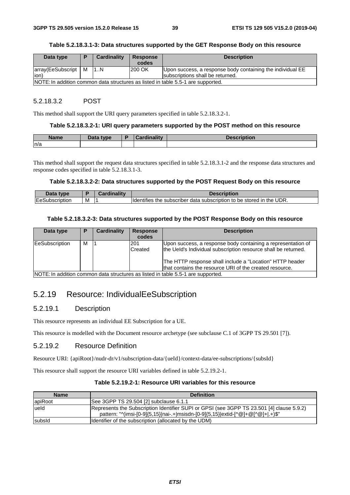#### **Table 5.2.18.3.1-3: Data structures supported by the GET Response Body on this resource**

| Data type             |                                                                                  | <b>Cardinality</b> | Response | <b>Description</b>                                         |  |  |  |
|-----------------------|----------------------------------------------------------------------------------|--------------------|----------|------------------------------------------------------------|--|--|--|
|                       |                                                                                  |                    | codes    |                                                            |  |  |  |
| array(EeSubscript   M |                                                                                  | 11N                | 200 OK   | Upon success, a response body containing the individual EE |  |  |  |
| lion)                 |                                                                                  |                    |          | subscriptions shall be returned.                           |  |  |  |
|                       | NOTE: In addition common data structures as listed in table 5.5-1 are supported. |                    |          |                                                            |  |  |  |

### 5.2.18.3.2 POST

This method shall support the URI query parameters specified in table 5.2.18.3.2-1.

#### **Table 5.2.18.3.2-1: URI query parameters supported by the POST method on this resource**

| <b>Name</b> | Data type<br>Putu | ъ | $1 - 11$<br> | and see the second control<br>'Otion |
|-------------|-------------------|---|--------------|--------------------------------------|
| n/a         |                   |   |              |                                      |

This method shall support the request data structures specified in table 5.2.18.3.1-2 and the response data structures and response codes specified in table 5.2.18.3.1-3.

#### **Table 5.2.18.3.2-2: Data structures supported by the POST Request Body on this resource**

| Data type             |   | . | <b>Description</b>                                                                       |
|-----------------------|---|---|------------------------------------------------------------------------------------------|
| <b>EeSubscription</b> | M |   | UDR.<br>e subscriber data subscription to be stored in the I<br><b>Identifies</b><br>the |

#### **Table 5.2.18.3.2-3: Data structures supported by the POST Response Body on this resource**

| Data type      |   | <b>Cardinality</b> | <b>Response</b> | <b>Description</b>                                                               |
|----------------|---|--------------------|-----------------|----------------------------------------------------------------------------------|
|                |   |                    | codes           |                                                                                  |
| EeSubscription | м |                    | 201             | Upon success, a response body containing a representation of                     |
|                |   |                    | Created         | the Ueld's Individual subscription resource shall be returned.                   |
|                |   |                    |                 | The HTTP response shall include a "Location" HTTP header                         |
|                |   |                    |                 | that contains the resource URI of the created resource.                          |
|                |   |                    |                 | NOTE: In addition common data structures as listed in table 5.5-1 are supported. |

# 5.2.19 Resource: IndividualEeSubscription

# 5.2.19.1 Description

This resource represents an individual EE Subscription for a UE.

This resource is modelled with the Document resource archetype (see subclause C.1 of 3GPP TS 29.501 [7]).

# 5.2.19.2 Resource Definition

Resource URI: {apiRoot}/nudr-dr/v1/subscription-data/{ueId}/context-data/ee-subscriptions/{subsId}

This resource shall support the resource URI variables defined in table 5.2.19.2-1.

# **Table 5.2.19.2-1: Resource URI variables for this resource**

| <b>Name</b> | <b>Definition</b>                                                                                                                                                            |
|-------------|------------------------------------------------------------------------------------------------------------------------------------------------------------------------------|
| apiRoot     | See 3GPP TS 29.504 [2] subclause 6.1.1                                                                                                                                       |
| lueld       | Represents the Subscription Identifier SUPI or GPSI (see 3GPP TS 23.501 [4] clause 5.9.2)<br>pattern: "^(imsi-[0-9]{5,15} nai-.+ msisdn-[0-9]{5,15} extid-[^@]+@[^@]+ .+)\$" |
| subsid      | (Identifier of the subscription (allocated by the UDM)                                                                                                                       |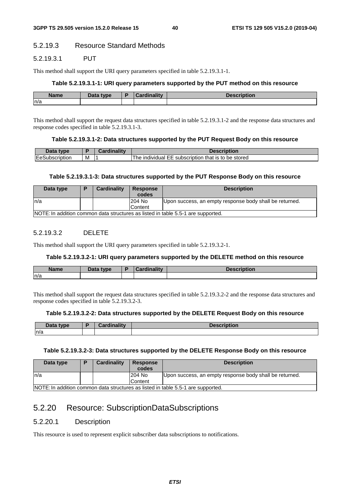# 5.2.19.3 Resource Standard Methods

# 5.2.19.3.1 PUT

This method shall support the URI query parameters specified in table 5.2.19.3.1-1.

#### **Table 5.2.19.3.1-1: URI query parameters supported by the PUT method on this resource**

| <b>Name</b> | <b>Boto</b><br>tvne.<br>Dala | в | --- |
|-------------|------------------------------|---|-----|
| ln/a        |                              |   |     |

This method shall support the request data structures specified in table 5.2.19.3.1-2 and the response data structures and response codes specified in table 5.2.19.3.1-3.

#### **Table 5.2.19.3.1-2: Data structures supported by the PUT Request Body on this resource**

| 10ta<br>⊧tvpe  |     | <b>Cardinality</b> | <b>Description</b>                                                  |
|----------------|-----|--------------------|---------------------------------------------------------------------|
| EeSubscription | ΙVΙ |                    | be stored<br>that is to<br>. subscription<br>The<br>individual<br>ᇆ |

#### **Table 5.2.19.3.1-3: Data structures supported by the PUT Response Body on this resource**

| Data type | <b>Cardinality</b> | <b>Response</b>                                                                  | <b>Description</b>                                      |  |  |  |  |  |
|-----------|--------------------|----------------------------------------------------------------------------------|---------------------------------------------------------|--|--|--|--|--|
|           |                    | codes                                                                            |                                                         |  |  |  |  |  |
| ln/a      |                    | 204 No                                                                           | Upon success, an empty response body shall be returned. |  |  |  |  |  |
|           |                    | Content                                                                          |                                                         |  |  |  |  |  |
|           |                    | NOTE: In addition common data structures as listed in table 5.5-1 are supported. |                                                         |  |  |  |  |  |

# 5.2.19.3.2 DELETE

This method shall support the URI query parameters specified in table 5.2.19.3.2-1.

#### **Table 5.2.19.3.2-1: URI query parameters supported by the DELETE method on this resource**

| <b>Nome</b> | <b>Pata type</b> | $\mathbf{1}$ m ality<br>. . | ------<br><b>IDUUIL</b> |
|-------------|------------------|-----------------------------|-------------------------|
| n/a         |                  |                             |                         |

This method shall support the request data structures specified in table 5.2.19.3.2-2 and the response data structures and response codes specified in table 5.2.19.3.2-3.

#### **Table 5.2.19.3.2-2: Data structures supported by the DELETE Request Body on this resource**

| $\Delta$ ata type | <br>$-1$ | . |
|-------------------|----------|---|
| ln/a              |          |   |

#### **Table 5.2.19.3.2-3: Data structures supported by the DELETE Response Body on this resource**

| Data type |                                                                                  | Cardinality | <b>Response</b><br>codes | <b>Description</b>                                      |  |
|-----------|----------------------------------------------------------------------------------|-------------|--------------------------|---------------------------------------------------------|--|
| In/a      |                                                                                  |             | 204 No                   | Upon success, an empty response body shall be returned. |  |
|           |                                                                                  |             | Content                  |                                                         |  |
|           | NOTE: In addition common data structures as listed in table 5.5-1 are supported. |             |                          |                                                         |  |

# 5.2.20 Resource: SubscriptionDataSubscriptions

# 5.2.20.1 Description

This resource is used to represent explicit subscriber data subscriptions to notifications.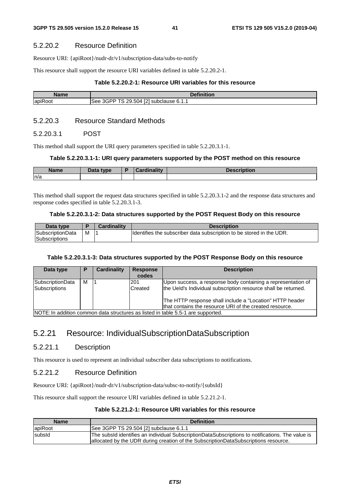### 5.2.20.2 Resource Definition

Resource URI: {apiRoot}/nudr-dr/v1/subscription-data/subs-to-notify

This resource shall support the resource URI variables defined in table 5.2.20.2-1.

### **Table 5.2.20.2-1: Resource URI variables for this resource**

| Name           | <b>Dofinition</b>                                                                                           |
|----------------|-------------------------------------------------------------------------------------------------------------|
| <b>apiRoot</b> | נמז<br><b>TO</b><br>$-9.504$ <sup>r <math>\sim</math></sup><br>3GPP.<br>ີ 6.1. ເ<br>subclause<br>see<br>-14 |

# 5.2.20.3 Resource Standard Methods

#### 5.2.20.3.1 POST

This method shall support the URI query parameters specified in table 5.2.20.3.1-1.

#### **Table 5.2.20.3.1-1: URI query parameters supported by the POST method on this resource**

| <b>Name</b> | Data type | Cardinalitv | <b>Description</b> |
|-------------|-----------|-------------|--------------------|
| n/a         |           |             |                    |

This method shall support the request data structures specified in table 5.2.20.3.1-2 and the response data structures and response codes specified in table 5.2.20.3.1-3.

#### **Table 5.2.20.3.1-2: Data structures supported by the POST Request Body on this resource**

| Data type        |   | <b>Cardinality</b> | <b>Description</b>                                                    |
|------------------|---|--------------------|-----------------------------------------------------------------------|
| SubscriptionData | м |                    | Ildentifies the subscriber data subscription to be stored in the UDR. |
| Subscriptions    |   |                    |                                                                       |

#### **Table 5.2.20.3.1-3: Data structures supported by the POST Response Body on this resource**

| Data type                                                                        | P | Cardinality | <b>Response</b><br>codes | <b>Description</b>                                             |
|----------------------------------------------------------------------------------|---|-------------|--------------------------|----------------------------------------------------------------|
| SubscriptionData                                                                 | м |             | 201                      | Upon success, a response body containing a representation of   |
| Subscriptions                                                                    |   |             | Created                  | the Ueld's Individual subscription resource shall be returned. |
|                                                                                  |   |             |                          | The HTTP response shall include a "Location" HTTP header       |
|                                                                                  |   |             |                          | that contains the resource URI of the created resource.        |
| NOTE: In addition common data structures as listed in table 5.5-1 are supported. |   |             |                          |                                                                |

# 5.2.21 Resource: IndividualSubscriptionDataSubscription

# 5.2.21.1 Description

This resource is used to represent an individual subscriber data subscriptions to notifications.

# 5.2.21.2 Resource Definition

Resource URI: {apiRoot}/nudr-dr/v1/subscription-data/subsc-to-notify/{subsId}

This resource shall support the resource URI variables defined in table 5.2.21.2-1.

# **Table 5.2.21.2-1: Resource URI variables for this resource**

| <b>Name</b> | <b>Definition</b>                                                                                |
|-------------|--------------------------------------------------------------------------------------------------|
| apiRoot     | See 3GPP TS 29.504 [2] subclause 6.1.1                                                           |
| subsid      | The subsId identifies an individual SubscriptionDataSubscriptions to notifications. The value is |
|             | allocated by the UDR during creation of the SubscriptionDataSubscriptions resource.              |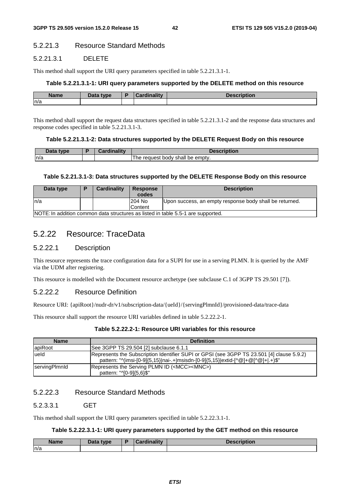# 5.2.21.3 Resource Standard Methods

# 5.2.21.3.1 DELETE

This method shall support the URI query parameters specified in table 5.2.21.3.1-1.

#### **Table 5.2.21.3.1-1: URI query parameters supported by the DELETE method on this resource**

| <b>Name</b> | Data type<br>Dala | ۰. | <b>Cardinality</b> | 80 H |
|-------------|-------------------|----|--------------------|------|
| ln/a        |                   |    |                    |      |

This method shall support the request data structures specified in table 5.2.21.3.1-2 and the response data structures and response codes specified in table 5.2.21.3.1-3.

#### **Table 5.2.21.3.1-2: Data structures supported by the DELETE Request Body on this resource**

| Data<br>type | <b>Pordinality</b> | <b>Description</b>                            |
|--------------|--------------------|-----------------------------------------------|
| n/a          |                    | shall be<br>∘ emptv.<br>request<br>bodv<br>ne |

### **Table 5.2.21.3.1-3: Data structures supported by the DELETE Response Body on this resource**

| Data type                                                                        |  | <b>Cardinality</b> | <b>Response</b><br>codes | <b>Description</b>                                      |
|----------------------------------------------------------------------------------|--|--------------------|--------------------------|---------------------------------------------------------|
| ln/a                                                                             |  |                    | 204 No                   | Upon success, an empty response body shall be returned. |
|                                                                                  |  |                    | Content                  |                                                         |
| NOTE: In addition common data structures as listed in table 5.5-1 are supported. |  |                    |                          |                                                         |

# 5.2.22 Resource: TraceData

# 5.2.22.1 Description

This resource represents the trace configuration data for a SUPI for use in a serving PLMN. It is queried by the AMF via the UDM after registering.

This resource is modelled with the Document resource archetype (see subclause C.1 of 3GPP TS 29.501 [7]).

# 5.2.22.2 Resource Definition

Resource URI: {apiRoot}/nudr-dr/v1/subscription-data/{ueId}/{servingPlmnId}/provisioned-data/trace-data

This resource shall support the resource URI variables defined in table 5.2.22.2-1.

### **Table 5.2.22.2-1: Resource URI variables for this resource**

| <b>Name</b>          | <b>Definition</b>                                                                                                                                                            |
|----------------------|------------------------------------------------------------------------------------------------------------------------------------------------------------------------------|
| apiRoot              | See 3GPP TS 29.504 [2] subclause 6.1.1                                                                                                                                       |
| ueld                 | Represents the Subscription Identifier SUPI or GPSI (see 3GPP TS 23.501 [4] clause 5.9.2)<br>pattern: "^(imsi-[0-9]{5,15} nai-.+ msisdn-[0-9]{5,15} extid-[^@]+@[^@]+ .+)\$" |
| <b>ServingPlmnld</b> | Represents the Serving PLMN ID ( <mcc><mnc>)<br/>pattern: "^[0-9]{5,6}\$"</mnc></mcc>                                                                                        |

# 5.2.22.3 Resource Standard Methods

# 5.2.3.3.1 GET

This method shall support the URI query parameters specified in table 5.2.22.3.1-1.

#### **Table 5.2.22.3.1-1: URI query parameters supported by the GET method on this resource**

| <b>Name</b><br>ше | $R = R$<br>type<br>Dala | - | ---<br>$-$<br>$ -$ | .<br>uvu |
|-------------------|-------------------------|---|--------------------|----------|
| n/a               |                         |   |                    |          |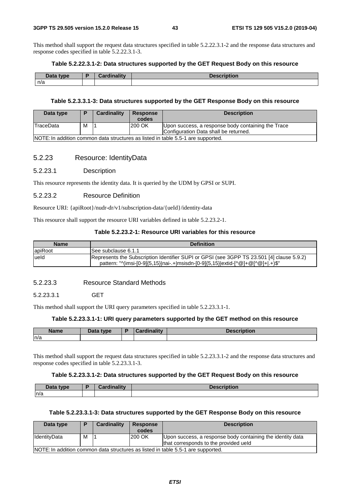This method shall support the request data structures specified in table 5.2.22.3.1-2 and the response data structures and response codes specified in table 5.2.22.3.1-3.

### **Table 5.2.22.3.1-2: Data structures supported by the GET Request Body on this resource**

| Data type<br>Dala | E | .<br><b>STATISTICS</b><br><b><i>The mains of the first</i></b><br>. | uon |
|-------------------|---|---------------------------------------------------------------------|-----|
| n/a               |   |                                                                     |     |

#### **Table 5.2.3.3.1-3: Data structures supported by the GET Response Body on this resource**

| Data type | D                                                                                | Cardinality | <b>Response</b><br>codes | <b>Description</b>                                 |  |  |  |
|-----------|----------------------------------------------------------------------------------|-------------|--------------------------|----------------------------------------------------|--|--|--|
| TraceData | M                                                                                |             | 200 OK                   | Upon success, a response body containing the Trace |  |  |  |
|           |                                                                                  |             |                          | Configuration Data shall be returned.              |  |  |  |
|           | NOTE: In addition common data structures as listed in table 5.5-1 are supported. |             |                          |                                                    |  |  |  |

### 5.2.23 Resource: IdentityData

#### 5.2.23.1 Description

This resource represents the identity data. It is queried by the UDM by GPSI or SUPI.

#### 5.2.23.2 Resource Definition

Resource URI: {apiRoot}/nudr-dr/v1/subscription-data/{ueId}/identity-data

This resource shall support the resource URI variables defined in table 5.2.23.2-1.

#### **Table 5.2.23.2-1: Resource URI variables for this resource**

| <b>Name</b> | <b>Definition</b>                                                                                                                                                            |
|-------------|------------------------------------------------------------------------------------------------------------------------------------------------------------------------------|
| apiRoot     | ISee subclause 6.1.1                                                                                                                                                         |
| lueld       | Represents the Subscription Identifier SUPI or GPSI (see 3GPP TS 23.501 [4] clause 5.9.2)<br>pattern: "^(imsi-[0-9]{5,15} nai-.+ msisdn-[0-9]{5,15} extid-[^@]+@[^@]+ .+)\$" |

# 5.2.23.3 Resource Standard Methods

#### 5.2.23.3.1 GET

This method shall support the URI query parameters specified in table 5.2.23.3.1-1.

# **Table 5.2.23.3.1-1: URI query parameters supported by the GET method on this resource**

| <b>Name</b> | Data type | Cardinalitv | Description |
|-------------|-----------|-------------|-------------|
| ln/a        |           |             |             |

This method shall support the request data structures specified in table 5.2.23.3.1-2 and the response data structures and response codes specified in table 5.2.23.3.1-3.

#### **Table 5.2.23.3.1-2: Data structures supported by the GET Request Body on this resource**

| Data type | Cardinality | <b>Description</b> |
|-----------|-------------|--------------------|
| n/a       |             |                    |

#### **Table 5.2.23.3.1-3: Data structures supported by the GET Response Body on this resource**

| Data type    |   | Cardinality                                                                      | <b>Response</b> | <b>Description</b>                                         |  |  |  |  |
|--------------|---|----------------------------------------------------------------------------------|-----------------|------------------------------------------------------------|--|--|--|--|
|              |   |                                                                                  | codes           |                                                            |  |  |  |  |
| IdentityData | м |                                                                                  | 200 OK          | Upon success, a response body containing the identity data |  |  |  |  |
|              |   |                                                                                  |                 | that corresponds to the provided ueld                      |  |  |  |  |
|              |   | NOTE: In addition common data structures as listed in table 5.5-1 are supported. |                 |                                                            |  |  |  |  |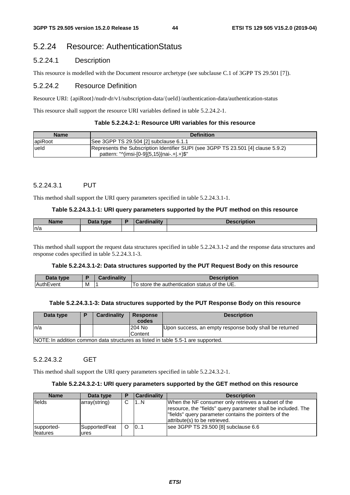# 5.2.24 Resource: AuthenticationStatus

# 5.2.24.1 Description

This resource is modelled with the Document resource archetype (see subclause C.1 of 3GPP TS 29.501 [7]).

# 5.2.24.2 Resource Definition

Resource URI: {apiRoot}/nudr-dr/v1/subscription-data/{ueId}/authentication-data/authentication-status

This resource shall support the resource URI variables defined in table 5.2.24.2-1.

### **Table 5.2.24.2-1: Resource URI variables for this resource**

| <b>Name</b> | <b>Definition</b>                                                                                                                 |
|-------------|-----------------------------------------------------------------------------------------------------------------------------------|
| apiRoot     | See 3GPP TS 29.504 [2] subclause 6.1.1                                                                                            |
| lueld       | Represents the Subscription Identifier SUPI (see 3GPP TS 23.501 [4] clause 5.9.2)<br>pattern: " $\frac{(m}{5.15})$  nai-.+ .+)\$" |

### 5.2.24.3.1 PUT

This method shall support the URI query parameters specified in table 5.2.24.3.1-1.

### **Table 5.2.24.3.1-1: URI query parameters supported by the PUT method on this resource**

| <b>Name</b> | Data type | <b>Pardinality</b> | <b>Description</b> |
|-------------|-----------|--------------------|--------------------|
| n/a         |           |                    |                    |

This method shall support the request data structures specified in table 5.2.24.3.1-2 and the response data structures and response codes specified in table 5.2.24.3.1-3.

#### **Table 5.2.24.3.1-2: Data structures supported by the PUT Request Body on this resource**

| Data<br>type    |   | <b>Pordinality</b> | <b>Description</b>                                          |
|-----------------|---|--------------------|-------------------------------------------------------------|
| ∵vent<br>⊥Auth' | M |                    | the UE.<br>status of<br>To store<br>authentication a<br>the |

#### **Table 5.2.24.3.1-3: Data structures supported by the PUT Response Body on this resource**

| Data type | <b>Cardinality</b>                                                               | Response<br>codes | <b>Description</b>                                     |  |  |  |  |
|-----------|----------------------------------------------------------------------------------|-------------------|--------------------------------------------------------|--|--|--|--|
| In/a      |                                                                                  | 204 No            | Upon success, an empty response body shall be returned |  |  |  |  |
|           |                                                                                  | Content           |                                                        |  |  |  |  |
|           | NOTE: In addition common data structures as listed in table 5.5-1 are supported. |                   |                                                        |  |  |  |  |

# 5.2.24.3.2 GET

This method shall support the URI query parameters specified in table 5.2.24.3.2-1.

# **Table 5.2.24.3.2-1: URI query parameters supported by the GET method on this resource**

| <b>Name</b>            | Data type             | і в | <b>Cardinality</b> | <b>Description</b>                                                                                                                                                                                              |
|------------------------|-----------------------|-----|--------------------|-----------------------------------------------------------------------------------------------------------------------------------------------------------------------------------------------------------------|
| lfields                | array(string)         | ⌒   | 1N                 | When the NF consumer only retrieves a subset of the<br>resource, the "fields" query parameter shall be included. The<br>l"fields" query parameter contains the pointers of the<br>attribute(s) to be retrieved. |
| supported-<br>features | SupportedFeat<br>ures |     | 101                | see 3GPP TS 29.500 [8] subclause 6.6                                                                                                                                                                            |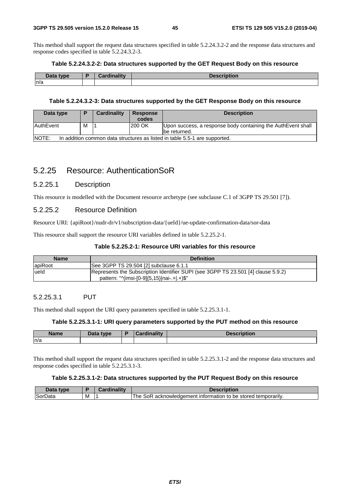This method shall support the request data structures specified in table 5.2.24.3.2-2 and the response data structures and response codes specified in table 5.2.24.3.2-3.

### **Table 5.2.24.3.2-2: Data structures supported by the GET Request Body on this resource**

| Data type<br>Dala | 0 - - - - - - - - - - - - - | <b>December</b> |
|-------------------|-----------------------------|-----------------|
| n/a               |                             |                 |

#### **Table 5.2.24.3.2-3: Data structures supported by the GET Response Body on this resource**

| Data type                                                                                  | Ð | Cardinality | <b>Response</b><br>codes | <b>Description</b>                                                           |  |
|--------------------------------------------------------------------------------------------|---|-------------|--------------------------|------------------------------------------------------------------------------|--|
| <b>AuthEvent</b>                                                                           | M |             | 200 OK                   | Upon success, a response body containing the AuthEvent shall<br>be returned. |  |
| <b>NOTE:</b><br>In addition common data structures as listed in table 5.5-1 are supported. |   |             |                          |                                                                              |  |

# 5.2.25 Resource: AuthenticationSoR

# 5.2.25.1 Description

This resource is modelled with the Document resource archetype (see subclause C.1 of 3GPP TS 29.501 [7]).

# 5.2.25.2 Resource Definition

Resource URI: {apiRoot}/nudr-dr/v1/subscription-data/{ueId}/ue-update-confirmation-data/sor-data

This resource shall support the resource URI variables defined in table 5.2.25.2-1.

# **Table 5.2.25.2-1: Resource URI variables for this resource**

| <b>Name</b> | <b>Definition</b>                                                                                                               |
|-------------|---------------------------------------------------------------------------------------------------------------------------------|
| apiRoot     | See 3GPP TS 29.504 [2] subclause 6.1.1                                                                                          |
| lueld       | Represents the Subscription Identifier SUPI (see 3GPP TS 23.501 [4] clause 5.9.2)<br>pattern: "^(imsi-[0-9]{5,15} nai-.+ .+)\$" |

# 5.2.25.3.1 PUT

This method shall support the URI query parameters specified in table 5.2.25.3.1-1.

#### **Table 5.2.25.3.1-1: URI query parameters supported by the PUT method on this resource**

| Name | Data type | ь. | <b>Pardinality</b> | cription |
|------|-----------|----|--------------------|----------|
| n/a  |           |    |                    |          |

This method shall support the request data structures specified in table 5.2.25.3.1-2 and the response data structures and response codes specified in table 5.2.25.3.1-3.

### **Table 5.2.25.3.1-2: Data structures supported by the PUT Request Body on this resource**

| Data type |   | <b>Cardinality</b> | Description                                                         |
|-----------|---|--------------------|---------------------------------------------------------------------|
| SorData   | м |                    | The<br>SoR<br>acknowledgement information to be stored temporarily. |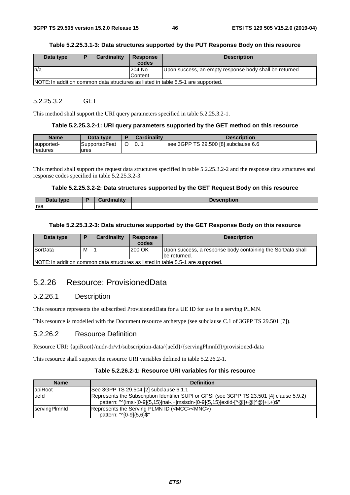#### **Table 5.2.25.3.1-3: Data structures supported by the PUT Response Body on this resource**

| Data type | <b>Cardinality</b> | <b>Response</b><br>codes | <b>Description</b>                                                               |
|-----------|--------------------|--------------------------|----------------------------------------------------------------------------------|
|           |                    |                          |                                                                                  |
| In/a      |                    | 204 No                   | Upon success, an empty response body shall be returned                           |
|           |                    | Content                  |                                                                                  |
|           |                    |                          | NOTE: In addition common data structures as listed in table 5.5-1 are supported. |

### 5.2.25.3.2 GET

This method shall support the URI query parameters specified in table 5.2.25.3.2-1.

#### **Table 5.2.25.3.2-1: URI query parameters supported by the GET method on this resource**

| <b>Name</b>     | Data type            | <b>Cardinality</b> | <b>Description</b>                   |
|-----------------|----------------------|--------------------|--------------------------------------|
| supported-      | <b>SupportedFeat</b> | 0.1                | see 3GPP TS 29.500 [8] subclause 6.6 |
| <b>features</b> | ures                 |                    |                                      |

This method shall support the request data structures specified in table 5.2.25.3.2-2 and the response data structures and response codes specified in table 5.2.25.3.2-3.

#### **Table 5.2.25.3.2-2: Data structures supported by the GET Request Body on this resource**

| Data type<br>Dala | <b>START</b><br>.<br><b>Cordinality</b> | <b>Description</b> |
|-------------------|-----------------------------------------|--------------------|
| ln/a              |                                         |                    |

### **Table 5.2.25.3.2-3: Data structures supported by the GET Response Body on this resource**

| Data type |                                                                                 | <b>Cardinality</b> | <b>Response</b><br>codes | <b>Description</b>                                                          |  |  |
|-----------|---------------------------------------------------------------------------------|--------------------|--------------------------|-----------------------------------------------------------------------------|--|--|
| SorData   | M                                                                               |                    | 200 OK                   | Upon success, a response body containing the SorData shall<br>lbe returned. |  |  |
|           | NOTE: In addition common data etructures as listed in table 5.5.1 are supported |                    |                          |                                                                             |  |  |

NOTE: In addition common data structures as listed in table 5.5-1 are supported.

# 5.2.26 Resource: ProvisionedData

# 5.2.26.1 Description

This resource represents the subscribed ProvisionedData for a UE ID for use in a serving PLMN.

This resource is modelled with the Document resource archetype (see subclause C.1 of 3GPP TS 29.501 [7]).

# 5.2.26.2 Resource Definition

Resource URI: {apiRoot}/nudr-dr/v1/subscription-data/{ueId}/{servingPlmnId}/provisioned-data

This resource shall support the resource URI variables defined in table 5.2.26.2-1.

#### **Table 5.2.26.2-1: Resource URI variables for this resource**

| <b>Name</b>   | <b>Definition</b>                                                                         |
|---------------|-------------------------------------------------------------------------------------------|
| apiRoot       | See 3GPP TS 29.504 [2] subclause 6.1.1                                                    |
| lueld         | Represents the Subscription Identifier SUPI or GPSI (see 3GPP TS 23.501 [4] clause 5.9.2) |
|               | pattern: "^(imsi-[0-9]{5,15} nai-.+ msisdn-[0-9]{5,15} extid-[^@]+@[^@]+ .+)\$"           |
| servingPlmnld | Represents the Serving PLMN ID ( <mcc><mnc>)</mnc></mcc>                                  |
|               | pattern: "^[0-9] {5,6}\$"                                                                 |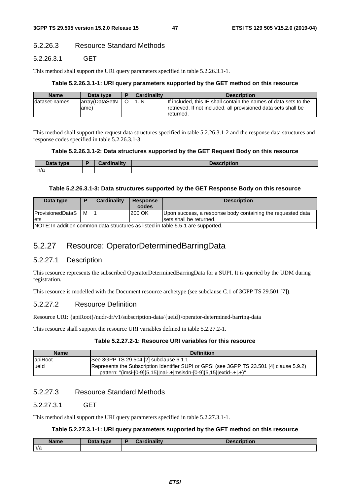# 5.2.26.3 Resource Standard Methods

# 5.2.26.3.1 GET

This method shall support the URI query parameters specified in table 5.2.26.3.1-1.

#### **Table 5.2.26.3.1-1: URI query parameters supported by the GET method on this resource**

| <b>Name</b>    | Data type               | <b>Cardinality</b> | <b>Description</b>                                                                                                                              |
|----------------|-------------------------|--------------------|-------------------------------------------------------------------------------------------------------------------------------------------------|
| Idataset-names | larrav(DataSetN<br>ame) |                    | If included, this IE shall contain the names of data sets to the<br>retrieved. If not included, all provisioned data sets shall be<br>returned. |

This method shall support the request data structures specified in table 5.2.26.3.1-2 and the response data structures and response codes specified in table 5.2.26.3.1-3.

#### **Table 5.2.26.3.1-2: Data structures supported by the GET Request Body on this resource**

| Data type<br><b>Pata</b> | .<br>$-1$ | <b>Description</b> |
|--------------------------|-----------|--------------------|
| n/a                      |           |                    |

#### **Table 5.2.26.3.1-3: Data structures supported by the GET Response Body on this resource**

| Data type                                                                        |   | <b>Cardinality</b> | <b>Response</b><br>codes | <b>Description</b>                                          |
|----------------------------------------------------------------------------------|---|--------------------|--------------------------|-------------------------------------------------------------|
| <b>ProvisionedDataS</b>                                                          | M |                    | 200 OK                   | Upon success, a response body containing the requested data |
| lets                                                                             |   |                    |                          | sets shall be returned.                                     |
| NOTE: In addition common data structures as listed in table 5.5-1 are supported. |   |                    |                          |                                                             |

NOTE: In addition common data structures as listed in table 5.5-1 are supported.

# 5.2.27 Resource: OperatorDeterminedBarringData

# 5.2.27.1 Description

This resource represents the subscribed OperatorDeterminedBarringData for a SUPI. It is queried by the UDM during registration.

This resource is modelled with the Document resource archetype (see subclause C.1 of 3GPP TS 29.501 [7]).

# 5.2.27.2 Resource Definition

Resource URI: {apiRoot}/nudr-dr/v1/subscription-data/{ueId}/operator-determined-barring-data

This resource shall support the resource URI variables defined in table 5.2.27.2-1.

#### **Table 5.2.27.2-1: Resource URI variables for this resource**

| <b>Name</b> | <b>Definition</b>                                                                                                                                                |
|-------------|------------------------------------------------------------------------------------------------------------------------------------------------------------------|
| apiRoot     | See 3GPP TS 29.504 [2] subclause 6.1.1                                                                                                                           |
| ueld        | Represents the Subscription Identifier SUPI or GPSI (see 3GPP TS 23.501 [4] clause 5.9.2)<br>pattern: "(imsi-[0-9]{5,15} nai-.+ msisdn-[0-9]{5,15} extid-.+ .+)" |

# 5.2.27.3 Resource Standard Methods

# 5.2.27.3.1 GET

This method shall support the URI query parameters specified in table 5.2.27.3.1-1.

# **Table 5.2.27.3.1-1: URI query parameters supported by the GET method on this resource**

| Name<br>лпет | note type<br>Dala | .<br>. .<br>$-1.1.7$ | , <i>.</i> .<br>uvn |
|--------------|-------------------|----------------------|---------------------|
| n/a          |                   |                      |                     |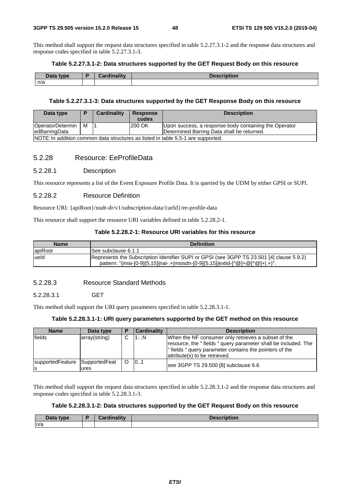This method shall support the request data structures specified in table 5.2.27.3.1-2 and the response data structures and response codes specified in table 5.2.27.3.1-3.

### **Table 5.2.27.3.1-2: Data structures supported by the GET Request Body on this resource**

| Data type | в | Cordinality | <b>Descri</b><br>'Ution. |
|-----------|---|-------------|--------------------------|
| n/a       |   |             |                          |

#### **Table 5.2.27.3.1-3: Data structures supported by the GET Response Body on this resource**

| Data type                                                                        | D | Cardinality | <b>Response</b><br>codes | <b>Description</b>                                    |
|----------------------------------------------------------------------------------|---|-------------|--------------------------|-------------------------------------------------------|
| OperatorDetermin                                                                 | M |             | 200 OK                   | Upon success, a response body containing the Operator |
| edBarringData                                                                    |   |             |                          | Determined Barring Data shall be returned.            |
| NOTE: In addition common data structures as listed in table 5.5-1 are supported. |   |             |                          |                                                       |

# 5.2.28 Resource: EeProfileData

#### 5.2.28.1 Description

This resource represents a list of the Event Exposure Profile Data. It is queried by the UDM by either GPSI or SUPI.

#### 5.2.28.2 Resource Definition

Resource URI: {apiRoot}/nudr-dr/v1/subscription-data/{ueId}/ee-profile-data

This resource shall support the resource URI variables defined in table 5.2.28.2-1.

#### **Table 5.2.28.2-1: Resource URI variables for this resource**

| <b>Name</b> | <b>Definition</b>                                                                                                                                                          |
|-------------|----------------------------------------------------------------------------------------------------------------------------------------------------------------------------|
| apiRoot     | ISee subclause 6.1.1                                                                                                                                                       |
| lueld       | Represents the Subscription Identifier SUPI or GPSI (see 3GPP TS 23.501 [4] clause 5.9.2)<br>pattern: "(imsi-[0-9]{5,15} nai-.+ msisdn-[0-9]{5,15} extid-[^@]+@[^@]+ .+)". |

# 5.2.28.3 Resource Standard Methods

#### 5.2.28.3.1 GET

This method shall support the URI query parameters specified in table 5.2.28.3.1-1.

### **Table 5.2.28.3.1-1: URI query parameters supported by the GET method on this resource**

| <b>Name</b>                                | Data type     | E | <b>Cardinality</b> | <b>Description</b>                                                                                                                                                                                                |
|--------------------------------------------|---------------|---|--------------------|-------------------------------------------------------------------------------------------------------------------------------------------------------------------------------------------------------------------|
| fields                                     | array(string) | C | $1-.N$             | When the NF consumer only retrieves a subset of the<br>resource, the "fields " query parameter shall be included. The<br>" fields " query parameter contains the pointers of the<br>attribute(s) to be retrieved. |
| supportedFeature SupportedFeat<br><b>S</b> | lures         |   | 101                | see 3GPP TS 29.500 [8] subclause 6.6                                                                                                                                                                              |

This method shall support the request data structures specified in table 5.2.28.3.1-2 and the response data structures and response codes specified in table 5.2.28.3.1-3.

#### **Table 5.2.28.3.1-2: Data structures supported by the GET Request Body on this resource**

| $\Delta$ ata type | .<br> | escription |
|-------------------|-------|------------|
| n/a               |       |            |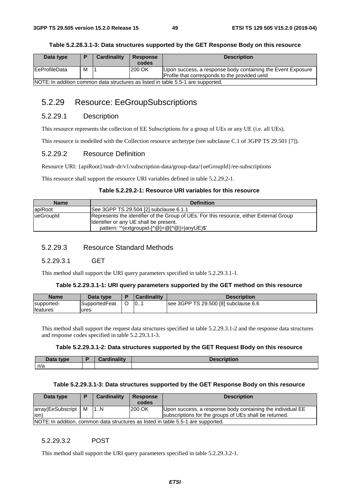#### **Table 5.2.28.3.1-3: Data structures supported by the GET Response Body on this resource**

| Data type                                                                        | D | <b>Cardinality</b> | <b>Response</b> | <b>Description</b>                                          |
|----------------------------------------------------------------------------------|---|--------------------|-----------------|-------------------------------------------------------------|
|                                                                                  |   |                    | codes           |                                                             |
| <b>IEeProfileData</b>                                                            | м |                    | 200 OK          | Upon success, a response body containing the Event Exposure |
|                                                                                  |   |                    |                 | Profile that corresponds to the provided ueld               |
| NOTE: In addition common data structures as listed in table 5.5-1 are supported. |   |                    |                 |                                                             |

# 5.2.29 Resource: EeGroupSubscriptions

# 5.2.29.1 Description

This resource represents the collection of EE Subscriptions for a group of UEs or any UE (i.e. all UEs).

This resource is modelled with the Collection resource archetype (see subclause C.1 of 3GPP TS 29.501 [7]).

# 5.2.29.2 Resource Definition

Resource URI: {apiRoot}/nudr-dr/v1/subscription-data/group-data/{ueGroupId}/ee-subscriptions

This resource shall support the resource URI variables defined in table 5.2.29.2-1.

# **Table 5.2.29.2-1: Resource URI variables for this resource**

| <b>Name</b> | <b>Definition</b>                                                                                                                                                                  |
|-------------|------------------------------------------------------------------------------------------------------------------------------------------------------------------------------------|
| lapiRoot    | See 3GPP TS 29.504 [2] subclause 6.1.1                                                                                                                                             |
| lueGroupId  | Represents the identifier of the Group of UEs. For this resource, either External Group<br>Ildentifier or any UE shall be present.<br>pattern: '^(extgroupid-[^@]+@[^@]+ anyUE)\$' |

# 5.2.29.3 Resource Standard Methods

5.2.29.3.1 GET

This method shall support the URI query parameters specified in table 5.2.29.3.1-1.

#### **Table 5.2.29.3.1-1: URI query parameters supported by the GET method on this resource**

| <b>Name</b> | Data type            | <b>Cardinality</b> | <b>Description</b>                   |
|-------------|----------------------|--------------------|--------------------------------------|
| supported-  | <b>SupportedFeat</b> | 0                  | see 3GPP TS 29.500 [8] subclause 6.6 |
| features    | ures                 |                    |                                      |

This method shall support the request data structures specified in table 5.2.29.3.1-2 and the response data structures and response codes specified in table 5.2.29.3.1-3.

#### **Table 5.2.29.3.1-2: Data structures supported by the GET Request Body on this resource**

| Data type | <b>Cardinality</b> | <b>Description</b> |
|-----------|--------------------|--------------------|
| n/a       |                    |                    |

#### **Table 5.2.29.3.1-3: Data structures supported by the GET Response Body on this resource**

| Data type                                                                         | Ð | Cardinality | <b>Response</b><br>codes | <b>Description</b>                                         |  |  |
|-----------------------------------------------------------------------------------|---|-------------|--------------------------|------------------------------------------------------------|--|--|
| array(EeSubscript   M                                                             |   | 1.1N        | 200 OK                   | Upon success, a response body containing the individual EE |  |  |
| lion)                                                                             |   |             |                          | subscriptions for the groups of UEs shall be returned.     |  |  |
| NOTE: In addition, common data structures as listed in table 5.5-1 are supported. |   |             |                          |                                                            |  |  |

### 5.2.29.3.2 POST

This method shall support the URI query parameters specified in table 5.2.29.3.2-1.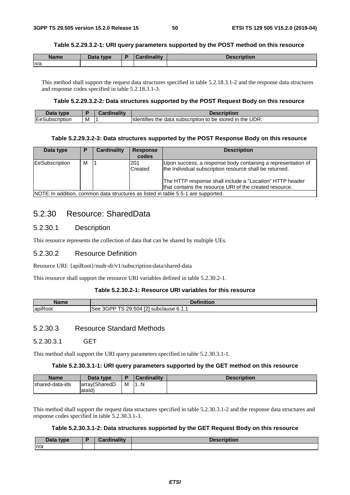#### **Table 5.2.29.3.2-1: URI query parameters supported by the POST method on this resource**

| <b>Name</b> | <b>Data type</b> | <b>Cardinality</b> | <b>Description</b> |
|-------------|------------------|--------------------|--------------------|
| n/a         |                  |                    |                    |

This method shall support the request data structures specified in table 5.2.18.3.1-2 and the response data structures and response codes specified in table 5.2.18.3.1-3.

#### **Table 5.2.29.3.2-2: Data structures supported by the POST Request Body on this resource**

| <b>Data</b><br><b>type</b>         |   | Jardin | <b>Description</b>                                                                          |
|------------------------------------|---|--------|---------------------------------------------------------------------------------------------|
| <b>IEeS</b><br><b>iubscription</b> | м |        | $\cdot$ the UDR.<br><b>Identifies</b><br>$\cdot$ data subscription to be stored in :<br>the |

#### **Table 5.2.29.3.2-3: Data structures supported by the POST Response Body on this resource**

| Data type      | D | Cardinality | <b>Response</b> | <b>Description</b>                                                                |
|----------------|---|-------------|-----------------|-----------------------------------------------------------------------------------|
|                |   |             | codes           |                                                                                   |
| EeSubscription | м |             | 201             | Upon success, a response body containing a representation of                      |
|                |   |             | Created         | the Individual subscription resource shall be returned.                           |
|                |   |             |                 | The HTTP response shall include a "Location" HTTP header                          |
|                |   |             |                 | that contains the resource URI of the created resource.                           |
|                |   |             |                 | NOTE: In addition, common data structures as listed in table 5.5-1 are supported. |

# 5.2.30 Resource: SharedData

# 5.2.30.1 Description

This resource represents the collection of data that can be shared by multiple UEs.

# 5.2.30.2 Resource Definition

Resource URI: {apiRoot}/nudr-dr/v1/subscription-data/shared-data

This resource shall support the resource URI variables defined in table 5.2.30.2-1.

### **Table 5.2.30.2-1: Resource URI variables for this resource**

| Name                             | <b>Definition</b>                                                               |
|----------------------------------|---------------------------------------------------------------------------------|
| $\cdot$ $\sim$<br><b>apiRoot</b> | <b>EOL</b><br>3GPP<br>÷-<br>.504<br>29.<br>' subclause 6.1.1<br>See<br>э.<br>14 |

# 5.2.30.3 Resource Standard Methods

5.2.30.3.1 GET

This method shall support the URI query parameters specified in table 5.2.30.3.1-1.

#### **Table 5.2.30.3.1-1: URI query parameters supported by the GET method on this resource**

| <b>Name</b>     | Data type                |   | <b>Cardinality</b> | <b>Description</b> |
|-----------------|--------------------------|---|--------------------|--------------------|
| shared-data-ids | larrav(SharedD<br>atald) | M | IN                 |                    |

This method shall support the request data structures specified in table 5.2.30.3.1-2 and the response data structures and response codes specified in table 5.2.30.3.1-3.

#### **Table 5.2.30.3.1-2: Data structures supported by the GET Request Body on this resource**

| Data type | <b>Cordinality</b><br>шанч | <b>Description</b> |
|-----------|----------------------------|--------------------|
| ln/a      |                            |                    |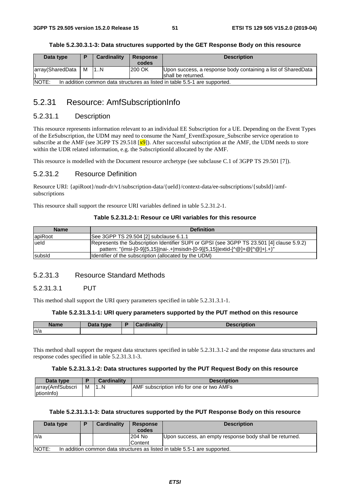#### **Table 5.2.30.3.1-3: Data structures supported by the GET Response Body on this resource**

| Data type                                                                                   | Ð | <b>Cardinality</b> | Response | <b>Description</b>                                                                   |  |
|---------------------------------------------------------------------------------------------|---|--------------------|----------|--------------------------------------------------------------------------------------|--|
|                                                                                             |   |                    | codes    |                                                                                      |  |
| array(SharedData                                                                            | М | 11N                | 200 OK   | Upon success, a response body containing a list of SharedData<br>Ishall be returned. |  |
| <b>INOTE:</b><br>In addition common data structures as listed in table 5.5-1 are supported. |   |                    |          |                                                                                      |  |

# 5.2.31 Resource: AmfSubscriptionInfo

# 5.2.31.1 Description

This resource represents information relevant to an individual EE Subscription for a UE. Depending on the Event Types of the EeSubscription, the UDM may need to consume the Namf\_EventExposure\_Subscribe service operation to subscribe at the AMF (see 3GPP TS 29.518  $\overline{x}9$ ). After successful subscription at the AMF, the UDM needs to store within the UDR related information, e.g. the SubscriptionId allocated by the AMF.

This resource is modelled with the Document resource archetype (see subclause C.1 of 3GPP TS 29.501 [7]).

# 5.2.31.2 Resource Definition

Resource URI: {apiRoot}/nudr-dr/v1/subscription-data/{ueId}/context-data/ee-subscriptions/{subsId}/amfsubscriptions

This resource shall support the resource URI variables defined in table 5.2.31.2-1.

# **Table 5.2.31.2-1: Resour ce URI variables for this resource**

| <b>Name</b> | <b>Definition</b>                                                                                                                                                         |
|-------------|---------------------------------------------------------------------------------------------------------------------------------------------------------------------------|
| lapiRoot    | See 3GPP TS 29.504 [2] subclause 6.1.1                                                                                                                                    |
| lueld       | Represents the Subscription Identifier SUPI or GPSI (see 3GPP TS 23.501 [4] clause 5.9.2)<br>pattern: "(imsi-[0-9]{5,15} nai-.+ msisdn-[0-9]{5,15} extid-[^@]+@[^@]+ .+)" |
| subsid      | Identifier of the subscription (allocated by the UDM)                                                                                                                     |

# 5.2.31.3 Resource Standard Methods

### 5.2.31.3.1 PUT

This method shall support the URI query parameters specified in table 5.2.31.3.1-1.

#### **Table 5.2.31.3.1-1: URI query parameters supported by the PUT method on this resource**

| <b>Name</b> | Data type<br>Pata | $min_{\alpha}$ | .<br><b>Description</b> |
|-------------|-------------------|----------------|-------------------------|
| n/a         |                   |                |                         |

This method shall support the request data structures specified in table 5.2.31.3.1-2 and the response data structures and response codes specified in table 5.2.31.3.1-3.

#### **Table 5.2.31.3.1-2: Data structures supported by the PUT Request Body on this resource**

| Data type                      |   | Cardinalitv | <b>Description</b>                         |
|--------------------------------|---|-------------|--------------------------------------------|
| array(AmfSubscri<br>(ptionInfo | м | 1N          | IAMF subscription info for one or two AMFs |

#### **Table 5.2.31.3.1-3: Data structures supported by the PUT Response Body on this resource**

| Data type    |                                                                            | <b>Cardinality</b> | <b>Response</b> | <b>Description</b>                                      |  |  |
|--------------|----------------------------------------------------------------------------|--------------------|-----------------|---------------------------------------------------------|--|--|
|              |                                                                            |                    | codes           |                                                         |  |  |
| In/a         |                                                                            |                    | 204 No          | Upon success, an empty response body shall be returned. |  |  |
|              |                                                                            |                    | Content         |                                                         |  |  |
| <b>NOTE:</b> | In addition common data structures as listed in table 5.5-1 are supported. |                    |                 |                                                         |  |  |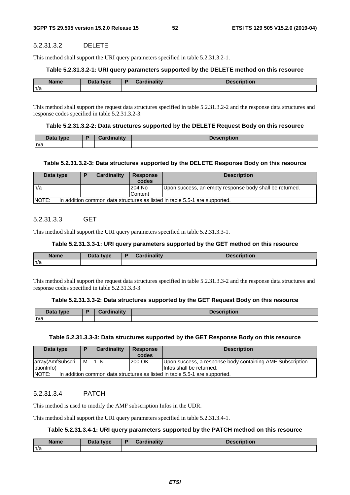# 5.2.31.3.2 DELETE

This method shall support the URI query parameters specified in table 5.2.31.3.2-1.

#### **Table 5.2.31.3.2-1: URI query parameters supported by the DELETE method on this resource**

| <b>Name</b> | Data type | ь. | <b>Cardinality</b> | <b>JAAAHIMALAH</b><br>Description |
|-------------|-----------|----|--------------------|-----------------------------------|
| n/a         |           |    |                    |                                   |

This method shall support the request data structures specified in table 5.2.31.3.2-2 and the response data structures and response codes specified in table 5.2.31.3.2-3.

#### **Table 5.2.31.3.2-2: Data structures supported by the DELETE Request Body on this resource**

| Data type<br><b>Dala</b> | والمقالم مرتابهم والمستناة | otion |
|--------------------------|----------------------------|-------|
| n/a                      |                            |       |

#### **Table 5.2.31.3.2-3: Data structures supported by the DELETE Response Body on this resource**

| Data type                                                                                   |  | Cardinality | <b>Response</b><br>codes | <b>Description</b>                                      |  |
|---------------------------------------------------------------------------------------------|--|-------------|--------------------------|---------------------------------------------------------|--|
| ln/a                                                                                        |  |             | 204 No                   | Upon success, an empty response body shall be returned. |  |
|                                                                                             |  |             | <b>Content</b>           |                                                         |  |
| <b>INOTE:</b><br>In addition common data structures as listed in table 5.5-1 are supported. |  |             |                          |                                                         |  |

# 5.2.31.3.3 GET

This method shall support the URI query parameters specified in table 5.2.31.3.3-1.

#### **Table 5.2.31.3.3-1: URI query parameters supported by the GET method on this resource**

| <b>Name</b> | Data type | <b>Cardinality</b> | <b>Description</b> |
|-------------|-----------|--------------------|--------------------|
| n/a         |           |                    |                    |

This method shall support the request data structures specified in table 5.2.31.3.3-2 and the response data structures and response codes specified in table 5.2.31.3.3-3.

#### **Table 5.2.31.3.3-2: Data structures supported by the GET Request Body on this resource**

| Data type | Cardinalitv | <b>Description</b> |
|-----------|-------------|--------------------|
| n/a       |             |                    |

### **Table 5.2.31.3.3-3: Data structures supported by the GET Response Body on this resource**

| Data type                                                                           | Ð | Cardinality | <b>Response</b><br>codes | <b>Description</b>                                        |  |
|-------------------------------------------------------------------------------------|---|-------------|--------------------------|-----------------------------------------------------------|--|
| array(AmfSubscri                                                                    | М | 11N         | <b>200 OK</b>            | Upon success, a response body containing AMF Subscription |  |
| lptionInfo)                                                                         |   |             |                          | linfos shall be returned.                                 |  |
| NOTE:<br>In addition common data structures as listed in table 5.5-1 are supported. |   |             |                          |                                                           |  |

#### 5.2.31.3.4 PATCH

This method is used to modify the AMF subscription Infos in the UDR.

This method shall support the URI query parameters specified in table 5.2.31.3.4-1.

#### **Table 5.2.31.3.4-1: URI query parameters supported by the PATCH method on this resource**

| Name<br>me | <b>That type</b><br>Data | .<br><br>$ - 1$ | --------<br>DESUIDUUIL |
|------------|--------------------------|-----------------|------------------------|
| n/a        |                          |                 |                        |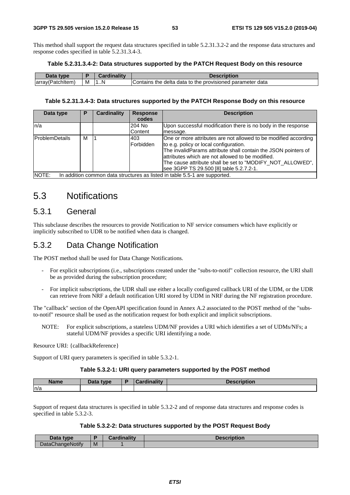This method shall support the request data structures specified in table 5.2.31.3.2-2 and the response data structures and response codes specified in table 5.2.31.3.4-3.

#### **Table 5.2.31.3.4-2: Data structures supported by the PATCH Request Body on this resource**

| Data<br><b>type</b>      |   |   |                                                                            |
|--------------------------|---|---|----------------------------------------------------------------------------|
| tchitem.<br>array(<br>äц | M | . | data<br>provisioned parameter (<br>Contains<br>the delta<br>data to<br>the |

#### **Table 5.2.31.3.4-3: Data structures supported by the PATCH Response Body on this resource**

| Data type             | Р | <b>Cardinality</b> | <b>Response</b>          | <b>Description</b>                                                                                                                                                                                                                                                                                                                       |
|-----------------------|---|--------------------|--------------------------|------------------------------------------------------------------------------------------------------------------------------------------------------------------------------------------------------------------------------------------------------------------------------------------------------------------------------------------|
|                       |   |                    | codes                    |                                                                                                                                                                                                                                                                                                                                          |
| ln/a                  |   |                    | 204 No                   | Upon successful modification there is no body in the response                                                                                                                                                                                                                                                                            |
|                       |   |                    | Content                  | message.                                                                                                                                                                                                                                                                                                                                 |
| <b>ProblemDetails</b> | м |                    | 403<br><b>IForbidden</b> | One or more attributes are not allowed to be modified according<br>to e.g. policy or local configuration.<br>The invalidParams attribute shall contain the JSON pointers of<br>lattributes which are not allowed to be modified.<br>The cause attribute shall be set to "MODIFY_NOT_ALLOWED",<br>see 3GPP TS 29.500 [8] table 5.2.7.2-1. |
| NOTE:                 |   |                    |                          | In addition common data structures as listed in table 5.5-1 are supported.                                                                                                                                                                                                                                                               |

# 5.3 Notifications

# 5.3.1 General

This subclause describes the resources to provide Notification to NF service consumers which have explicitly or implicitly subscribed to UDR to be notified when data is changed.

# 5.3.2 Data Change Notification

The POST method shall be used for Data Change Notifications.

- For explicit subscriptions (i.e., subscriptions created under the "subs-to-notif" collection resource, the URI shall be as provided during the subscription procedure;
- For implicit subscriptions, the UDR shall use either a locally configured callback URI of the UDM, or the UDR can retrieve from NRF a default notification URI stored by UDM in NRF during the NF registration procedure.

The "callback" section of the OpenAPI specification found in Annex A.2 associated to the POST method of the "substo-notif" resource shall be used as the notification request for both explicit and implicit subscriptions.

NOTE: For explicit subscriptions, a stateless UDM/NF provides a URI which identifies a set of UDMs/NFs; a stateful UDM/NF provides a specific URI identifying a node.

Resource URI: {callbackReference}

Support of URI query parameters is specified in table 5.3.2-1.

#### **Table 5.3.2-1: URI query parameters supported by the POST method**

| <b>Name</b> | Data type | Cardinality<br>$\sim$ | <b>Description</b> |
|-------------|-----------|-----------------------|--------------------|
| n/a         |           |                       |                    |

Support of request data structures is specified in table 5.3.2-2 and of response data structures and response codes is specified in table 5.3.2-3.

#### **Table 5.3.2-2: Data structures supported by the POST Request Body**

| Data type        |   | <b>Cardinality</b> | <b>Description</b> |
|------------------|---|--------------------|--------------------|
| DataChangeNotify | M |                    |                    |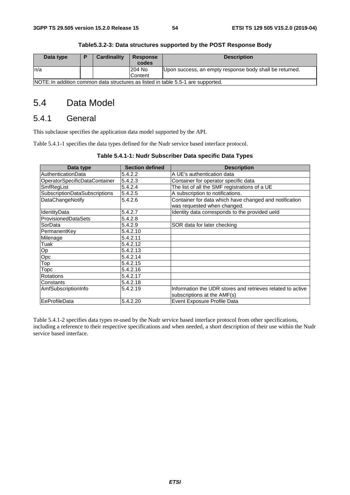| Data type                                                                        | в | <b>Cardinality</b> | <b>Response</b> | <b>Description</b>                                      |  |
|----------------------------------------------------------------------------------|---|--------------------|-----------------|---------------------------------------------------------|--|
|                                                                                  |   |                    | codes           |                                                         |  |
| In/a                                                                             |   |                    | 204 No          | Upon success, an empty response body shall be returned. |  |
|                                                                                  |   |                    | Content         |                                                         |  |
| NOTE: In addition common data structures as listed in table 5.5-1 are supported. |   |                    |                 |                                                         |  |

# **Table5.3.2-3: Data structures supported by the POST Response Body**

# 5.4 Data Model

# 5.4.1 General

This subclause specifies the application data model supported by the API.

Table 5.4.1-1 specifies the data types defined for the Nudr service based interface protocol.

| Data type                            | <b>Section defined</b> | <b>Description</b>                                                                        |
|--------------------------------------|------------------------|-------------------------------------------------------------------------------------------|
| <b>AuthenticationData</b>            | 5.4.2.2                | A UE's authentication data                                                                |
| OperatorSpecificDataContainer        | 5.4.2.3                | Container for operator specific data                                                      |
| SmfRegList                           | 5.4.2.4                | The list of all the SMF registrations of a UE                                             |
| <b>SubscriptionDataSubscriptions</b> | 5.4.2.5                | A subscription to notifications.                                                          |
| DataChangeNotify                     | 5.4.2.6                | Container for data which have changed and notification<br>was requested when changed.     |
| IdentityData                         | 5.4.2.7                | Identity data corresponds to the provided ueld                                            |
| <b>ProvisionedDataSets</b>           | 5.4.2.8                |                                                                                           |
| SorData                              | 5.4.2.9                | SOR data for later checking                                                               |
| PermanentKey                         | 5.4.2.10               |                                                                                           |
| Milenage                             | 5.4.2.11               |                                                                                           |
| Tuak                                 | 5.4.2.12               |                                                                                           |
| Op                                   | 5.4.2.13               |                                                                                           |
| Opc                                  | 5.4.2.14               |                                                                                           |
| Top                                  | 5.4.2.15               |                                                                                           |
| Topc                                 | 5.4.2.16               |                                                                                           |
| Rotations                            | 5.4.2.17               |                                                                                           |
| Constants                            | 5.4.2.18               |                                                                                           |
| AmfSubscriptionInfo                  | 5.4.2.19               | Information the UDR stores and retrieves related to active<br>subscriptions at the AMF(s) |
| EeProfileData                        | 5.4.2.20               | Event Exposure Profile Data                                                               |

### **Table 5.4.1-1: Nudr Subscriber Data specific Data Types**

Table 5.4.1-2 specifies data types re-used by the Nudr service based interface protocol from other specifications, including a reference to their respective specifications and when needed, a short description of their use within the Nudr service based interface.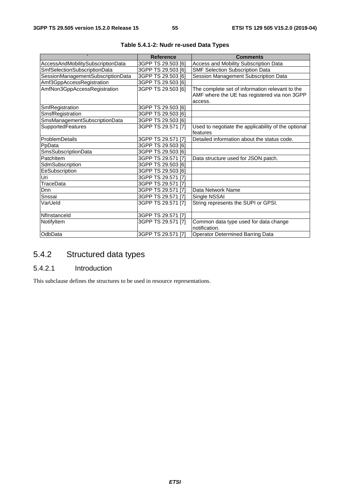|                                   | <b>Reference</b>   | <b>Comments</b>                                     |
|-----------------------------------|--------------------|-----------------------------------------------------|
| AccessAndMobilitySubscriptionData | 3GPP TS 29.503 [6] | Access and Mobility Subscription Data               |
| SmfSelectionSubscriptionData      | 3GPP TS 29.503 [6] | <b>SMF Selection Subscription Data</b>              |
| SessionManagementSubscriptionData | 3GPP TS 29.503 [6] | Session Management Subscription Data                |
| Amf3GppAccessRegistration         | 3GPP TS 29.503 [6] |                                                     |
| AmfNon3GppAccessRegistration      | 3GPP TS 29.503 [6] | The complete set of information relevant to the     |
|                                   |                    | AMF where the UE has registered via non 3GPP        |
|                                   |                    | access.                                             |
| SmfRegistration                   | 3GPP TS 29.503 [6] |                                                     |
| SmsfRegistration                  | 3GPP TS 29.503 [6] |                                                     |
| SmsManagementSubscriptionData     | 3GPP TS 29.503 [6] |                                                     |
| SupportedFeatures                 | 3GPP TS 29.571 [7] | Used to negotiate the applicability of the optional |
|                                   |                    | features                                            |
| ProblemDetails                    | 3GPP TS 29.571 [7] | Detailed information about the status code.         |
| PpData                            | 3GPP TS 29.503 [6] |                                                     |
| SmsSubscriptionData               | 3GPP TS 29.503 [6] |                                                     |
| PatchItem                         | 3GPP TS 29.571 [7] | Data structure used for JSON patch.                 |
| SdmSubscription                   | 3GPP TS 29.503 [6] |                                                     |
| EeSubscription                    | 3GPP TS 29.503 [6] |                                                     |
| Uri                               | 3GPP TS 29.571 [7] |                                                     |
| TraceData                         | 3GPP TS 29.571 [7] |                                                     |
| Dnn                               | 3GPP TS 29.571 [7] | Data Network Name                                   |
| Snssai                            | 3GPP TS 29.571 [7] | Single NSSAI                                        |
| VarUeld                           | 3GPP TS 29.571 [7] | String represents the SUPI or GPSI.                 |
|                                   |                    |                                                     |
| Nflnstanceld                      | 3GPP TS 29.571 [7] |                                                     |
| NotifyItem                        | 3GPP TS 29.571 [7] | Common data type used for data change               |
|                                   |                    | notification.                                       |
| OdbData                           | 3GPP TS 29.571 [7] | Operator Determined Barring Data                    |

# **Table 5.4.1-2: Nudr re-used Data Types**

# 5.4.2 Structured data types

# 5.4.2.1 Introduction

This subclause defines the structures to be used in resource representations.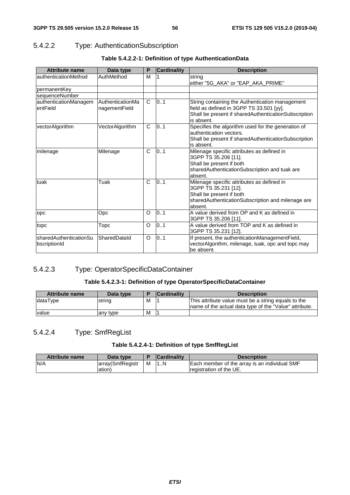# 5.4.2.2 Type: AuthenticationSubscription

| <b>Attribute name</b>                  | Data type                         | Р       | <b>Cardinality</b> | <b>Description</b>                                                                                                                                                |
|----------------------------------------|-----------------------------------|---------|--------------------|-------------------------------------------------------------------------------------------------------------------------------------------------------------------|
| authenticationMethod                   | AuthMethod                        | M       |                    | string                                                                                                                                                            |
|                                        |                                   |         |                    | either "5G_AKA" or "EAP_AKA_PRIME"                                                                                                                                |
| permanentKey                           |                                   |         |                    |                                                                                                                                                                   |
| sequenceNumber                         |                                   |         |                    |                                                                                                                                                                   |
| authenticationManagem<br>entField      | AuthenticationMa<br>nagementField | C       | 0.1                | String containing the Authentication management<br>field as defined in 3GPP TS 33.501 [yy].<br>Shall be present if sharedAuthenticationSubscription<br>is absent. |
| vectorAlgorithm                        | VectorAlgorithm                   | C       | 0.1                | Specifies the algorithm used for the generation of<br>authentication vectors.<br>Shall be present if sharedAuthenticationSubscription<br>is absent.               |
| milenage                               | Milenage                          | C       | 0.1                | Milenage specific attributes as defined in<br>3GPP TS 35.206 [11].<br>Shall be present if both<br>sharedAuthenticationSubscription and tuak are<br>absent.        |
| tuak                                   | Tuak                              | C       | 0.1                | Milenage specific attributes as defined in<br>3GPP TS 35.231 [12].<br>Shall be present if both<br>sharedAuthenticationSubscription and milenage are<br>absent.    |
| opc                                    | Opc                               | O       | 0.1                | A value derived from OP and K as defined in<br>3GPP TS 35.206 [11].                                                                                               |
| topc                                   | Topc                              | $\circ$ | 0.1                | A value derived from TOP and K as defined in<br>3GPP TS 35.231 [12].                                                                                              |
| sharedAuthenticationSu<br>bscriptionId | SharedDatald                      | $\circ$ | 0.1                | If present, the authenticationManagementField,<br>vectorAlgorithm, milenage, tuak, opc and topc may<br>be absent.                                                 |

# **Table 5.4.2.2-1: Definition of type AuthenticationData**

# 5.4.2.3 Type: OperatorSpecificDataContainer

# **Table 5.4.2.3-1: Definition of type OperatorSpecificDataContainer**

| <b>Attribute name</b> | Data type |   | <b>Cardinality</b> | <b>Description</b>                                      |
|-----------------------|-----------|---|--------------------|---------------------------------------------------------|
| dataType              | string    | M |                    | This attribute value must be a string equals to the     |
|                       |           |   |                    | Iname of the actual data type of the "Value" attribute. |
| value                 | any type  | M |                    |                                                         |

# 5.4.2.4 Type: SmfRegList

# **Table 5.4.2.4-1: Definition of type SmfRegList**

| Attribute name | Data type         |   | <b>Cardinality</b> | <b>Description</b>                            |
|----------------|-------------------|---|--------------------|-----------------------------------------------|
| IN/A           | array (SmfRegistr | м | N                  | Each member of the array is an individual SMF |
|                | ation)            |   |                    | Iregistration of the UE.                      |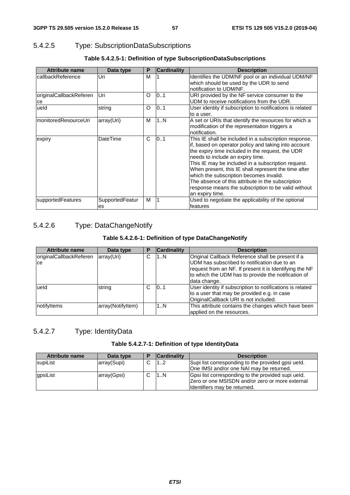# 5.4.2.5 Type: SubscriptionDataSubscriptions

| Table 5.4.2.5-1: Definition of type SubscriptionDataSubscriptions |  |  |  |
|-------------------------------------------------------------------|--|--|--|
|                                                                   |  |  |  |

| <b>Attribute name</b>         | Data type             | P       | <b>Cardinality</b> | <b>Description</b>                                                                                                                                                                                                                                                                                                                                                                                                                                                                            |
|-------------------------------|-----------------------|---------|--------------------|-----------------------------------------------------------------------------------------------------------------------------------------------------------------------------------------------------------------------------------------------------------------------------------------------------------------------------------------------------------------------------------------------------------------------------------------------------------------------------------------------|
| callbackReference             | Uri                   | M       |                    | Identifies the UDM/NF pool or an individual UDM/NF<br>which should be used by the UDR to send<br>notification to UDM/NF.                                                                                                                                                                                                                                                                                                                                                                      |
| originalCallbackReferen<br>ce | Uri                   | O       | 101                | URI provided by the NF service consumer to the<br>UDM to receive notifications from the UDR.                                                                                                                                                                                                                                                                                                                                                                                                  |
| ueld                          | string                | $\circ$ | 0.1                | User identity if subscription to notifications is related<br>to a user.                                                                                                                                                                                                                                                                                                                                                                                                                       |
| monitoredResourceUri          | array(Uri)            | м       | 1N                 | A set or URIs that identify the resources for which a<br>modification of the representation triggers a<br>notification.                                                                                                                                                                                                                                                                                                                                                                       |
| expiry                        | DateTime              | C       | 0.1                | This IE shall be included in a subscription response,<br>if, based on operator policy and taking into account<br>the expiry time included in the request, the UDR<br>needs to include an expiry time.<br>This IE may be included in a subscription request.<br>When present, this IE shall represent the time after<br>which the subscription becomes invalid.<br>The absence of this attribute in the subscription<br>response means the subscription to be valid without<br>an expiry time. |
| supportedFeatures             | SupportedFeatur<br>es | м       |                    | Used to negotiate the applicability of the optional<br>features                                                                                                                                                                                                                                                                                                                                                                                                                               |

# 5.4.2.6 Type: DataChangeNotify

# **Table 5.4.2.6-1: Definition of type DataChangeNotify**

| <b>Attribute name</b>          | Data type         | Р | <b>Cardinality</b> | <b>Description</b>                                        |
|--------------------------------|-------------------|---|--------------------|-----------------------------------------------------------|
| <b>originalCallbackReferen</b> | array(Uri)        | С | 1N                 | Original Callback Reference shall be present if a         |
| ce                             |                   |   |                    | UDM has subscribed to notification due to an              |
|                                |                   |   |                    | request from an NF. If present it is Identifying the NF   |
|                                |                   |   |                    | to which the UDM has to provide the notification of       |
|                                |                   |   |                    | data change.                                              |
| lueld                          | string            | C | 101                | User identity if subscription to notifications is related |
|                                |                   |   |                    | to a user that may be provided e.g. in case               |
|                                |                   |   |                    | OriginalCallback URI is not included.                     |
| notifyltems                    | array(NotifyItem) |   | 1N                 | This attribute contains the changes which have been       |
|                                |                   |   |                    | applied on the resources.                                 |

# 5.4.2.7 Type: IdentityData

# **Table 5.4.2.7-1: Definition of type IdentityData**

| Attribute name | Data type   | <b>Cardinality</b> | <b>Description</b>                                 |
|----------------|-------------|--------------------|----------------------------------------------------|
| supiList       | array(Supi) | 1.2                | Supi list corresponding to the provided gpsi ueld. |
|                |             |                    | One IMSI and/or one NAI may be returned.           |
| gpsiList       | array(Gpsi) | 1. N               | Gpsi list corresponding to the provided supi ueld. |
|                |             |                    | Zero or one MSISDN and/or zero or more external    |
|                |             |                    | Identifiers may be returned.                       |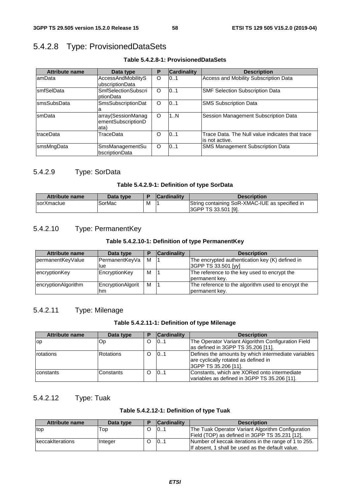# 5.4.2.8 Type: ProvisionedDataSets

**Table 5.4.2.8-1: ProvisionedDataSets** 

| <b>Attribute name</b> | Data type                  | P        | <b>Cardinality</b> | <b>Description</b>                              |
|-----------------------|----------------------------|----------|--------------------|-------------------------------------------------|
| lamData               | AccessAndMobilityS         | O        | 101                | Access and Mobility Subscription Data           |
|                       | ubscriptionData            |          |                    |                                                 |
| <b>smfSelData</b>     | <b>SmfSelectionSubscri</b> | O        | 0.1                | <b>SMF Selection Subscription Data</b>          |
|                       | ptionData                  |          |                    |                                                 |
| <b>smsSubsData</b>    | SmsSubscriptionDat         | O        | 0.1                | <b>SMS Subscription Data</b>                    |
|                       |                            |          |                    |                                                 |
| smData                | array(SessionManag         | $\Omega$ | 1N                 | Session Management Subscription Data            |
|                       | ementSubscriptionD         |          |                    |                                                 |
|                       | ata)                       |          |                    |                                                 |
| traceData             | TraceData                  | Ω        | 0.1                | Trace Data. The Null value indicates that trace |
|                       |                            |          |                    | lis not active.                                 |
| smsMngData            | SmsManagementSu            | $\Omega$ | 0.1                | <b>SMS Management Subscription Data</b>         |
|                       | bscriptionData             |          |                    |                                                 |

# 5.4.2.9 Type: SorData

### **Table 5.4.2.9-1: Definition of type SorData**

| <b>Attribute name</b> | Data type |   | <b>Cardinality</b> | <b>Description</b>                                                            |
|-----------------------|-----------|---|--------------------|-------------------------------------------------------------------------------|
| <b>IsorXmaclue</b>    | SorMac    | M |                    | String containing SoR-XMAC-IUE as specified in<br><b>I3GPP TS 33.501 [9].</b> |

# 5.4.2.10 Type: PermanentKey

# **Table 5.4.2.10-1: Definition of type PermanentKey**

| Attribute name      | Data type                |   | <b>Cardinality</b> | <b>Description</b>                                                     |
|---------------------|--------------------------|---|--------------------|------------------------------------------------------------------------|
| permanentKeyValue   | PermanentKeyVa<br>lue    | м |                    | The encrypted authentication key (K) defined in<br>3GPP TS 33.501 [yy] |
| encryptionKey       | EncryptionKey            | M |                    | The reference to the key used to encrypt the<br>permanent key.         |
| encryptionAlgorithm | EncryptionAlgorit<br>hm. | м |                    | The reference to the algorithm used to encrypt the<br>permanent key.   |

# 5.4.2.11 Type: Milenage

### **Table 5.4.2.11-1: Definition of type Milenage**

| <b>Attribute name</b> | Data type         | D        | <b>Cardinality</b> | <b>Description</b>                                                                           |
|-----------------------|-------------------|----------|--------------------|----------------------------------------------------------------------------------------------|
| lop                   | Op.               | O        | 0.1                | The Operator Variant Algorithm Configuration Field                                           |
|                       |                   |          |                    | as defined in 3GPP TS 35.206 [11].                                                           |
| rotations             | <b>IRotations</b> | $\Omega$ | 01                 | Defines the amounts by which intermediate variables<br>are cyclically rotated as defined in  |
|                       |                   |          |                    | 3GPP TS 35.206 [11].                                                                         |
|                       |                   |          |                    |                                                                                              |
| <b>constants</b>      | Constants         | $\Omega$ | 101                | Constants, which are XORed onto intermediate<br>variables as defined in 3GPP TS 35.206 [11]. |

# 5.4.2.12 Type: Tuak

# **Table 5.4.2.12-1: Definition of type Tuak**

| Attribute name   | Data type | D | <b>Cardinality</b> | <b>Description</b>                                                                                        |
|------------------|-----------|---|--------------------|-----------------------------------------------------------------------------------------------------------|
| top              | Гор       |   | 10                 | The Tuak Operator Variant Algorithm Configuration<br>Field (TOP) as defined in 3GPP TS 35.231 [12].       |
| keccakiterations | Integer   |   | 101                | Number of keccak iterations in the range of 1 to 255.<br>If absent. 1 shall be used as the default value. |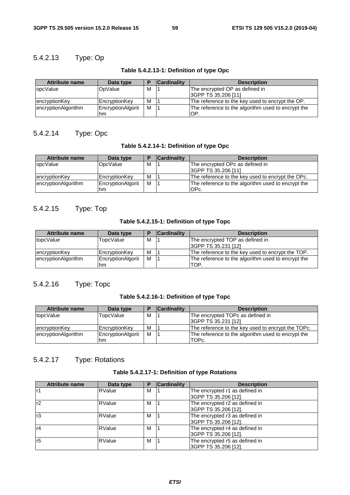# 5.4.2.13 Type: Op

| <b>Attribute name</b> | Data type         | Е | <b>Cardinality</b> | <b>Description</b>                                 |
|-----------------------|-------------------|---|--------------------|----------------------------------------------------|
| <b>lopcValue</b>      | OpValue           | M |                    | The encrypted OP as defined in                     |
|                       |                   |   |                    | 3GPP TS 35.206 [11]                                |
| encryptionKey         | EncryptionKey     | M |                    | The reference to the key used to encrypt the OP.   |
| encryptionAlgorithm   | EncryptionAlgorit | M |                    | The reference to the algorithm used to encrypt the |
|                       | hm                |   |                    | lOP                                                |

# **Table 5.4.2.13-1: Definition of type Opc**

# 5.4.2.14 Type: Opc

# **Table 5.4.2.14-1: Definition of type Opc**

| <b>Attribute name</b> | Data type         | в | <b>Cardinality</b> | <b>Description</b>                                 |
|-----------------------|-------------------|---|--------------------|----------------------------------------------------|
| lopcValue             | OpcValue          | M |                    | The encrypted OPc as defined in                    |
|                       |                   |   |                    | 3GPP TS 35.206 [11]                                |
| encryptionKey         | EncryptionKey     | M |                    | The reference to the key used to encrypt the OPc.  |
| encryptionAlgorithm   | EncryptionAlgorit | M |                    | The reference to the algorithm used to encrypt the |
|                       | hm                |   |                    | IOPc.                                              |

# 5.4.2.15 Type: Top

### **Table 5.4.2.15-1: Definition of type Topc**

| <b>Attribute name</b> | Data type               |   | <b>Cardinality</b> | <b>Description</b>                                         |
|-----------------------|-------------------------|---|--------------------|------------------------------------------------------------|
| topcValue             | TopcValue               | M |                    | The encrypted TOP as defined in                            |
|                       |                         |   |                    | 3GPP TS 35.231 [12]                                        |
| encryptionKey         | EncryptionKey           | M |                    | The reference to the key used to encrypt the TOP.          |
| encryptionAlgorithm   | EncryptionAlgorit<br>hm | м |                    | The reference to the algorithm used to encrypt the<br>TOP. |

# 5.4.2.16 Type: Topc

# **Table 5.4.2.16-1: Definition of type Topc**

| <b>Attribute name</b> | Data type         |   | <b>Cardinality</b> | <b>Description</b>                                 |
|-----------------------|-------------------|---|--------------------|----------------------------------------------------|
| topcValue             | TopcValue         | М |                    | The encrypted TOPc as defined in                   |
|                       |                   |   |                    | 3GPP TS 35.231 [12]                                |
| encryptionKey         | EncryptionKey     | M |                    | The reference to the key used to encrypt the TOPc. |
| encryptionAlgorithm   | EncryptionAlgorit | м |                    | The reference to the algorithm used to encrypt the |
|                       | hm                |   |                    | TOPc.                                              |

# 5.4.2.17 Type: Rotations

# **Table 5.4.2.17-1: Definition of type Rotations**

| <b>Attribute name</b> | Data type     | Р | <b>Cardinality</b> | <b>Description</b>             |
|-----------------------|---------------|---|--------------------|--------------------------------|
| lr1                   | <b>RValue</b> | м |                    | The encrypted r1 as defined in |
|                       |               |   |                    | 3GPP TS 35.206 [12].           |
| r2                    | <b>RValue</b> | м |                    | The encrypted r2 as defined in |
|                       |               |   |                    | 3GPP TS 35.206 [12].           |
| r3                    | <b>RValue</b> | м |                    | The encrypted r3 as defined in |
|                       |               |   |                    | 3GPP TS 35.206 [12].           |
| r4                    | <b>RValue</b> | м |                    | The encrypted r4 as defined in |
|                       |               |   |                    | 3GPP TS 35.206 [12].           |
| r <sub>5</sub>        | <b>RValue</b> | м |                    | The encrypted r5 as defined in |
|                       |               |   |                    | 3GPP TS 35.206 [12].           |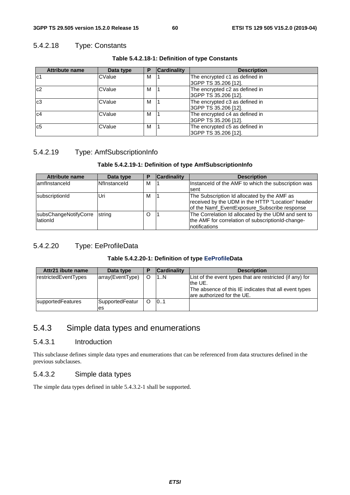# 5.4.2.18 Type: Constants

| <b>Attribute name</b> | Data type | Р | <b>Cardinality</b> | <b>Description</b>             |
|-----------------------|-----------|---|--------------------|--------------------------------|
| c1                    | CValue    | М |                    | The encrypted c1 as defined in |
|                       |           |   |                    | 3GPP TS 35.206 [12].           |
| c2                    | CValue    | м |                    | The encrypted c2 as defined in |
|                       |           |   |                    | 3GPP TS 35.206 [12].           |
| c <sub>3</sub>        | CValue    | м |                    | The encrypted c3 as defined in |
|                       |           |   |                    | 3GPP TS 35.206 [12].           |
| c4                    | CValue    | м |                    | The encrypted c4 as defined in |
|                       |           |   |                    | 3GPP TS 35.206 [12].           |
| c <sub>5</sub>        | CValue    | м |                    | The encrypted c5 as defined in |
|                       |           |   |                    | 3GPP TS 35.206 [12].           |

### **Table 5.4.2.18-1: Definition of type Constants**

# 5.4.2.19 Type: AmfSubscriptionInfo

### **Table 5.4.2.19-1: Definition of type AmfSubscriptionInfo**

| <b>Attribute name</b> | Data type    | Е | <b>Cardinality</b> | <b>Description</b>                                  |
|-----------------------|--------------|---|--------------------|-----------------------------------------------------|
| lamfInstanceId        | Nflnstanceld | м |                    | Instanceld of the AMF to which the subscription was |
|                       |              |   |                    | Isent                                               |
| subscriptionId        | Uri          | M |                    | The Subscription Id allocated by the AMF as         |
|                       |              |   |                    | received by the UDM in the HTTP "Location" header   |
|                       |              |   |                    | of the Namf_EventExposure_Subscribe response        |
| subsChangeNotifyCorre | string       | O |                    | The Correlation Id allocated by the UDM and sent to |
| lationId              |              |   |                    | the AMF for correlation of subscriptionId-change-   |
|                       |              |   |                    | Inotifications                                      |

# 5.4.2.20 Type: EeProfileData

### **Table 5.4.2.20-1: Definition of type EeProfileData**

| Attr21 ibute name    | Data type              |   | <b>Cardinality</b> | <b>Description</b>                                                                                                                                           |
|----------------------|------------------------|---|--------------------|--------------------------------------------------------------------------------------------------------------------------------------------------------------|
| restrictedEventTypes | array(EventType)       | O | 1N                 | List of the event types that are restricted (if any) for<br>Ithe UE.<br>The absence of this IE indicates that all event types<br>lare authorized for the UE. |
| supportedFeatures    | SupportedFeatur<br>les | O | 101                |                                                                                                                                                              |

# 5.4.3 Simple data types and enumerations

# 5.4.3.1 Introduction

This subclause defines simple data types and enumerations that can be referenced from data structures defined in the previous subclauses.

# 5.4.3.2 Simple data types

The simple data types defined in table 5.4.3.2-1 shall be supported.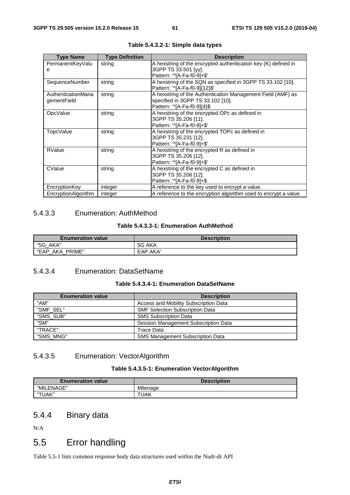| <b>Type Name</b>    | <b>Type Definition</b> | <b>Description</b>                                               |
|---------------------|------------------------|------------------------------------------------------------------|
| PermanentKeyValu    | string                 | A hexstring of the encrypted authentication key (K) defined in   |
| е                   |                        | 3GPP TS 33.501 [yy].                                             |
|                     |                        | Pattern: '^[A-Fa-f0-9]+\$'                                       |
| SequenceNumber      | string                 | A hexstring of the SQN as specified in 3GPP TS 33.102 [10].      |
|                     |                        | Pattern: '^[A-Fa-f0-9]{12}\$'                                    |
| AuthenticationMana  | string                 | A hexstring of the Authentication Management Field (AMF) as      |
| gementField         |                        | specified in 3GPP TS 33.102 [10].                                |
|                     |                        | Pattern: '^[A-Fa-f0-9]{4}\$                                      |
| OpcValue            | string                 | A hexstring of the encrypted OPc as defined in                   |
|                     |                        | 3GPP TS 35.206 [11].                                             |
|                     |                        | Pattern: '^[A-Fa-f0-9]+\$'                                       |
| <b>TopcValue</b>    | string                 | A hexstring of the encrypted TOPc as defined in                  |
|                     |                        | 3GPP TS 35.231 [12].                                             |
|                     |                        | Pattern: '^[A-Fa-f0-9]+\$'                                       |
| RValue              | string                 | A hexstring of the encrypted R as defined in                     |
|                     |                        | 3GPP TS 35.206 [12].                                             |
|                     |                        | Pattern: '^[A-Fa-f0-9]+\$'                                       |
| CValue              | string                 | A hexstring of the encrypted C as defined in                     |
|                     |                        | 3GPP TS 35.206 [12].                                             |
|                     |                        | Pattern: '^[A-Fa-f0-9]+\$                                        |
| EncryptionKey       | integer                | A reference to the key used to encrypt a value.                  |
| EncryptionAlgorithm | integer                | A reference to the encryption algorithm used to encrypt a value. |

**Table 5.4.3.2-1: Simple data types** 

# 5.4.3.3 Enumeration: AuthMethod

#### **Table 5.4.3.3-1: Enumeration AuthMethod**

| <b>Enumeration value</b> | <b>Description</b> |
|--------------------------|--------------------|
| "5G<br>AKA"              | 5G AKA             |
| "EAP<br>AKA<br>PRIME"    | EAP AKA'           |

# 5.4.3.4 Enumeration: DataSetName

#### **Table 5.4.3.4-1: Enumeration DataSetName**

| <b>Enumeration value</b> | <b>Description</b>                      |
|--------------------------|-----------------------------------------|
| "AM"                     | Access and Mobility Subscription Data   |
| "SMF SEL"                | <b>SMF Selection Subscription Data</b>  |
| "SMS_SUB"                | <b>SMS Subscription Data</b>            |
| "SM"                     | Session Management Subscription Data    |
| "TRACE"                  | Trace Data                              |
| "SMS MNG"                | <b>SMS Management Subscription Data</b> |

# 5.4.3.5 Enumeration: VectorAlgorithm

# **Table 5.4.3.5-1: Enumeration VectorAlgorithm**

| <b>Enumeration value</b> | <b>Description</b> |
|--------------------------|--------------------|
| "MILENAGE"               | Milenage           |
| "TUAK"                   | TUAK               |

# 5.4.4 Binary data

N/A

# 5.5 Error handling

Table 5.5-1 lists common response body data structures used within the Nudr-dr API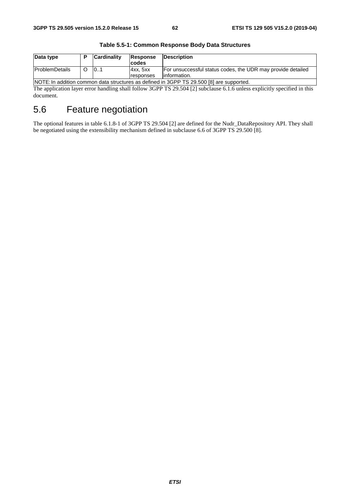| Data type                                                                                |  | <b>Cardinality</b> | Response<br>codes | <b>IDescription</b>                                         |  |
|------------------------------------------------------------------------------------------|--|--------------------|-------------------|-------------------------------------------------------------|--|
| <b>ProblemDetails</b>                                                                    |  | 101                | 4xx.5xx           | For unsuccessful status codes, the UDR may provide detailed |  |
|                                                                                          |  |                    | responses         | linformation.                                               |  |
| NOTE: In addition common data structures as defined in 3GPP TS 29.500 [8] are supported. |  |                    |                   |                                                             |  |

**Table 5.5-1: Common Response Body Data Structures** 

The application layer error handling shall follow 3GPP TS 29.504 [2] subclause 6.1.6 unless explicitly specified in this document.

# 5.6 Feature negotiation

The optional features in table 6.1.8-1 of 3GPP TS 29.504 [2] are defined for the Nudr\_DataRepository API. They shall be negotiated using the extensibility mechanism defined in subclause 6.6 of 3GPP TS 29.500 [8].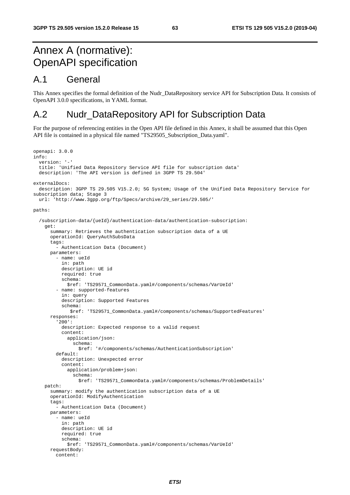# Annex A (normative): OpenAPI specification

# A.1 General

This Annex specifies the formal definition of the Nudr\_DataRepository service API for Subscription Data. It consists of OpenAPI 3.0.0 specifications, in YAML format.

# A.2 Nudr\_DataRepository API for Subscription Data

For the purpose of referencing entities in the Open API file defined in this Annex, it shall be assumed that this Open API file is contained in a physical file named "TS29505\_Subscription\_Data.yaml".

```
openapi: 3.0.0 
info: 
   version: '-' 
   title: 'Unified Data Repository Service API file for subscription data' 
   description: 'The API version is defined in 3GPP TS 29.504' 
externalDocs: 
   description: 3GPP TS 29.505 V15.2.0; 5G System; Usage of the Unified Data Repository Service for 
subscription data; Stage 3 
   url: 'http://www.3gpp.org/ftp/Specs/archive/29_series/29.505/' 
paths: 
   /subscription-data/{ueId}/authentication-data/authentication-subscription: 
     get: 
       summary: Retrieves the authentication subscription data of a UE 
       operationId: QueryAuthSubsData 
       tags: 
          - Authentication Data (Document) 
       parameters: 
          - name: ueId 
           in: path 
           description: UE id 
           required: true 
           schema: 
              $ref: 'TS29571_CommonData.yaml#/components/schemas/VarUeId' 
          - name: supported-features 
           in: query 
           description: Supported Features 
           schema: 
              $ref: 'TS29571_CommonData.yaml#/components/schemas/SupportedFeatures' 
       responses: 
          '200': 
           description: Expected response to a valid request 
           content: 
              application/json: 
                schema: 
                  $ref: '#/components/schemas/AuthenticationSubscription' 
         default: 
           description: Unexpected error 
           content: 
              application/problem+json: 
                schema: 
                  $ref: 'TS29571_CommonData.yaml#/components/schemas/ProblemDetails' 
     patch: 
       summary: modify the authentication subscription data of a UE 
       operationId: ModifyAuthentication 
      tags:
          - Authentication Data (Document) 
       parameters: 
         - name: ueId 
           in: path 
           description: UE id 
           required: true 
           schema: 
              $ref: 'TS29571_CommonData.yaml#/components/schemas/VarUeId' 
       requestBody: 
         content:
```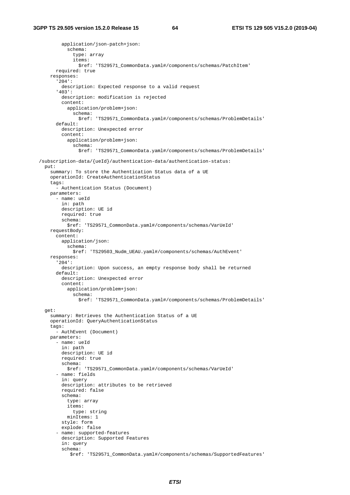```
 application/json-patch+json: 
           schema: 
              type: array 
             items: 
                $ref: 'TS29571_CommonData.yaml#/components/schemas/PatchItem' 
       required: true 
    responses: 
       '204': 
         description: Expected response to a valid request 
       '403': 
         description: modification is rejected 
         content: 
           application/problem+json: 
             schema: 
                $ref: 'TS29571_CommonData.yaml#/components/schemas/ProblemDetails' 
       default: 
         description: Unexpected error 
         content: 
           application/problem+json: 
              schema: 
                $ref: 'TS29571_CommonData.yaml#/components/schemas/ProblemDetails' 
 /subscription-data/{ueId}/authentication-data/authentication-status: 
  put: 
    summary: To store the Authentication Status data of a UE 
    operationId: CreateAuthenticationStatus 
    tags: 
       - Authentication Status (Document) 
    parameters: 
       - name: ueId 
         in: path 
         description: UE id 
         required: true 
         schema: 
           $ref: 'TS29571_CommonData.yaml#/components/schemas/VarUeId' 
     requestBody: 
       content: 
         application/json: 
           schema: 
             $ref: 'TS29503_Nudm_UEAU.yaml#/components/schemas/AuthEvent' 
     responses: 
       '204': 
         description: Upon success, an empty response body shall be returned 
       default: 
         description: Unexpected error 
         content: 
           application/problem+json: 
             schema: 
                $ref: 'TS29571_CommonData.yaml#/components/schemas/ProblemDetails' 
  get: 
    summary: Retrieves the Authentication Status of a UE 
    operationId: QueryAuthenticationStatus 
     tags: 
       - AuthEvent (Document) 
    parameters: 
       - name: ueId 
         in: path 
         description: UE id 
         required: true 
         schema: 
           $ref: 'TS29571_CommonData.yaml#/components/schemas/VarUeId' 
       - name: fields 
         in: query 
         description: attributes to be retrieved 
         required: false 
         schema: 
           type: array 
           items: 
             type: string 
           minItems: 1 
         style: form 
         explode: false 
       - name: supported-features 
         description: Supported Features 
         in: query 
         schema: 
            $ref: 'TS29571_CommonData.yaml#/components/schemas/SupportedFeatures'
```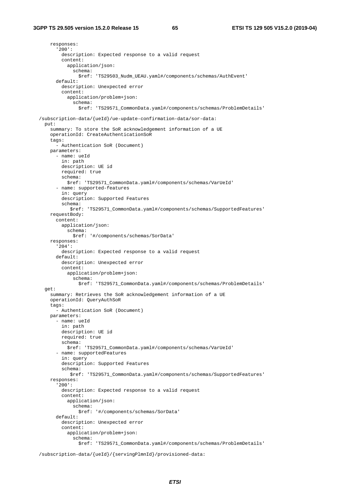responses: '200': description: Expected response to a valid request content: application/json: schema: \$ref: 'TS29503\_Nudm\_UEAU.yaml#/components/schemas/AuthEvent' default: description: Unexpected error content: application/problem+json: schema: \$ref: 'TS29571\_CommonData.yaml#/components/schemas/ProblemDetails' /subscription-data/{ueId}/ue-update-confirmation-data/sor-data: put: summary: To store the SoR acknowledgement information of a UE operationId: CreateAuthenticationSoR tags: - Authentication SoR (Document) parameters: - name: ueId in: path description: UE id required: true schema: \$ref: 'TS29571\_CommonData.yaml#/components/schemas/VarUeId' - name: supported-features in: query description: Supported Features schema: \$ref: 'TS29571\_CommonData.yaml#/components/schemas/SupportedFeatures' requestBody: content: application/json: schema: \$ref: '#/components/schemas/SorData' responses: '204': description: Expected response to a valid request default: description: Unexpected error content: application/problem+json: schema: \$ref: 'TS29571\_CommonData.yaml#/components/schemas/ProblemDetails' get: summary: Retrieves the SoR acknowledgement information of a UE operationId: QueryAuthSoR tags: - Authentication SoR (Document) parameters: - name: ueId in: path description: UE id required: true schema: \$ref: 'TS29571\_CommonData.yaml#/components/schemas/VarUeId' - name: supportedFeatures in: query description: Supported Features schema: \$ref: 'TS29571\_CommonData.yaml#/components/schemas/SupportedFeatures' responses: '200': description: Expected response to a valid request content: application/json: schema: \$ref: '#/components/schemas/SorData' default: description: Unexpected error content: application/problem+json: schema: \$ref: 'TS29571\_CommonData.yaml#/components/schemas/ProblemDetails'

/subscription-data/{ueId}/{servingPlmnId}/provisioned-data: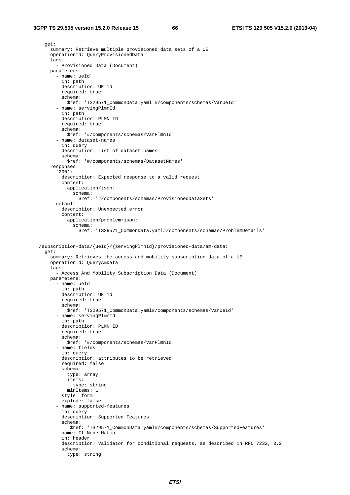```
 get: 
     summary: Retrieve multiple provisioned data sets of a UE 
     operationId: QueryProvisionedData 
     tags: 
       - Provisioned Data (Document) 
     parameters: 
       - name: ueId 
         in: path 
         description: UE id 
         required: true 
         schema: 
           $ref: 'TS29571_CommonData.yaml #/components/schemas/VarUeId' 
       - name: servingPlmnId 
         in: path 
         description: PLMN ID 
         required: true 
         schema: 
           $ref: '#/components/schemas/VarPlmnId' 
       - name: dataset-names 
         in: query 
         description: List of dataset names 
         schema: 
           $ref: '#/components/schemas/DatasetNames' 
     responses: 
       '200': 
         description: Expected response to a valid request 
         content: 
           application/json: 
             schema: 
                $ref: '#/components/schemas/ProvisionedDataSets' 
       default: 
         description: Unexpected error 
         content: 
           application/problem+json: 
              schema: 
                $ref: 'TS29571_CommonData.yaml#/components/schemas/ProblemDetails' 
 /subscription-data/{ueId}/{servingPlmnId}/provisioned-data/am-data: 
   get: 
     summary: Retrieves the access and mobility subscription data of a UE 
     operationId: QueryAmData 
     tags: 
       - Access And Mobility Subscription Data (Document) 
     parameters: 
       - name: ueId 
         in: path 
         description: UE id 
         required: true 
         schema: 
           $ref: 'TS29571_CommonData.yaml#/components/schemas/VarUeId' 
       - name: servingPlmnId 
         in: path 
         description: PLMN ID 
         required: true 
         schema: 
           $ref: '#/components/schemas/VarPlmnId' 
       - name: fields 
         in: query 
         description: attributes to be retrieved 
         required: false 
         schema: 
           type: array 
           items: 
              type: string 
           minItems: 1 
         style: form 
         explode: false 
       - name: supported-features 
         in: query 
         description: Supported Features 
         schema: 
            $ref: 'TS29571_CommonData.yaml#/components/schemas/SupportedFeatures' 
       - name: If-None-Match 
         in: header 
         description: Validator for conditional requests, as described in RFC 7232, 3.2 
         schema: 
           type: string
```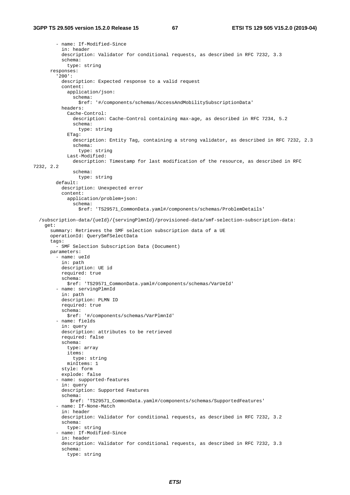```
 - name: If-Modified-Since 
           in: header 
           description: Validator for conditional requests, as described in RFC 7232, 3.3 
           schema: 
             type: string 
       responses: 
          '200': 
          description: Expected response to a valid request
           content: 
             application/json: 
               schema: 
                  $ref: '#/components/schemas/AccessAndMobilitySubscriptionData' 
           headers: 
              Cache-Control: 
                description: Cache-Control containing max-age, as described in RFC 7234, 5.2 
                schema: 
                  type: string 
             ETag: 
                description: Entity Tag, containing a strong validator, as described in RFC 7232, 2.3 
                schema: 
                 type: string 
              Last-Modified: 
                description: Timestamp for last modification of the resource, as described in RFC 
7232, 2.2 
                schema: 
                 type: string 
         default: 
           description: Unexpected error 
           content: 
             application/problem+json: 
                schema: 
                  $ref: 'TS29571_CommonData.yaml#/components/schemas/ProblemDetails' 
   /subscription-data/{ueId}/{servingPlmnId}/provisioned-data/smf-selection-subscription-data: 
     get: 
       summary: Retrieves the SMF selection subscription data of a UE 
       operationId: QuerySmfSelectData 
       tags: 
         - SMF Selection Subscription Data (Document) 
       parameters: 
         - name: ueId 
           in: path 
           description: UE id 
           required: true 
           schema: 
             $ref: 'TS29571_CommonData.yaml#/components/schemas/VarUeId' 
         - name: servingPlmnId 
           in: path 
           description: PLMN ID 
           required: true 
           schema: 
             $ref: '#/components/schemas/VarPlmnId' 
         - name: fields 
           in: query 
           description: attributes to be retrieved 
           required: false 
           schema: 
             type: array 
             items: 
                type: string 
             minItems: 1 
           style: form 
           explode: false 
          - name: supported-features 
           in: query 
           description: Supported Features 
           schema: 
              $ref: 'TS29571_CommonData.yaml#/components/schemas/SupportedFeatures' 
          - name: If-None-Match 
           in: header 
           description: Validator for conditional requests, as described in RFC 7232, 3.2 
           schema: 
             type: string 
          - name: If-Modified-Since 
           in: header 
           description: Validator for conditional requests, as described in RFC 7232, 3.3 
           schema: 
             type: string
```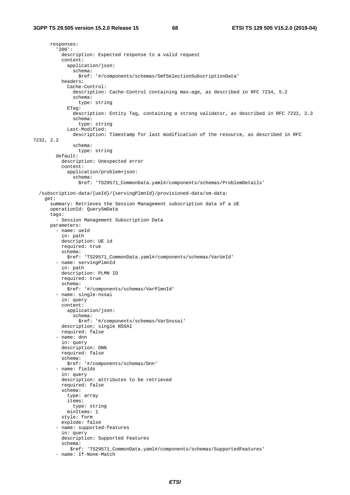responses: '200': description: Expected response to a valid request content: application/json: schema: \$ref: '#/components/schemas/SmfSelectionSubscriptionData' headers: Cache-Control: description: Cache-Control containing max-age, as described in RFC 7234, 5.2 schema: type: string ETag: description: Entity Tag, containing a strong validator, as described in RFC 7232, 2.3 schema: type: string Last-Modified: description: Timestamp for last modification of the resource, as described in RFC 7232, 2.2 schema: type: string default: description: Unexpected error content: application/problem+json: schema: \$ref: 'TS29571\_CommonData.yaml#/components/schemas/ProblemDetails' /subscription-data/{ueId}/{servingPlmnId}/provisioned-data/sm-data: get: summary: Retrieves the Session Management subscription data of a UE operationId: QuerySmData tags: - Session Management Subscription Data parameters: - name: ueId in: path description: UE id required: true schema: \$ref: 'TS29571\_CommonData.yaml#/components/schemas/VarUeId' - name: servingPlmnId in: path description: PLMN ID required: true schema: \$ref: '#/components/schemas/VarPlmnId' - name: single-nssai in: query content: application/json: schema: \$ref: '#/components/schemas/VarSnssai' description: single NSSAI required: false - name: dnn in: query description: DNN required: false schema: \$ref: '#/components/schemas/Dnn' - name: fields in: query description: attributes to be retrieved required: false schema: type: array items: type: string minItems: 1 style: form explode: false - name: supported-features in: query description: Supported Features schema: \$ref: 'TS29571\_CommonData.yaml#/components/schemas/SupportedFeatures' - name: If-None-Match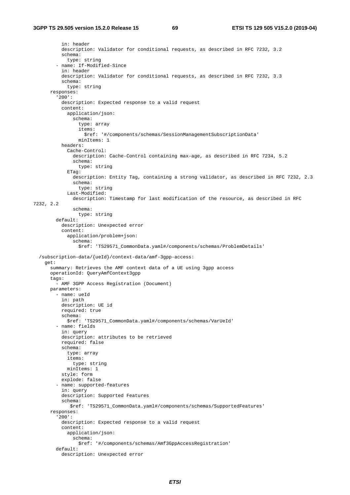```
 in: header 
           description: Validator for conditional requests, as described in RFC 7232, 3.2 
           schema: 
              type: string 
          - name: If-Modified-Since 
           in: header 
           description: Validator for conditional requests, as described in RFC 7232, 3.3 
           schema: 
             type: string 
       responses: 
          '200': 
           description: Expected response to a valid request 
           content: 
              application/json: 
                schema: 
                  type: array 
                  items: 
                    $ref: '#/components/schemas/SessionManagementSubscriptionData' 
                  minItems: 1 
           headers: 
              Cache-Control: 
                description: Cache-Control containing max-age, as described in RFC 7234, 5.2 
                schema: 
                 type: string 
              ETag: 
                description: Entity Tag, containing a strong validator, as described in RFC 7232, 2.3 
                schema: 
                  type: string 
              Last-Modified: 
                description: Timestamp for last modification of the resource, as described in RFC 
7232, 2.2 
                schema: 
                 type: string 
         default: 
           description: Unexpected error 
            content: 
              application/problem+json: 
                schema: 
                  $ref: 'TS29571_CommonData.yaml#/components/schemas/ProblemDetails' 
   /subscription-data/{ueId}/context-data/amf-3gpp-access: 
     get: 
       summary: Retrieves the AMF context data of a UE using 3gpp access 
       operationId: QueryAmfContext3gpp 
      tags:
         - AMF 3GPP Access Registration (Document)
       parameters: 
         - name: ueId 
            in: path 
           description: UE id 
           required: true 
           schema: 
              $ref: 'TS29571_CommonData.yaml#/components/schemas/VarUeId' 
          - name: fields 
           in: query 
           description: attributes to be retrieved 
           required: false 
           schema: 
              type: array 
             items: 
                type: string 
             minItems: 1 
           style: form 
           explode: false 
          - name: supported-features 
           in: query 
            description: Supported Features 
           schema: 
               $ref: 'TS29571_CommonData.yaml#/components/schemas/SupportedFeatures' 
       responses: 
          '200': 
           description: Expected response to a valid request 
           content: 
              application/json: 
                schema: 
                  $ref: '#/components/schemas/Amf3GppAccessRegistration' 
         default: 
           description: Unexpected error
```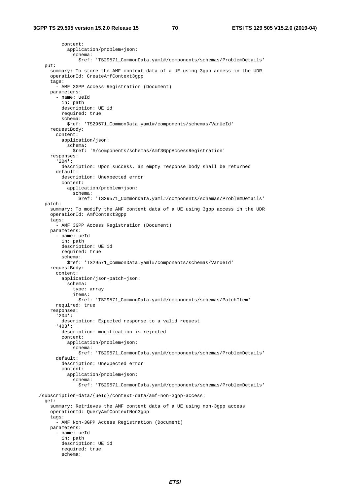content: application/problem+json: schema: \$ref: 'TS29571\_CommonData.yaml#/components/schemas/ProblemDetails' put: summary: To store the AMF context data of a UE using 3gpp access in the UDR operationId: CreateAmfContext3gpp tags: - AMF 3GPP Access Registration (Document) parameters: - name: ueId in: path description: UE id required: true schema: \$ref: 'TS29571\_CommonData.yaml#/components/schemas/VarUeId' requestBody: content: application/json: schema: \$ref: '#/components/schemas/Amf3GppAccessRegistration' responses: '204': description: Upon success, an empty response body shall be returned default: description: Unexpected error content: application/problem+json: schema: \$ref: 'TS29571\_CommonData.yaml#/components/schemas/ProblemDetails' patch: summary: To modify the AMF context data of a UE using 3gpp access in the UDR operationId: AmfContext3gpp tags: - AMF 3GPP Access Registration (Document) parameters: - name: ueId in: path description: UE id required: true schema: \$ref: 'TS29571\_CommonData.yaml#/components/schemas/VarUeId' requestBody: content: application/json-patch+json: schema: type: array items: \$ref: 'TS29571\_CommonData.yaml#/components/schemas/PatchItem' required: true responses: '204': description: Expected response to a valid request '403': description: modification is rejected content: application/problem+json: schema: \$ref: 'TS29571\_CommonData.yaml#/components/schemas/ProblemDetails' default: description: Unexpected error content: application/problem+json: schema: \$ref: 'TS29571\_CommonData.yaml#/components/schemas/ProblemDetails' /subscription-data/{ueId}/context-data/amf-non-3gpp-access: get: summary: Retrieves the AMF context data of a UE using non-3gpp access operationId: QueryAmfContextNon3gpp tags: - AMF Non-3GPP Access Registration (Document) parameters: - name: ueId in: path description: UE id required: true schema: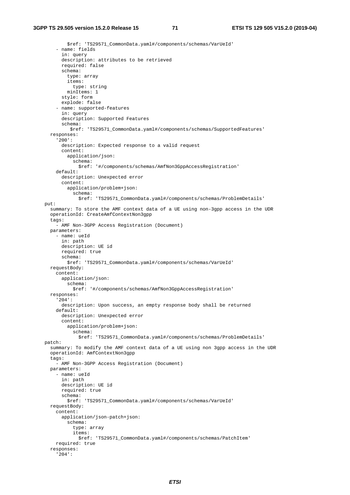```
 $ref: 'TS29571_CommonData.yaml#/components/schemas/VarUeId' 
     - name: fields 
       in: query 
       description: attributes to be retrieved 
       required: false 
       schema: 
         type: array 
         items: 
           type: string 
         minItems: 1 
       style: form 
       explode: false 
     - name: supported-features 
       in: query 
       description: Supported Features 
       schema: 
          $ref: 'TS29571_CommonData.yaml#/components/schemas/SupportedFeatures' 
   responses: 
     '200': 
       description: Expected response to a valid request 
       content: 
         application/json: 
           schema: 
              $ref: '#/components/schemas/AmfNon3GppAccessRegistration' 
     default: 
       description: Unexpected error 
       content: 
         application/problem+json: 
           schema: 
              $ref: 'TS29571_CommonData.yaml#/components/schemas/ProblemDetails' 
 put: 
   summary: To store the AMF context data of a UE using non-3gpp access in the UDR 
   operationId: CreateAmfContextNon3gpp 
   tags: 
     - AMF Non-3GPP Access Registration (Document) 
   parameters: 
     - name: ueId 
       in: path 
       description: UE id 
       required: true 
       schema: 
         $ref: 'TS29571_CommonData.yaml#/components/schemas/VarUeId' 
   requestBody: 
     content: 
       application/json: 
         schema: 
           $ref: '#/components/schemas/AmfNon3GppAccessRegistration' 
   responses: 
     '204': 
       description: Upon success, an empty response body shall be returned 
     default: 
       description: Unexpected error 
       content: 
         application/problem+json: 
           schema: 
              $ref: 'TS29571_CommonData.yaml#/components/schemas/ProblemDetails' 
 patch: 
   summary: To modify the AMF context data of a UE using non 3gpp access in the UDR 
   operationId: AmfContextNon3gpp 
   tags: 
     - AMF Non-3GPP Access Registration (Document) 
   parameters: 
     - name: ueId 
       in: path 
       description: UE id 
       required: true 
       schema: 
         $ref: 'TS29571_CommonData.yaml#/components/schemas/VarUeId' 
   requestBody: 
     content: 
       application/json-patch+json: 
         schema: 
           type: array 
           items: 
              $ref: 'TS29571_CommonData.yaml#/components/schemas/PatchItem' 
     required: true 
   responses: 
     '204':
```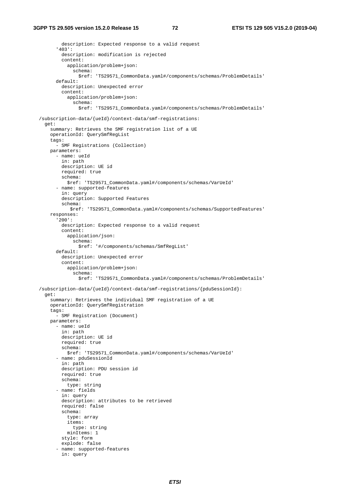description: Expected response to a valid request '403': description: modification is rejected content: application/problem+json: schema: \$ref: 'TS29571\_CommonData.yaml#/components/schemas/ProblemDetails' default: description: Unexpected error content: application/problem+json: schema: \$ref: 'TS29571\_CommonData.yaml#/components/schemas/ProblemDetails' /subscription-data/{ueId}/context-data/smf-registrations: get: summary: Retrieves the SMF registration list of a UE operationId: QuerySmfRegList tags: - SMF Registrations (Collection) parameters: - name: ueId in: path description: UE id required: true schema: \$ref: 'TS29571\_CommonData.yaml#/components/schemas/VarUeId' - name: supported-features in: query description: Supported Features schema: \$ref: 'TS29571\_CommonData.yaml#/components/schemas/SupportedFeatures' responses: '200': description: Expected response to a valid request content: application/json: schema: \$ref: '#/components/schemas/SmfRegList' default: description: Unexpected error content: application/problem+json: schema: \$ref: 'TS29571\_CommonData.yaml#/components/schemas/ProblemDetails' /subscription-data/{ueId}/context-data/smf-registrations/{pduSessionId}: get: summary: Retrieves the individual SMF registration of a UE operationId: QuerySmfRegistration tags: - SMF Registration (Document) parameters: - name: ueId in: path description: UE id required: true schema: \$ref: 'TS29571\_CommonData.yaml#/components/schemas/VarUeId' - name: pduSessionId in: path description: PDU session id required: true schema: type: string - name: fields in: query description: attributes to be retrieved required: false schema: type: array items: type: string minItems: 1 style: form explode: false - name: supported-features in: query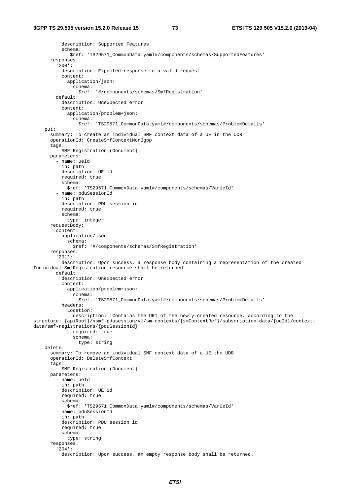```
 description: Supported Features 
           schema: 
              $ref: 'TS29571_CommonData.yaml#/components/schemas/SupportedFeatures' 
       responses: 
          '200': 
           description: Expected response to a valid request 
           content: 
              application/json: 
                schema: 
                  $ref: '#/components/schemas/SmfRegistration' 
         default: 
           description: Unexpected error 
           content: 
              application/problem+json: 
                schema: 
                  $ref: 'TS29571_CommonData.yaml#/components/schemas/ProblemDetails' 
     put: 
       summary: To create an individual SMF context data of a UE in the UDR 
       operationId: CreateSmfContextNon3gpp 
       tags: 
         - SMF Registration (Document) 
       parameters: 
         - name: ueId 
           in: path 
           description: UE id 
           required: true 
           schema: 
             $ref: 'TS29571_CommonData.yaml#/components/schemas/VarUeId' 
         - name: pduSessionId 
           in: path 
           description: PDU session id 
           required: true 
           schema: 
             type: integer 
       requestBody: 
         content: 
           application/json: 
              schema: 
                $ref: '#/components/schemas/SmfRegistration' 
       responses: 
          '201': 
           description: Upon success, a response body containing a representation of the created 
Individual SmfRegistration resource shall be returned 
         default: 
           description: Unexpected error 
           content: 
             application/problem+json: 
                schema: 
                  $ref: 'TS29571_CommonData.yaml#/components/schemas/ProblemDetails' 
           headers: 
              Location: 
                description: 'Contains the URI of the newly created resource, according to the 
structure: {apiRoot}/nsmf-pdusession/v1/sm-contexts/{smContextRef}/subscription-data/{ueId}/context-
data/smf-registrations/{pduSessionId}' 
               required: true 
               schema: 
                  type: string 
     delete: 
       summary: To remove an individual SMF context data of a UE the UDR 
       operationId: DeleteSmfContext 
       tags: 
          - SMF Registration (Document) 
       parameters: 
         - name: ueId 
           in: path 
           description: UE id 
           required: true 
           schema: 
              $ref: 'TS29571_CommonData.yaml#/components/schemas/VarUeId' 
         - name: pduSessionId 
           in: path 
           description: PDU session id 
           required: true 
           schema: 
             type: string 
       responses: 
          '204': 
           description: Upon success, an empty response body shall be returned.
```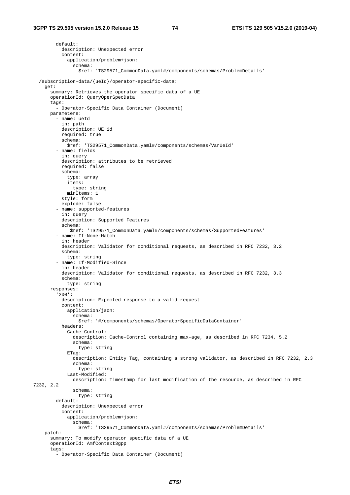default: description: Unexpected error content: application/problem+json: schema: \$ref: 'TS29571\_CommonData.yaml#/components/schemas/ProblemDetails' /subscription-data/{ueId}/operator-specific-data: get: summary: Retrieves the operator specific data of a UE operationId: QueryOperSpecData tags: - Operator-Specific Data Container (Document) parameters: - name: ueId in: path description: UE id required: true schema: \$ref: 'TS29571\_CommonData.yaml#/components/schemas/VarUeId' - name: fields in: query description: attributes to be retrieved required: false schema: type: array items: type: string minItems: 1 style: form explode: false - name: supported-features in: query description: Supported Features schema: \$ref: 'TS29571\_CommonData.yaml#/components/schemas/SupportedFeatures' - name: If-None-Match in: header description: Validator for conditional requests, as described in RFC 7232, 3.2 schema: type: string - name: If-Modified-Since in: header description: Validator for conditional requests, as described in RFC 7232, 3.3 schema: type: string responses: '200': description: Expected response to a valid request content: application/json: schema: \$ref: '#/components/schemas/OperatorSpecificDataContainer' headers: Cache-Control: description: Cache-Control containing max-age, as described in RFC 7234, 5.2 schema: type: string ETag: description: Entity Tag, containing a strong validator, as described in RFC 7232, 2.3 schema: type: string Last-Modified: description: Timestamp for last modification of the resource, as described in RFC 7232, 2.2 schema: type: string default: description: Unexpected error content: application/problem+json: schema: \$ref: 'TS29571\_CommonData.yaml#/components/schemas/ProblemDetails' patch: summary: To modify operator specific data of a UE operationId: AmfContext3gpp tags: - Operator-Specific Data Container (Document)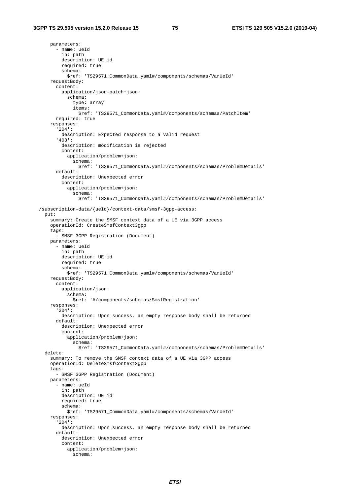parameters: - name: ueId in: path description: UE id required: true schema: \$ref: 'TS29571\_CommonData.yaml#/components/schemas/VarUeId' requestBody: content: application/json-patch+json: schema: type: array items: \$ref: 'TS29571\_CommonData.yaml#/components/schemas/PatchItem' required: true responses: '204': description: Expected response to a valid request '403': description: modification is rejected content: application/problem+json: schema: \$ref: 'TS29571\_CommonData.yaml#/components/schemas/ProblemDetails' default: description: Unexpected error content: application/problem+json: schema: \$ref: 'TS29571\_CommonData.yaml#/components/schemas/ProblemDetails' /subscription-data/{ueId}/context-data/smsf-3gpp-access: put: summary: Create the SMSF context data of a UE via 3GPP access operationId: CreateSmsfContext3gpp tags: - SMSF 3GPP Registration (Document) parameters: - name: ueId in: path description: UE id required: true schema: \$ref: 'TS29571\_CommonData.yaml#/components/schemas/VarUeId' requestBody: content: application/json: schema: \$ref: '#/components/schemas/SmsfRegistration' responses: '204': description: Upon success, an empty response body shall be returned default: description: Unexpected error content: application/problem+json: schema: \$ref: 'TS29571\_CommonData.yaml#/components/schemas/ProblemDetails' delete: summary: To remove the SMSF context data of a UE via 3GPP access operationId: DeleteSmsfContext3gpp tags: - SMSF 3GPP Registration (Document) parameters: - name: ueId in: path description: UE id required: true schema: \$ref: 'TS29571\_CommonData.yaml#/components/schemas/VarUeId' responses: '204': description: Upon success, an empty response body shall be returned default: description: Unexpected error content: application/problem+json: schema: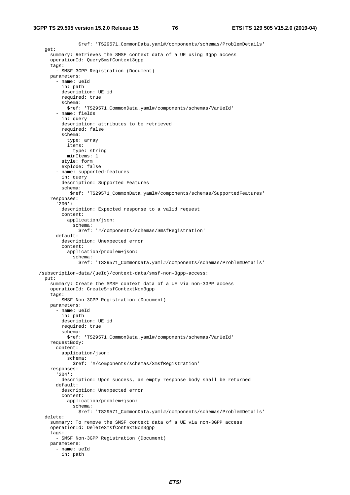```
 $ref: 'TS29571_CommonData.yaml#/components/schemas/ProblemDetails' 
   get: 
     summary: Retrieves the SMSF context data of a UE using 3gpp access 
     operationId: QuerySmsfContext3gpp 
     tags: 
       - SMSF 3GPP Registration (Document) 
     parameters: 
       - name: ueId 
         in: path 
         description: UE id 
         required: true 
         schema: 
           $ref: 'TS29571_CommonData.yaml#/components/schemas/VarUeId' 
       - name: fields 
         in: query 
         description: attributes to be retrieved 
         required: false 
         schema: 
           type: array 
           items: 
             type: string 
           minItems: 1 
         style: form 
         explode: false 
       - name: supported-features 
         in: query 
         description: Supported Features 
         schema: 
            $ref: 'TS29571_CommonData.yaml#/components/schemas/SupportedFeatures' 
     responses: 
       '200': 
         description: Expected response to a valid request 
         content: 
           application/json: 
              schema: 
                $ref: '#/components/schemas/SmsfRegistration' 
       default: 
         description: Unexpected error 
         content: 
           application/problem+json: 
             schema: 
                $ref: 'TS29571_CommonData.yaml#/components/schemas/ProblemDetails' 
 /subscription-data/{ueId}/context-data/smsf-non-3gpp-access: 
  put: 
     summary: Create the SMSF context data of a UE via non-3GPP access 
     operationId: CreateSmsfContextNon3gpp 
     tags: 
       - SMSF Non-3GPP Registration (Document) 
    parameters: 
       - name: ueId 
         in: path 
         description: UE id 
         required: true 
         schema: 
           $ref: 'TS29571_CommonData.yaml#/components/schemas/VarUeId' 
     requestBody: 
       content: 
         application/json: 
           schema: 
             $ref: '#/components/schemas/SmsfRegistration' 
     responses: 
       '204': 
         description: Upon success, an empty response body shall be returned 
       default: 
         description: Unexpected error 
         content: 
           application/problem+json: 
             schema: 
                $ref: 'TS29571_CommonData.yaml#/components/schemas/ProblemDetails' 
   delete: 
     summary: To remove the SMSF context data of a UE via non-3GPP access 
     operationId: DeleteSmsfContextNon3gpp 
     tags: 
       - SMSF Non-3GPP Registration (Document) 
     parameters: 
       - name: ueId 
         in: path
```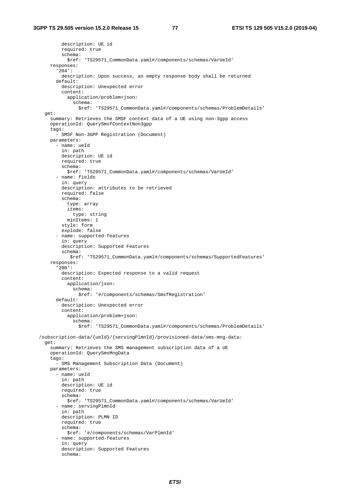description: UE id required: true schema: \$ref: 'TS29571\_CommonData.yaml#/components/schemas/VarUeId' responses: '204': description: Upon success, an empty response body shall be returned default: description: Unexpected error content: application/problem+json: schema: \$ref: 'TS29571\_CommonData.yaml#/components/schemas/ProblemDetails' get: summary: Retrieves the SMSF context data of a UE using non-3gpp access operationId: QuerySmsfContextNon3gpp tags: - SMSF Non-3GPP Registration (Document) parameters: - name: ueId in: path description: UE id required: true schema: \$ref: 'TS29571\_CommonData.yaml#/components/schemas/VarUeId' - name: fields in: query description: attributes to be retrieved required: false schema: type: array items: type: string minItems: 1 style: form explode: false - name: supported-features in: query description: Supported Features schema: \$ref: 'TS29571\_CommonData.yaml#/components/schemas/SupportedFeatures' responses: '200': description: Expected response to a valid request content: application/json: schema: \$ref: '#/components/schemas/SmsfRegistration' default: description: Unexpected error content: application/problem+json: schema: \$ref: 'TS29571\_CommonData.yaml#/components/schemas/ProblemDetails' /subscription-data/{ueId}/{servingPlmnId}/provisioned-data/sms-mng-data: get: summary: Retrieves the SMS management subscription data of a UE operationId: QuerySmsMngData tags: - SMS Management Subscription Data (Document) parameters: - name: ueId in: path description: UE id required: true schema: \$ref: 'TS29571\_CommonData.yaml#/components/schemas/VarUeId' - name: servingPlmnId in: path description: PLMN ID required: true schema: \$ref: '#/components/schemas/VarPlmnId' - name: supported-features in: query description: Supported Features schema: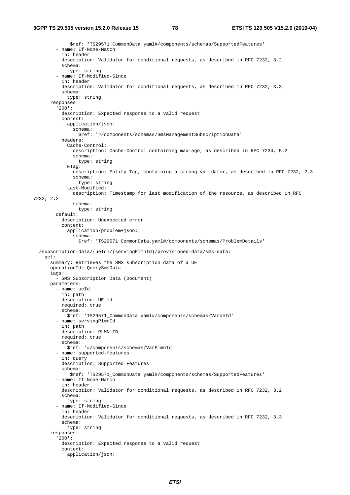```
 $ref: 'TS29571_CommonData.yaml#/components/schemas/SupportedFeatures' 
          - name: If-None-Match 
           in: header 
           description: Validator for conditional requests, as described in RFC 7232, 3.2 
           schema: 
             type: string 
          - name: If-Modified-Since 
           in: header 
           description: Validator for conditional requests, as described in RFC 7232, 3.3 
           schema: 
             type: string 
       responses: 
          '200': 
           description: Expected response to a valid request 
           content: 
             application/json: 
                schema: 
                  $ref: '#/components/schemas/SmsManagementSubscriptionData' 
           headers: 
              Cache-Control: 
               description: Cache-Control containing max-age, as described in RFC 7234, 5.2 
                schema: 
                  type: string 
              ETag: 
                description: Entity Tag, containing a strong validator, as described in RFC 7232, 2.3 
                schema: 
                  type: string 
              Last-Modified: 
                description: Timestamp for last modification of the resource, as described in RFC 
7232, 2.2 
                schema: 
                 type: string 
         default: 
           description: Unexpected error 
           content: 
              application/problem+json: 
                schema: 
                  $ref: 'TS29571_CommonData.yaml#/components/schemas/ProblemDetails' 
   /subscription-data/{ueId}/{servingPlmnId}/provisioned-data/sms-data: 
     get: 
       summary: Retrieves the SMS subscription data of a UE 
       operationId: QuerySmsData 
       tags: 
         - SMS Subscription Data (Document) 
       parameters: 
         - name: ueId 
           in: path 
           description: UE id 
           required: true 
           schema: 
             $ref: 'TS29571_CommonData.yaml#/components/schemas/VarUeId' 
          - name: servingPlmnId 
            in: path 
           description: PLMN ID 
           required: true 
           schema: 
              $ref: '#/components/schemas/VarPlmnId' 
          - name: supported-features 
           in: query 
           description: Supported Features 
           schema: 
              $ref: 'TS29571_CommonData.yaml#/components/schemas/SupportedFeatures' 
          - name: If-None-Match 
           in: header 
           description: Validator for conditional requests, as described in RFC 7232, 3.2 
           schema: 
             type: string 
          - name: If-Modified-Since 
           in: header 
           description: Validator for conditional requests, as described in RFC 7232, 3.3 
           schema: 
             type: string 
       responses: 
          '200': 
           description: Expected response to a valid request 
           content: 
              application/json:
```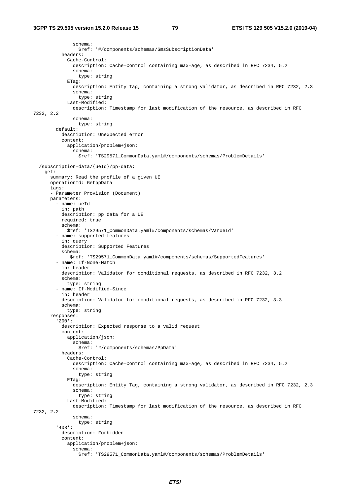```
 schema: 
                  $ref: '#/components/schemas/SmsSubscriptionData' 
           headers: 
              Cache-Control: 
                description: Cache-Control containing max-age, as described in RFC 7234, 5.2 
                schema: 
                  type: string 
             ETag:
                description: Entity Tag, containing a strong validator, as described in RFC 7232, 2.3 
                schema: 
                 type: string 
              Last-Modified: 
                description: Timestamp for last modification of the resource, as described in RFC 
7232, 2.2 
                schema: 
                 type: string 
         default: 
           description: Unexpected error 
           content: 
             application/problem+json: 
               schema: 
                  $ref: 'TS29571_CommonData.yaml#/components/schemas/ProblemDetails' 
   /subscription-data/{ueId}/pp-data: 
     get: 
       summary: Read the profile of a given UE 
       operationId: GetppData 
       tags: 
       - Parameter Provision (Document) 
       parameters: 
          - name: ueId 
           in: path 
           description: pp data for a UE 
           required: true 
           schema: 
             $ref: 'TS29571_CommonData.yaml#/components/schemas/VarUeId' 
          - name: supported-features 
           in: query 
           description: Supported Features 
           schema: 
              $ref: 'TS29571_CommonData.yaml#/components/schemas/SupportedFeatures' 
          - name: If-None-Match 
           in: header 
           description: Validator for conditional requests, as described in RFC 7232, 3.2 
           schema: 
             type: string 
          - name: If-Modified-Since 
           in: header 
           description: Validator for conditional requests, as described in RFC 7232, 3.3 
           schema: 
             type: string 
       responses: 
          '200': 
           description: Expected response to a valid request 
           content: 
             application/json: 
                schema: 
                  $ref: '#/components/schemas/PpData' 
           headers: 
              Cache-Control: 
                description: Cache-Control containing max-age, as described in RFC 7234, 5.2 
                schema: 
                 type: string 
              ETag: 
                description: Entity Tag, containing a strong validator, as described in RFC 7232, 2.3 
                schema: 
                  type: string 
              Last-Modified: 
                description: Timestamp for last modification of the resource, as described in RFC 
7232, 2.2 
               schema: 
                 type: string 
          '403': 
           description: Forbidden 
           content: 
              application/problem+json: 
                schema: 
                  $ref: 'TS29571_CommonData.yaml#/components/schemas/ProblemDetails'
```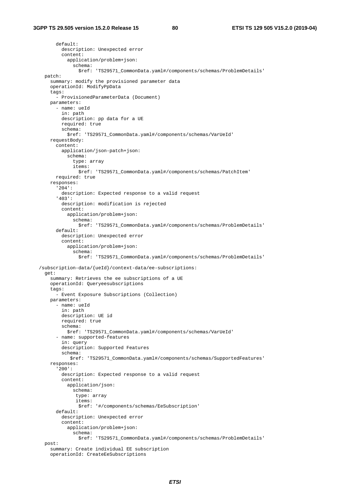default: description: Unexpected error content: application/problem+json: schema: \$ref: 'TS29571\_CommonData.yaml#/components/schemas/ProblemDetails' patch: summary: modify the provisioned parameter data operationId: ModifyPpData tags: - ProvisionedParameterData (Document) parameters: - name: ueId in: path description: pp data for a UE required: true schema: \$ref: 'TS29571\_CommonData.yaml#/components/schemas/VarUeId' requestBody: content: application/json-patch+json: schema: type: array items: \$ref: 'TS29571\_CommonData.yaml#/components/schemas/PatchItem' required: true responses: '204': description: Expected response to a valid request '403': description: modification is rejected content: application/problem+json: schema: \$ref: 'TS29571\_CommonData.yaml#/components/schemas/ProblemDetails' default: description: Unexpected error content: application/problem+json: schema: \$ref: 'TS29571\_CommonData.yaml#/components/schemas/ProblemDetails' /subscription-data/{ueId}/context-data/ee-subscriptions: get: summary: Retrieves the ee subscriptions of a UE operationId: Queryeesubscriptions tags: - Event Exposure Subscriptions (Collection) parameters: - name: ueId in: path description: UE id required: true schema: \$ref: 'TS29571\_CommonData.yaml#/components/schemas/VarUeId' - name: supported-features in: query description: Supported Features schema: \$ref: 'TS29571\_CommonData.yaml#/components/schemas/SupportedFeatures' responses: '200': description: Expected response to a valid request content: application/json: schema: type: array items: \$ref: '#/components/schemas/EeSubscription' default: description: Unexpected error content: application/problem+json: schema: \$ref: 'TS29571\_CommonData.yaml#/components/schemas/ProblemDetails' post: summary: Create individual EE subscription operationId: CreateEeSubscriptions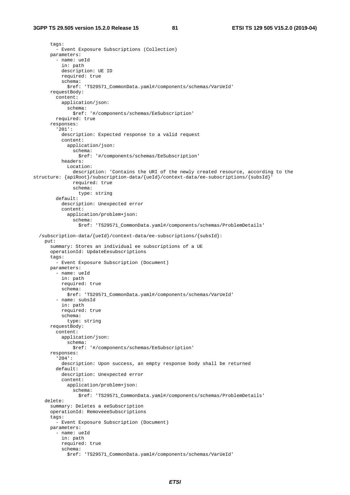## **3GPP TS 29.505 version 15.2.0 Release 15 81 ETSI TS 129 505 V15.2.0 (2019-04)**

```
 tags: 
          - Event Exposure Subscriptions (Collection) 
       parameters: 
          - name: ueId 
           in: path 
           description: UE ID 
           required: true 
           schema: 
              $ref: 'TS29571_CommonData.yaml#/components/schemas/VarUeId' 
       requestBody: 
         content: 
           application/json: 
              schema: 
                $ref: '#/components/schemas/EeSubscription' 
         required: true 
       responses: 
          '201': 
           description: Expected response to a valid request 
            content: 
              application/json: 
                schema: 
                  $ref: '#/components/schemas/EeSubscription' 
           headers: 
              Location: 
                description: 'Contains the URI of the newly created resource, according to the 
structure: {apiRoot}/subscription-data/{ueId}/context-data/ee-subscriptions/{subsId}' 
                required: true 
                schema: 
                  type: string 
         default: 
           description: Unexpected error 
            content: 
              application/problem+json: 
                schema: 
                  $ref: 'TS29571_CommonData.yaml#/components/schemas/ProblemDetails' 
   /subscription-data/{ueId}/context-data/ee-subscriptions/{subsId}: 
     put: 
       summary: Stores an individual ee subscriptions of a UE 
       operationId: UpdateEesubscriptions 
       tags: 
         - Event Exposure Subscription (Document) 
       parameters: 
         - name: ueId 
           in: path 
           required: true 
           schema: 
              $ref: 'TS29571_CommonData.yaml#/components/schemas/VarUeId' 
          - name: subsId 
           in: path 
           required: true 
           schema: 
              type: string 
       requestBody: 
         content: 
           application/json: 
              schema: 
                $ref: '#/components/schemas/EeSubscription' 
       responses: 
          '204': 
           description: Upon success, an empty response body shall be returned 
          default: 
           description: Unexpected error 
            content: 
              application/problem+json: 
                schema: 
                  $ref: 'TS29571_CommonData.yaml#/components/schemas/ProblemDetails' 
     delete: 
       summary: Deletes a eeSubscription 
       operationId: RemoveeeSubscriptions 
       tags: 
          - Event Exposure Subscription (Document) 
       parameters: 
          - name: ueId 
           in: path 
           required: true 
           schema: 
              $ref: 'TS29571_CommonData.yaml#/components/schemas/VarUeId'
```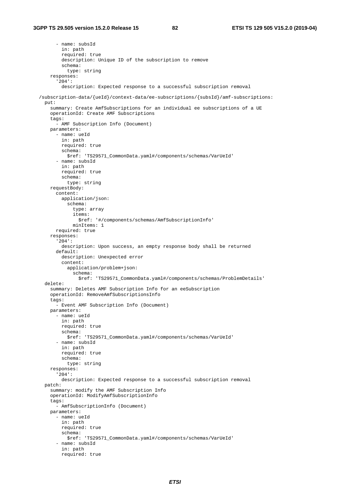```
 - name: subsId 
         in: path 
         required: true 
         description: Unique ID of the subscription to remove 
         schema: 
           type: string 
     responses: 
       '204': 
         description: Expected response to a successful subscription removal 
 /subscription-data/{ueId}/context-data/ee-subscriptions/{subsId}/amf-subscriptions: 
  put: 
    summary: Create AmfSubscriptions for an individual ee subscriptions of a UE 
     operationId: Create AMF Subscriptions 
     tags: 
      - AMF Subscription Info (Document) 
    parameters: 
       - name: ueId 
        in: path 
         required: true 
         schema: 
           $ref: 'TS29571_CommonData.yaml#/components/schemas/VarUeId' 
       - name: subsId 
         in: path 
         required: true 
         schema: 
           type: string 
     requestBody: 
       content: 
         application/json: 
           schema: 
              type: array 
              items: 
               $ref: '#/components/schemas/AmfSubscriptionInfo' 
             minItems: 1 
       required: true 
    responses: 
       '204': 
         description: Upon success, an empty response body shall be returned 
       default: 
         description: Unexpected error 
         content: 
           application/problem+json: 
             schema: 
               $ref: 'TS29571_CommonData.yaml#/components/schemas/ProblemDetails' 
  delete: 
    summary: Deletes AMF Subscription Info for an eeSubscription 
    operationId: RemoveAmfSubscriptionsInfo 
    tags: 
       - Event AMF Subscription Info (Document) 
    parameters: 
       - name: ueId 
        in: path 
         required: true 
        schema: 
           $ref: 'TS29571_CommonData.yaml#/components/schemas/VarUeId' 
       - name: subsId 
         in: path 
         required: true 
         schema: 
           type: string 
     responses: 
       '204': 
        description: Expected response to a successful subscription removal 
  patch: 
     summary: modify the AMF Subscription Info 
     operationId: ModifyAmfSubscriptionInfo 
     tags: 
       - AmfSubscriptionInfo (Document) 
    parameters: 
       - name: ueId 
         in: path 
         required: true 
         schema: 
           $ref: 'TS29571_CommonData.yaml#/components/schemas/VarUeId' 
       - name: subsId 
         in: path 
         required: true
```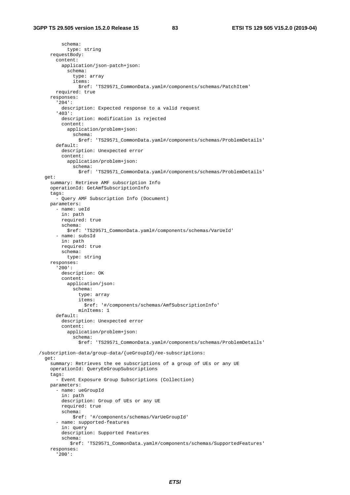schema: type: string requestBody: content: application/json-patch+json: schema: type: array items: \$ref: 'TS29571\_CommonData.yaml#/components/schemas/PatchItem' required: true responses: '204': description: Expected response to a valid request '403': description: modification is rejected content: application/problem+json: schema: \$ref: 'TS29571\_CommonData.yaml#/components/schemas/ProblemDetails' default: description: Unexpected error content: application/problem+json: schema: \$ref: 'TS29571\_CommonData.yaml#/components/schemas/ProblemDetails' get: summary: Retrieve AMF subscription Info operationId: GetAmfSubscriptionInfo tags: - Query AMF Subscription Info (Document) parameters: - name: ueId in: path required: true schema: \$ref: 'TS29571\_CommonData.yaml#/components/schemas/VarUeId' - name: subsId in: path required: true schema: type: string responses: '200': description: OK content: application/json: schema: type: array items: \$ref: '#/components/schemas/AmfSubscriptionInfo' minItems: 1 default: description: Unexpected error content: application/problem+json: schema: \$ref: 'TS29571\_CommonData.yaml#/components/schemas/ProblemDetails' /subscription-data/group-data/{ueGroupId}/ee-subscriptions: get: summary: Retrieves the ee subscriptions of a group of UEs or any UE operationId: QueryEeGroupSubscriptions tags: - Event Exposure Group Subscriptions (Collection) parameters: - name: ueGroupId in: path description: Group of UEs or any UE required: true schema: \$ref: '#/components/schemas/VarUeGroupId' - name: supported-features in: query description: Supported Features schema: \$ref: 'TS29571\_CommonData.yaml#/components/schemas/SupportedFeatures' responses: '200':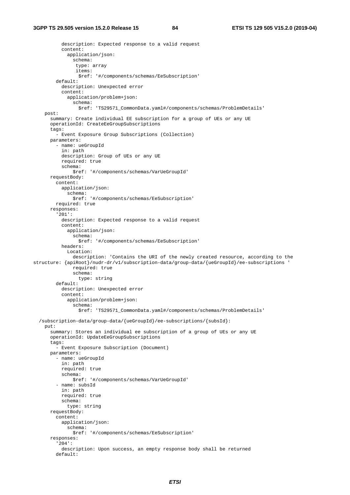description: Expected response to a valid request content: application/json: schema: type: array items: \$ref: '#/components/schemas/EeSubscription' default: description: Unexpected error content: application/problem+json: schema: \$ref: 'TS29571\_CommonData.yaml#/components/schemas/ProblemDetails' post: summary: Create individual EE subscription for a group of UEs or any UE operationId: CreateEeGroupSubscriptions tags: - Event Exposure Group Subscriptions (Collection) parameters: - name: ueGroupId in: path description: Group of UEs or any UE required: true schema: \$ref: '#/components/schemas/VarUeGroupId' requestBody: content: application/json: schema: \$ref: '#/components/schemas/EeSubscription' required: true responses: '201': description: Expected response to a valid request content: application/json: schema: \$ref: '#/components/schemas/EeSubscription' headers: Location: description: 'Contains the URI of the newly created resource, according to the structure: {apiRoot}/nudr-dr/v1/subscription-data/group-data/{ueGroupId}/ee-subscriptions ' required: true schema: type: string default: description: Unexpected error content: application/problem+json: schema: \$ref: 'TS29571\_CommonData.yaml#/components/schemas/ProblemDetails' /subscription-data/group-data/{ueGroupId}/ee-subscriptions/{subsId}: put: summary: Stores an individual ee subscription of a group of UEs or any UE operationId: UpdateEeGroupSubscriptions tags: - Event Exposure Subscription (Document) parameters: - name: ueGroupId in: path required: true schema: \$ref: '#/components/schemas/VarUeGroupId' - name: subsId in: path required: true schema: type: string requestBody: content: application/json: schema: \$ref: '#/components/schemas/EeSubscription' responses: '204': description: Upon success, an empty response body shall be returned default: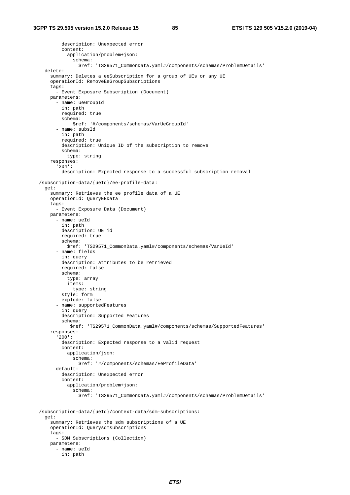description: Unexpected error content: application/problem+json: schema: \$ref: 'TS29571\_CommonData.yaml#/components/schemas/ProblemDetails' delete: summary: Deletes a eeSubscription for a group of UEs or any UE operationId: RemoveEeGroupSubscriptions tags: - Event Exposure Subscription (Document) parameters: - name: ueGroupId in: path required: true schema: \$ref: '#/components/schemas/VarUeGroupId' - name: subsId in: path required: true description: Unique ID of the subscription to remove schema: type: string responses: '204': description: Expected response to a successful subscription removal /subscription-data/{ueId}/ee-profile-data: get: summary: Retrieves the ee profile data of a UE operationId: QueryEEData tags: - Event Exposure Data (Document) parameters: - name: ueId in: path description: UE id required: true schema: \$ref: 'TS29571\_CommonData.yaml#/components/schemas/VarUeId' - name: fields in: query description: attributes to be retrieved required: false schema: type: array items: type: string style: form explode: false - name: supportedFeatures in: query description: Supported Features schema: \$ref: 'TS29571\_CommonData.yaml#/components/schemas/SupportedFeatures' responses: '200': description: Expected response to a valid request content: application/json: schema: \$ref: '#/components/schemas/EeProfileData' default: description: Unexpected error content: application/problem+json: schema: \$ref: 'TS29571\_CommonData.yaml#/components/schemas/ProblemDetails' /subscription-data/{ueId}/context-data/sdm-subscriptions: get: summary: Retrieves the sdm subscriptions of a UE operationId: Querysdmsubscriptions tags: - SDM Subscriptions (Collection) parameters: - name: ueId in: path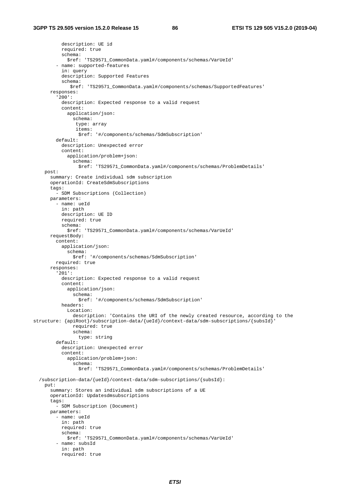```
 description: UE id 
           required: true 
           schema: 
              $ref: 'TS29571_CommonData.yaml#/components/schemas/VarUeId' 
          - name: supported-features 
            in: query 
           description: Supported Features 
           schema: 
               $ref: 'TS29571_CommonData.yaml#/components/schemas/SupportedFeatures' 
       responses: 
          '200': 
           description: Expected response to a valid request 
           content: 
              application/json: 
                schema: 
                 type: array 
                 items: 
                  $ref: '#/components/schemas/SdmSubscription' 
          default: 
           description: Unexpected error 
           content: 
              application/problem+json: 
                schema: 
                  $ref: 'TS29571_CommonData.yaml#/components/schemas/ProblemDetails' 
     post: 
       summary: Create individual sdm subscription 
       operationId: CreateSdmSubscriptions 
       tags: 
         - SDM Subscriptions (Collection) 
       parameters: 
          - name: ueId 
           in: path 
           description: UE ID 
           required: true 
           schema: 
             $ref: 'TS29571_CommonData.yaml#/components/schemas/VarUeId' 
       requestBody: 
         content: 
           application/json: 
              schema: 
                $ref: '#/components/schemas/SdmSubscription' 
         required: true 
       responses: 
          '201': 
           description: Expected response to a valid request 
            content: 
              application/json: 
                schema: 
                  $ref: '#/components/schemas/SdmSubscription' 
           headers: 
              Location: 
                description: 'Contains the URI of the newly created resource, according to the 
structure: {apiRoot}/subscription-data/{ueId}/context-data/sdm-subscriptions/{subsId}' 
                required: true 
                schema: 
                  type: string 
         default: 
           description: Unexpected error 
            content: 
              application/problem+json: 
                schema: 
                  $ref: 'TS29571_CommonData.yaml#/components/schemas/ProblemDetails' 
   /subscription-data/{ueId}/context-data/sdm-subscriptions/{subsId}: 
     put: 
       summary: Stores an individual sdm subscriptions of a UE 
       operationId: Updatesdmsubscriptions 
       tags: 
          - SDM Subscription (Document) 
       parameters: 
          - name: ueId 
           in: path 
           required: true 
           schema: 
              $ref: 'TS29571_CommonData.yaml#/components/schemas/VarUeId' 
          - name: subsId 
            in: path 
           required: true
```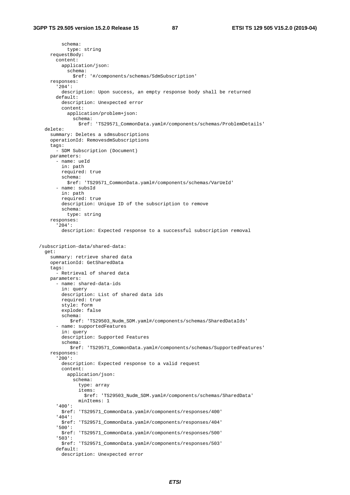schema: type: string requestBody: content: application/json: schema: \$ref: '#/components/schemas/SdmSubscription' responses: '204': description: Upon success, an empty response body shall be returned default: description: Unexpected error content: application/problem+json: schema: \$ref: 'TS29571\_CommonData.yaml#/components/schemas/ProblemDetails' delete: summary: Deletes a sdmsubscriptions operationId: RemovesdmSubscriptions tags: - SDM Subscription (Document) parameters: - name: ueId in: path required: true schema: \$ref: 'TS29571\_CommonData.yaml#/components/schemas/VarUeId' - name: subsId in: path required: true description: Unique ID of the subscription to remove schema: type: string responses: '204': description: Expected response to a successful subscription removal /subscription-data/shared-data: get: summary: retrieve shared data operationId: GetSharedData tags: - Retrieval of shared data parameters: - name: shared-data-ids in: query description: List of shared data ids required: true style: form explode: false schema: \$ref: 'TS29503\_Nudm\_SDM.yaml#/components/schemas/SharedDataIds' - name: supportedFeatures in: query description: Supported Features schema: \$ref: 'TS29571\_CommonData.yaml#/components/schemas/SupportedFeatures' responses: '200': description: Expected response to a valid request content: application/json: schema: type: array items: \$ref: 'TS29503\_Nudm\_SDM.yaml#/components/schemas/SharedData' minItems: 1 '400': \$ref: 'TS29571\_CommonData.yaml#/components/responses/400' '404': \$ref: 'TS29571\_CommonData.yaml#/components/responses/404' '500': \$ref: 'TS29571\_CommonData.yaml#/components/responses/500' '503': \$ref: 'TS29571\_CommonData.yaml#/components/responses/503' default: description: Unexpected error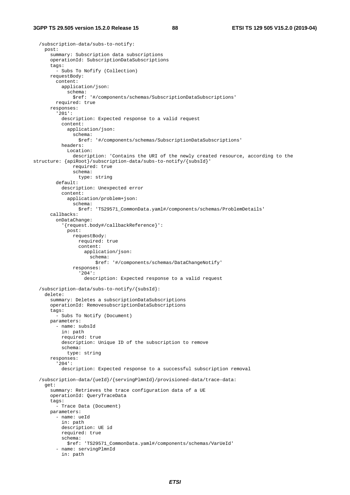```
 /subscription-data/subs-to-notify: 
     post: 
       summary: Subscription data subscriptions 
       operationId: SubscriptionDataSubscriptions 
       tags: 
         - Subs To Nofify (Collection) 
       requestBody: 
         content: 
           application/json: 
              schema: 
                $ref: '#/components/schemas/SubscriptionDataSubscriptions' 
         required: true 
       responses: 
          '201': 
           description: Expected response to a valid request 
           content: 
              application/json: 
                schema: 
                  $ref: '#/components/schemas/SubscriptionDataSubscriptions' 
           headers: 
              Location: 
                description: 'Contains the URI of the newly created resource, according to the 
structure: {apiRoot}/subscription-data/subs-to-notify/{subsId}' 
                required: true 
                schema: 
                  type: string 
          default: 
           description: Unexpected error 
           content: 
              application/problem+json: 
                schema: 
                  $ref: 'TS29571_CommonData.yaml#/components/schemas/ProblemDetails' 
       callbacks: 
          onDataChange: 
            '{request.body#/callbackReference}': 
              post: 
                requestBody: 
                  required: true 
                  content: 
                     application/json: 
                      schema: 
                        $ref: '#/components/schemas/DataChangeNotify' 
                responses: 
                   '204': 
                     description: Expected response to a valid request 
   /subscription-data/subs-to-notify/{subsId}: 
     delete: 
       summary: Deletes a subscriptionDataSubscriptions 
       operationId: RemovesubscriptionDataSubscriptions 
      tags:
         - Subs To Notify (Document) 
       parameters: 
          - name: subsId 
           in: path 
           required: true 
           description: Unique ID of the subscription to remove 
            schema: 
              type: string 
       responses: 
          '204': 
            description: Expected response to a successful subscription removal 
   /subscription-data/{ueId}/{servingPlmnId}/provisioned-data/trace-data: 
     get: 
       summary: Retrieves the trace configuration data of a UE 
       operationId: QueryTraceData 
       tags: 
          - Trace Data (Document) 
       parameters: 
          - name: ueId 
           in: path 
           description: UE id 
           required: true 
           schema: 
              $ref: 'TS29571_CommonData.yaml#/components/schemas/VarUeId' 
          - name: servingPlmnId 
           in: path
```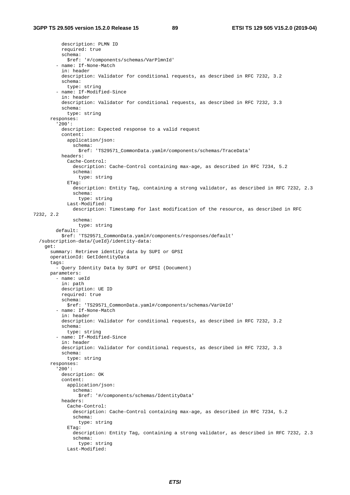description: PLMN ID required: true schema: \$ref: '#/components/schemas/VarPlmnId' - name: If-None-Match in: header description: Validator for conditional requests, as described in RFC 7232, 3.2 schema: type: string - name: If-Modified-Since in: header description: Validator for conditional requests, as described in RFC 7232, 3.3 schema: type: string responses: '200': description: Expected response to a valid request content: application/json: schema: \$ref: 'TS29571\_CommonData.yaml#/components/schemas/TraceData' headers: Cache-Control: description: Cache-Control containing max-age, as described in RFC 7234, 5.2 schema: type: string ETag: description: Entity Tag, containing a strong validator, as described in RFC 7232, 2.3 schema: type: string Last-Modified: description: Timestamp for last modification of the resource, as described in RFC 7232, 2.2 schema: type: string default: \$ref: 'TS29571\_CommonData.yaml#/components/responses/default' /subscription-data/{ueId}/identity-data: get: summary: Retrieve identity data by SUPI or GPSI operationId: GetIdentityData tags: - Query Identity Data by SUPI or GPSI (Document) parameters: - name: ueId in: path description: UE ID required: true schema: \$ref: 'TS29571\_CommonData.yaml#/components/schemas/VarUeId' - name: If-None-Match in: header description: Validator for conditional requests, as described in RFC 7232, 3.2 schema: type: string - name: If-Modified-Since in: header description: Validator for conditional requests, as described in RFC 7232, 3.3 schema: type: string responses: '200': description: OK content: application/json: schema: \$ref: '#/components/schemas/IdentityData' headers: Cache-Control: description: Cache-Control containing max-age, as described in RFC 7234, 5.2 schema: type: string ETag: description: Entity Tag, containing a strong validator, as described in RFC 7232, 2.3 schema: type: string Last-Modified: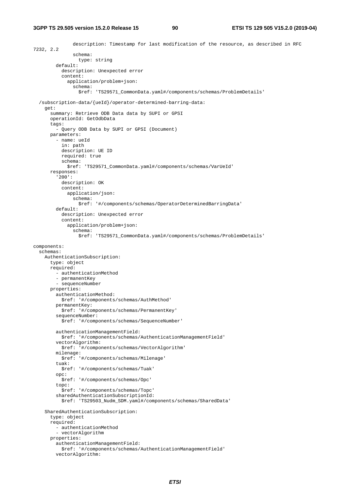description: Timestamp for last modification of the resource, as described in RFC 7232, 2.2 schema: type: string default: description: Unexpected error content: application/problem+json: schema: \$ref: 'TS29571\_CommonData.yaml#/components/schemas/ProblemDetails' /subscription-data/{ueId}/operator-determined-barring-data: get: summary: Retrieve ODB Data data by SUPI or GPSI operationId: GetOdbData tags: - Query ODB Data by SUPI or GPSI (Document) parameters: - name: ueId in: path description: UE ID required: true schema: \$ref: 'TS29571\_CommonData.yaml#/components/schemas/VarUeId' responses: '200': description: OK content: application/json: schema: \$ref: '#/components/schemas/OperatorDeterminedBarringData' default: description: Unexpected error content: application/problem+json: schema: \$ref: 'TS29571\_CommonData.yaml#/components/schemas/ProblemDetails' components: schemas: AuthenticationSubscription: type: object required: - authenticationMethod - permanentKey - sequenceNumber properties: authenticationMethod: \$ref: '#/components/schemas/AuthMethod' permanentKey: \$ref: '#/components/schemas/PermanentKey' sequenceNumber: \$ref: '#/components/schemas/SequenceNumber' authenticationManagementField: \$ref: '#/components/schemas/AuthenticationManagementField' vectorAlgorithm: \$ref: '#/components/schemas/VectorAlgorithm' milenage: \$ref: '#/components/schemas/Milenage' tuak: \$ref: '#/components/schemas/Tuak' opc: \$ref: '#/components/schemas/Opc' topc: \$ref: '#/components/schemas/Topc' sharedAuthenticationSubscriptionId: \$ref: 'TS29503\_Nudm\_SDM.yaml#/components/schemas/SharedData' SharedAuthenticationSubscription: type: object required: - authenticationMethod - vectorAlgorithm properties: authenticationManagementField: \$ref: '#/components/schemas/AuthenticationManagementField' vectorAlgorithm: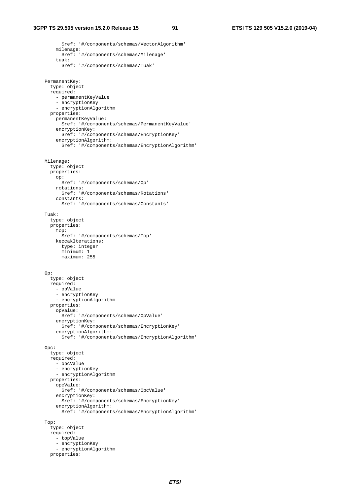\$ref: '#/components/schemas/VectorAlgorithm' milenage: \$ref: '#/components/schemas/Milenage' tuak: \$ref: '#/components/schemas/Tuak' PermanentKey: type: object required: - permanentKeyValue - encryptionKey - encryptionAlgorithm properties: permanentKeyValue: \$ref: '#/components/schemas/PermanentKeyValue' encryptionKey: \$ref: '#/components/schemas/EncryptionKey' encryptionAlgorithm: \$ref: '#/components/schemas/EncryptionAlgorithm' Milenage: type: object properties: op: \$ref: '#/components/schemas/Op' rotations: \$ref: '#/components/schemas/Rotations' constants: \$ref: '#/components/schemas/Constants' Tuak: type: object properties: top: \$ref: '#/components/schemas/Top' keccakIterations: type: integer minimum: 1 maximum: 255 Op: type: object required: - opValue - encryptionKey - encryptionAlgorithm properties: opValue: \$ref: '#/components/schemas/OpValue' encryptionKey: \$ref: '#/components/schemas/EncryptionKey' encryptionAlgorithm: \$ref: '#/components/schemas/EncryptionAlgorithm' Opc: type: object required: - opcValue - encryptionKey - encryptionAlgorithm properties: opcValue: \$ref: '#/components/schemas/OpcValue' encryptionKey: \$ref: '#/components/schemas/EncryptionKey' encryptionAlgorithm: \$ref: '#/components/schemas/EncryptionAlgorithm' Top: type: object required: - topValue - encryptionKey - encryptionAlgorithm properties: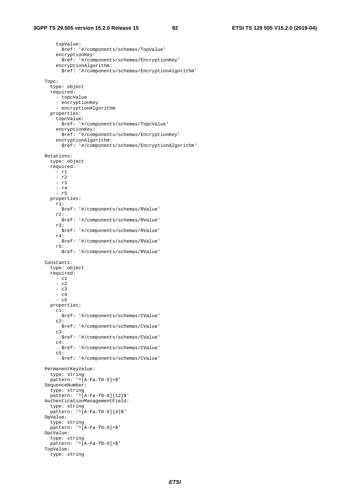topValue: \$ref: '#/components/schemas/TopValue' encryptionKey: \$ref: '#/components/schemas/EncryptionKey' encryptionAlgorithm: \$ref: '#/components/schemas/EncryptionAlgorithm' Topc: type: object required: - topcValue - encryptionKey - encryptionAlgorithm properties: topcValue: \$ref: '#/components/schemas/TopcValue' encryptionKey: \$ref: '#/components/schemas/EncryptionKey' encryptionAlgorithm: \$ref: '#/components/schemas/EncryptionAlgorithm' Rotations: type: object required: - r1 - r2 - r3 - r4 - r5 properties: r1: \$ref: '#/components/schemas/RValue' r2: \$ref: '#/components/schemas/RValue' r3: \$ref: '#/components/schemas/RValue' r4: \$ref: '#/components/schemas/RValue' r5: \$ref: '#/components/schemas/RValue' Constants: type: object required: - c1 - c2  $- c3$  - c4 - c5 properties: c1: \$ref: '#/components/schemas/CValue' c2: \$ref: '#/components/schemas/CValue'  $c3$ : \$ref: '#/components/schemas/CValue'  $c4$ : \$ref: '#/components/schemas/CValue'  $c5$ : \$ref: '#/components/schemas/CValue' PermanentKeyValue: type: string  $pattern: '^A[A-Fa-f0-9]+$'$  SequenceNumber: type: string pattern: '^[A-Fa-f0-9]{12}\$' AuthenticationManagementField: type: string pattern: '^[A-Fa-f0-9]{4}\$' OpValue: type: string  $p$ attern: ' $\sim$ [A-Fa-f0-9]+\$' OpcValue: type: string pattern: '^[A-Fa-f0-9]+\$' TopValue: type: string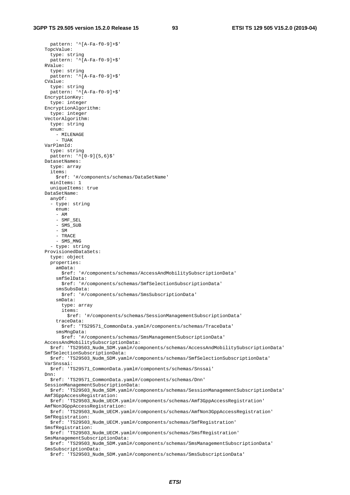pattern: '^[A-Fa-f0-9]+\$' TopcValue: type: string pattern: '^[A-Fa-f0-9]+\$' RValue: type: string pattern: '^[A-Fa-f0-9]+\$' CValue: type: string pattern: '^[A-Fa-f0-9]+\$' EncryptionKey: type: integer EncryptionAlgorithm: type: integer VectorAlgorithm: type: string enum: - MILENAGE - TUAK VarPlmnId: type: string  $pattern: '^[0-9]{5,6}$  DatasetNames: type: array items: \$ref: '#/components/schemas/DataSetName' minItems: 1 uniqueItems: true DataSetName: anyOf: - type: string enum: - AM - SMF\_SEL - SMS\_SUB - SM - TRACE - SMS\_MNG - type: string ProvisionedDataSets: type: object properties: amData: \$ref: '#/components/schemas/AccessAndMobilitySubscriptionData' smfSelData: \$ref: '#/components/schemas/SmfSelectionSubscriptionData' smsSubsData: \$ref: '#/components/schemas/SmsSubscriptionData' smData: type: array items: \$ref: '#/components/schemas/SessionManagementSubscriptionData' traceData: \$ref: 'TS29571\_CommonData.yaml#/components/schemas/TraceData' smsMngData: \$ref: '#/components/schemas/SmsManagementSubscriptionData' AccessAndMobilitySubscriptionData: \$ref: 'TS29503\_Nudm\_SDM.yaml#/components/schemas/AccessAndMobilitySubscriptionData' SmfSelectionSubscriptionData: \$ref: 'TS29503\_Nudm\_SDM.yaml#/components/schemas/SmfSelectionSubscriptionData' VarSnssai: \$ref: 'TS29571\_CommonData.yaml#/components/schemas/Snssai' Dnn: \$ref: 'TS29571\_CommonData.yaml#/components/schemas/Dnn' SessionManagementSubscriptionData: \$ref: 'TS29503\_Nudm\_SDM.yaml#/components/schemas/SessionManagementSubscriptionData' Amf3GppAccessRegistration: \$ref: 'TS29503\_Nudm\_UECM.yaml#/components/schemas/Amf3GppAccessRegistration' AmfNon3GppAccessRegistration: \$ref: 'TS29503\_Nudm\_UECM.yaml#/components/schemas/AmfNon3GppAccessRegistration' SmfRegistration: \$ref: 'TS29503\_Nudm\_UECM.yaml#/components/schemas/SmfRegistration' SmsfRegistration: \$ref: 'TS29503\_Nudm\_UECM.yaml#/components/schemas/SmsfRegistration' SmsManagementSubscriptionData: \$ref: 'TS29503\_Nudm\_SDM.yaml#/components/schemas/SmsManagementSubscriptionData' SmsSubscriptionData: \$ref: 'TS29503\_Nudm\_SDM.yaml#/components/schemas/SmsSubscriptionData'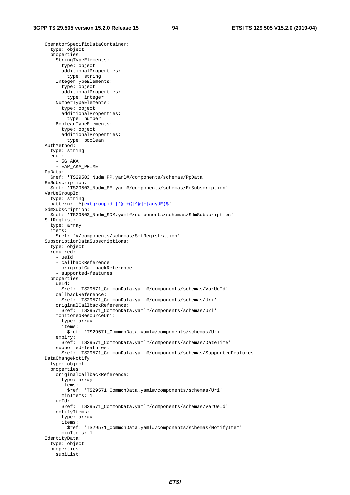OperatorSpecificDataContainer: type: object properties: StringTypeElements: type: object additionalProperties: type: string IntegerTypeElements: type: object additionalProperties: type: integer NumberTypeElements: type: object additionalProperties: type: number BooleanTypeElements: type: object additionalProperties: type: boolean AuthMethod: type: string enum: - 5G\_AKA - EAP\_AKA\_PRIME PpData: \$ref: 'TS29503\_Nudm\_PP.yaml#/components/schemas/PpData' EeSubscription: \$ref: 'TS29503\_Nudm\_EE.yaml#/components/schemas/EeSubscription' VarUeGroupId: type: string pattern: '^(extgroupid-[^@]+@[^@]+|anyUE)\$' SdmSubscription: \$ref: 'TS29503\_Nudm\_SDM.yaml#/components/schemas/SdmSubscription' SmfRegList: type: array items: \$ref: '#/components/schemas/SmfRegistration' SubscriptionDataSubscriptions: type: object required: - ueId - callbackReference - originalCallbackReference - supported-features properties: ueId: \$ref: 'TS29571\_CommonData.yaml#/components/schemas/VarUeId' callbackReference: \$ref: 'TS29571\_CommonData.yaml#/components/schemas/Uri' originalCallbackReference: \$ref: 'TS29571\_CommonData.yaml#/components/schemas/Uri' monitoredResourceUri: type: array items: \$ref: 'TS29571\_CommonData.yaml#/components/schemas/Uri' expiry: \$ref: 'TS29571\_CommonData.yaml#/components/schemas/DateTime' supported-features: \$ref: 'TS29571\_CommonData.yaml#/components/schemas/SupportedFeatures' DataChangeNotify: type: object properties: originalCallbackReference: type: array items: \$ref: 'TS29571\_CommonData.yaml#/components/schemas/Uri' minItems: 1 ueId: \$ref: 'TS29571\_CommonData.yaml#/components/schemas/VarUeId' notifyItems: type: array items: \$ref: 'TS29571\_CommonData.yaml#/components/schemas/NotifyItem' minItems: 1 IdentityData: type: object properties: supiList: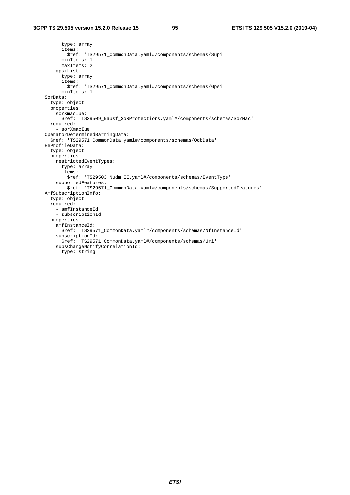```
 type: array 
       items: 
         $ref: 'TS29571_CommonData.yaml#/components/schemas/Supi' 
       minItems: 1 
       maxItems: 2 
     gpsiList: 
       type: array 
       items: 
         $ref: 'TS29571_CommonData.yaml#/components/schemas/Gpsi' 
       minItems: 1 
 SorData: 
   type: object 
   properties: 
     sorXmacIue: 
      $ref: 'TS29509_Nausf_SoRProtections.yaml#/components/schemas/SorMac' 
   required: 
     - sorXmacIue 
 OperatorDeterminedBarringData: 
   $ref: 'TS29571_CommonData.yaml#/components/schemas/OdbData' 
 EeProfileData: 
   type: object 
   properties: 
     restrictedEventTypes: 
       type: array 
       items: 
         $ref: 'TS29503_Nudm_EE.yaml#/components/schemas/EventType' 
     supportedFeatures: 
         $ref: 'TS29571_CommonData.yaml#/components/schemas/SupportedFeatures' 
 AmfSubscriptionInfo: 
   type: object 
   required: 
     - amfInstanceId 
     - subscriptionId 
   properties: 
     amfInstanceId: 
       $ref: 'TS29571_CommonData.yaml#/components/schemas/NfInstanceId' 
     subscriptionId: 
       $ref: 'TS29571_CommonData.yaml#/components/schemas/Uri' 
     subsChangeNotifyCorrelationId: 
       type: string
```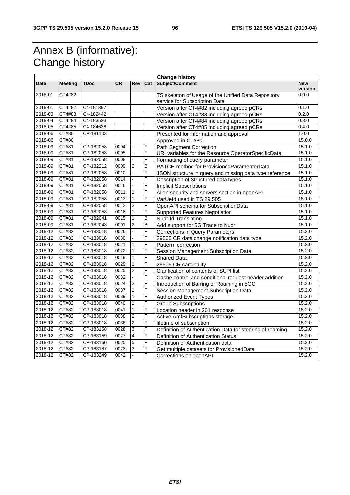## Annex B (informative): Change history

| <b>Change history</b> |                |             |           |                          |     |                                                                                      |                       |
|-----------------------|----------------|-------------|-----------|--------------------------|-----|--------------------------------------------------------------------------------------|-----------------------|
| Date                  | <b>Meeting</b> | <b>TDoc</b> | <b>CR</b> | Rev                      | Cat | Subject/Comment                                                                      | <b>New</b><br>version |
| 2018-01               | CT4#82         |             |           |                          |     | TS skeleton of Usage of the Unified Data Repository<br>service for Subscription Data | 0.0.0                 |
| 2018-01               | CT4#82         | C4-181397   |           |                          |     | Version after CT4#82 including agreed pCRs                                           | 0.1.0                 |
| 2018-03               | CT4#83         | C4-182442   |           |                          |     | Version after CT4#83 including agreed pCRs                                           | 0.2.0                 |
| 2018-04               | CT4#84         | C4-183523   |           |                          |     | Version after CT4#84 including agreed pCRs                                           | 0.3.0                 |
| 2018-05               | CT4#85         | C4-184638   |           |                          |     | Version after CT4#85 including agreed pCRs                                           | 0.4.0                 |
| 2018-06               | CT#80          | CP-181103   |           |                          |     | Presented for information and approval                                               | 1.0.0                 |
| 2018-06               | <b>CT#80</b>   |             |           |                          |     | Approved in CT#80.                                                                   | 15.0.0                |
| 2018-09               | CT#81          | CP-182058   | 0004      |                          | F   | <b>Path Segment Correction</b>                                                       | 15.1.0                |
| 2018-09               | CT#81          | CP-182058   | 0005      |                          | F   | URI variables for the Resource OperatorSpecificData                                  | 15.1.0                |
| 2018-09               | CT#81          | CP-182058   | 0008      |                          | F   | Formatting of query parameter                                                        | 15.1.0                |
| 2018-09               | CT#81          | CP-182212   | 0009      | 2                        | В   | PATCH method for ProvisionedParamenterData                                           | 15.1.0                |
| 2018-09               | CT#81          | CP-182058   | 0010      | L.                       | F   | JSON structure in query and missing data type reference                              | 15.1.0                |
| 2018-09               | CT#81          | CP-182058   | 0014      |                          | F   | Description of Structured data types                                                 | 15.1.0                |
| 2018-09               | CT#81          | CP-182058   | 0016      | ä,                       | F   | <b>Implicit Subscriptions</b>                                                        | 15.1.0                |
| 2018-09               | CT#81          | CP-182058   | 0011      | $\mathbf{1}$             | F   | Align security and servers section in openAPI                                        | 15.1.0                |
| 2018-09               | CT#81          | CP-182058   | 0013      | 1                        | F   | VarUeld used in TS 29.505                                                            | 15.1.0                |
| 2018-09               | CT#81          | CP-182058   | 0012      | $\overline{2}$           | F   | OpenAPI schema for SubscriptionData                                                  | 15.1.0                |
| 2018-09               | CT#81          | CP-182058   | 0018      | $\mathbf{1}$             | F   | <b>Supported Features Negotiation</b>                                                | 15.1.0                |
| 2018-09               | CT#81          | CP-182041   | 0015      | $\mathbf{1}$             | B   | <b>Nudr Id Translation</b>                                                           | 15.1.0                |
| 2018-09               | CT#81          | CP-182043   | 0001      | $\overline{2}$           | B   | Add support for 5G Trace to Nudr                                                     | 15.1.0                |
| 2018-12               | CT#82          | CP-183018   | 0026      | ä,                       | F   | <b>Corrections in Query Parameters</b>                                               | 15.2.0                |
| 2018-12               | CT#82          | CP-183018   | 0030      |                          | F   | 29505 CR data change notification data type                                          | 15.2.0                |
| 2018-12               | CT#82          | CP-183018   | 0021      | 1                        | F   | Pattern correction                                                                   | 15.2.0                |
| 2018-12               | <b>CT#82</b>   | CP-183018   | 0022      | $\mathbf{1}$             | F   | Session Management Subscription Data                                                 | 15.2.0                |
| 2018-12               | CT#82          | CP-183018   | 0019      | 1                        | F   | <b>Shared Data</b>                                                                   | 15.2.0                |
| 2018-12               | CT#82          | CP-183018   | 0029      | $\mathbf{1}$             | F   | 29505 CR cardinality                                                                 | 15.2.0                |
| 2018-12               | CT#82          | CP-183018   | 0025      | $\overline{2}$           | F   | Clarification of contents of SUPI list                                               | 15.2.0                |
| 2018-12               | CT#82          | CP-183018   | 0032      |                          | F   | Cache control and conditional request header addition                                | 15.2.0                |
| 2018-12               | CT#82          | CP-183018   | 0024      | 3                        | F   | Introduction of Barring of Roaming in 5GC                                            | 15.2.0                |
| 2018-12               | CT#82          | CP-183018   | 0037      | $\overline{1}$           | F   | Session Management Subscription Data                                                 | 15.2.0                |
| 2018-12               | CT#82          | CP-183018   | 0039      | $\overline{1}$           | F   | <b>Authorized Event Types</b>                                                        | 15.2.0                |
| 2018-12               | CT#82          | CP-183018   | 0040      | $\mathbf{1}$             | F   | <b>Group Subscriptions</b>                                                           | 15.2.0                |
| 2018-12               | CT#82          | CP-183018   | 0041      | $\mathbf{1}$             | F   | Location header in 201 response                                                      | 15.2.0                |
| 2018-12               | CT#82          | CP-183018   | 0038      | $\overline{2}$           | F   | Active AmfSubscriptions storage                                                      | 15.2.0                |
| 2018-12               | CT#82          | CP-183018   | 0036      | $\overline{2}$           | F   | lifetime of subscription                                                             | 15.2.0                |
| 2018-12               | CT#82          | CP-183158   | 0028      | 3                        | F   | Definition of Authentication Data for steering of roaming                            | 15.2.0                |
| 2018-12               | CT#82          | CP-183159   | 0027      | $\overline{4}$           | F   | <b>Definition of Authentication Status</b>                                           | 15.2.0                |
| 2018-12               | CT#82          | CP-183160   | 0020      | 5                        | F   | Definition of Authentication data                                                    | 15.2.0                |
| 2018-12               | <b>CT#82</b>   | CP-183187   | 0023      | 3                        | F   | Get multiple datasets for ProvisionedData                                            | 15.2.0                |
| 2018-12               | CT#82          | CP-183249   | 0042      | $\overline{\phantom{a}}$ | F   | Corrections on openAPI                                                               | 15.2.0                |